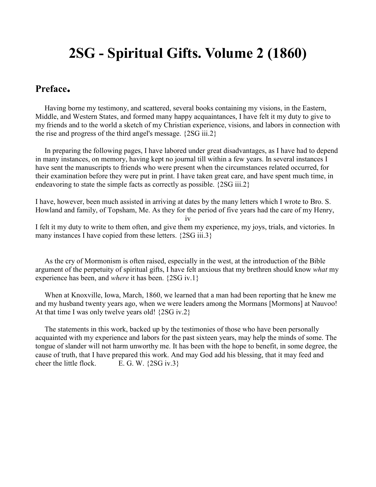# **2SG - Spiritual Gifts. Volume 2 (1860)**

# **Preface.**

 Having borne my testimony, and scattered, several books containing my visions, in the Eastern, Middle, and Western States, and formed many happy acquaintances, I have felt it my duty to give to my friends and to the world a sketch of my Christian experience, visions, and labors in connection with the rise and progress of the third angel's message. {2SG iii.2}

 In preparing the following pages, I have labored under great disadvantages, as I have had to depend in many instances, on memory, having kept no journal till within a few years. In several instances I have sent the manuscripts to friends who were present when the circumstances related occurred, for their examination before they were put in print. I have taken great care, and have spent much time, in endeavoring to state the simple facts as correctly as possible. {2SG iii.2}

I have, however, been much assisted in arriving at dates by the many letters which I wrote to Bro. S. Howland and family, of Topsham, Me. As they for the period of five years had the care of my Henry,

I felt it my duty to write to them often, and give them my experience, my joys, trials, and victories. In many instances I have copied from these letters. {2SG iii.3}

iv

 As the cry of Mormonism is often raised, especially in the west, at the introduction of the Bible argument of the perpetuity of spiritual gifts, I have felt anxious that my brethren should know *what* my experience has been, and *where* it has been. {2SG iv.1}

 When at Knoxville, Iowa, March, 1860, we learned that a man had been reporting that he knew me and my husband twenty years ago, when we were leaders among the Mormans [Mormons] at Nauvoo! At that time I was only twelve years old! {2SG iv.2}

 The statements in this work, backed up by the testimonies of those who have been personally acquainted with my experience and labors for the past sixteen years, may help the minds of some. The tongue of slander will not harm unworthy me. It has been with the hope to benefit, in some degree, the cause of truth, that I have prepared this work. And may God add his blessing, that it may feed and cheer the little flock.  $E. G. W. \{2SG iv.3\}$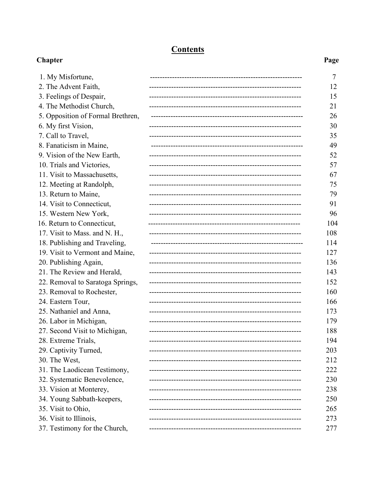# **Contents**

Page

# **Chapter**

|                                           | 7   |
|-------------------------------------------|-----|
| 1. My Misfortune,<br>2. The Advent Faith, | 12  |
|                                           | 15  |
| 3. Feelings of Despair,                   |     |
| 4. The Methodist Church,                  | 21  |
| 5. Opposition of Formal Brethren,         | 26  |
| 6. My first Vision,                       | 30  |
| 7. Call to Travel,                        | 35  |
| 8. Fanaticism in Maine,                   | 49  |
| 9. Vision of the New Earth,               | 52  |
| 10. Trials and Victories,                 | 57  |
| 11. Visit to Massachusetts,               | 67  |
| 12. Meeting at Randolph,                  | 75  |
| 13. Return to Maine,                      | 79  |
| 14. Visit to Connecticut,                 | 91  |
| 15. Western New York,                     | 96  |
| 16. Return to Connecticut,                | 104 |
| 17. Visit to Mass. and N. H.,             | 108 |
| 18. Publishing and Traveling,             | 114 |
| 19. Visit to Vermont and Maine,           | 127 |
| 20. Publishing Again,                     | 136 |
| 21. The Review and Herald,                | 143 |
| 22. Removal to Saratoga Springs,          | 152 |
| 23. Removal to Rochester,                 | 160 |
| 24. Eastern Tour,                         | 166 |
| 25. Nathaniel and Anna,                   | 173 |
| 26. Labor in Michigan,                    | 179 |
| 27. Second Visit to Michigan,             | 188 |
| 28. Extreme Trials,                       | 194 |
| 29. Captivity Turned,                     | 203 |
| 30. The West,                             | 212 |
| 31. The Laodicean Testimony,              | 222 |
| 32. Systematic Benevolence,               | 230 |
| 33. Vision at Monterey,                   | 238 |
| 34. Young Sabbath-keepers,                | 250 |
| 35. Visit to Ohio,                        | 265 |
| 36. Visit to Illinois,                    | 273 |
| 37. Testimony for the Church,             | 277 |
|                                           |     |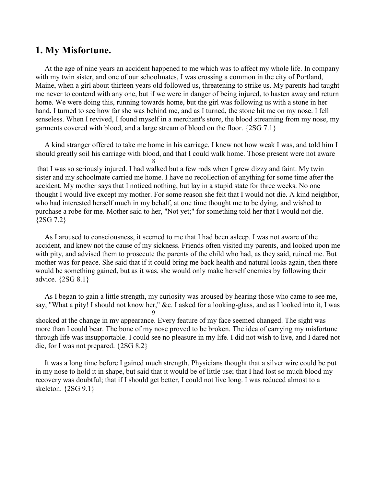#### **1. My Misfortune.**

 At the age of nine years an accident happened to me which was to affect my whole life. In company with my twin sister, and one of our schoolmates, I was crossing a common in the city of Portland, Maine, when a girl about thirteen years old followed us, threatening to strike us. My parents had taught me never to contend with any one, but if we were in danger of being injured, to hasten away and return home. We were doing this, running towards home, but the girl was following us with a stone in her hand. I turned to see how far she was behind me, and as I turned, the stone hit me on my nose. I fell senseless. When I revived, I found myself in a merchant's store, the blood streaming from my nose, my garments covered with blood, and a large stream of blood on the floor. {2SG 7.1}

 A kind stranger offered to take me home in his carriage. I knew not how weak I was, and told him I should greatly soil his carriage with blood, and that I could walk home. Those present were not aware 8

 that I was so seriously injured. I had walked but a few rods when I grew dizzy and faint. My twin sister and my schoolmate carried me home. I have no recollection of anything for some time after the accident. My mother says that I noticed nothing, but lay in a stupid state for three weeks. No one thought I would live except my mother. For some reason she felt that I would not die. A kind neighbor, who had interested herself much in my behalf, at one time thought me to be dying, and wished to purchase a robe for me. Mother said to her, "Not yet;" for something told her that I would not die. {2SG 7.2}

 As I aroused to consciousness, it seemed to me that I had been asleep. I was not aware of the accident, and knew not the cause of my sickness. Friends often visited my parents, and looked upon me with pity, and advised them to prosecute the parents of the child who had, as they said, ruined me. But mother was for peace. She said that if it could bring me back health and natural looks again, then there would be something gained, but as it was, she would only make herself enemies by following their advice. {2SG 8.1}

 As I began to gain a little strength, my curiosity was aroused by hearing those who came to see me, say, "What a pity! I should not know her," &c. I asked for a looking-glass, and as I looked into it, I was 9 shocked at the change in my appearance. Every feature of my face seemed changed. The sight was more than I could bear. The bone of my nose proved to be broken. The idea of carrying my misfortune through life was insupportable. I could see no pleasure in my life. I did not wish to live, and I dared not die, for I was not prepared. {2SG 8.2}

 It was a long time before I gained much strength. Physicians thought that a silver wire could be put in my nose to hold it in shape, but said that it would be of little use; that I had lost so much blood my recovery was doubtful; that if I should get better, I could not live long. I was reduced almost to a skeleton. {2SG 9.1}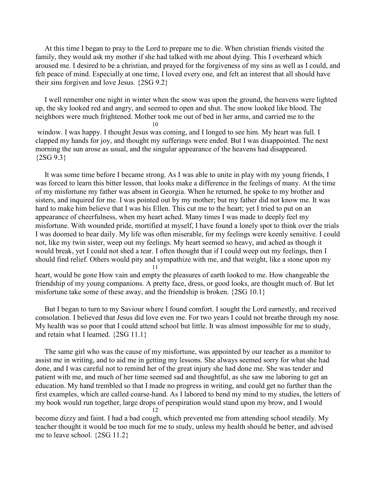At this time I began to pray to the Lord to prepare me to die. When christian friends visited the family, they would ask my mother if she had talked with me about dying. This I overheard which aroused me. I desired to be a christian, and prayed for the forgiveness of my sins as well as I could, and felt peace of mind. Especially at one time, I loved every one, and felt an interest that all should have their sins forgiven and love Jesus. {2SG 9.2}

 I well remember one night in winter when the snow was upon the ground, the heavens were lighted up, the sky looked red and angry, and seemed to open and shut. The snow looked like blood. The neighbors were much frightened. Mother took me out of bed in her arms, and carried me to the 10 window. I was happy. I thought Jesus was coming, and I longed to see him. My heart was full. I

clapped my hands for joy, and thought my sufferings were ended. But I was disappointed. The next morning the sun arose as usual, and the singular appearance of the heavens had disappeared.  ${2SG\,9.3}$ 

 It was some time before I became strong. As I was able to unite in play with my young friends, I was forced to learn this bitter lesson, that looks make a difference in the feelings of many. At the time of my misfortune my father was absent in Georgia. When he returned, he spoke to my brother and sisters, and inquired for me. I was pointed out by my mother; but my father did not know me. It was hard to make him believe that I was his Ellen. This cut me to the heart; yet I tried to put on an appearance of cheerfulness, when my heart ached. Many times I was made to deeply feel my misfortune. With wounded pride, mortified at myself, I have found a lonely spot to think over the trials I was doomed to bear daily. My life was often miserable, for my feelings were keenly sensitive. I could not, like my twin sister, weep out my feelings. My heart seemed so heavy, and ached as though it would break, yet I could not shed a tear. I often thought that if I could weep out my feelings, then I should find relief. Others would pity and sympathize with me, and that weight, like a stone upon my 11

heart, would be gone How vain and empty the pleasures of earth looked to me. How changeable the friendship of my young companions. A pretty face, dress, or good looks, are thought much of. But let misfortune take some of these away, and the friendship is broken. {2SG 10.1}

 But I began to turn to my Saviour where I found comfort. I sought the Lord earnestly, and received consolation. I believed that Jesus did love even me. For two years I could not breathe through my nose. My health was so poor that I could attend school but little. It was almost impossible for me to study, and retain what I learned. {2SG 11.1}

 The same girl who was the cause of my misfortune, was appointed by our teacher as a monitor to assist me in writing, and to aid me in getting my lessons. She always seemed sorry for what she had done, and I was careful not to remind her of the great injury she had done me. She was tender and patient with me, and much of her time seemed sad and thoughtful, as she saw me laboring to get an education. My hand trembled so that I made no progress in writing, and could get no further than the first examples, which are called coarse-hand. As I labored to bend my mind to my studies, the letters of my book would run together, large drops of perspiration would stand upon my brow, and I would 12

become dizzy and faint. I had a bad cough, which prevented me from attending school steadily. My teacher thought it would be too much for me to study, unless my health should be better, and advised me to leave school. {2SG 11.2}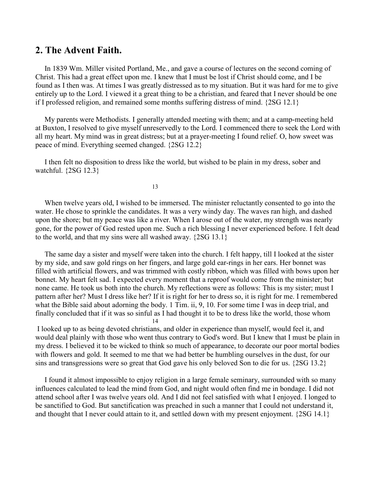#### **2. The Advent Faith.**

 In 1839 Wm. Miller visited Portland, Me., and gave a course of lectures on the second coming of Christ. This had a great effect upon me. I knew that I must be lost if Christ should come, and I be found as I then was. At times I was greatly distressed as to my situation. But it was hard for me to give entirely up to the Lord. I viewed it a great thing to be a christian, and feared that I never should be one if I professed religion, and remained some months suffering distress of mind. {2SG 12.1}

 My parents were Methodists. I generally attended meeting with them; and at a camp-meeting held at Buxton, I resolved to give myself unreservedly to the Lord. I commenced there to seek the Lord with all my heart. My mind was in great distress; but at a prayer-meeting I found relief. O, how sweet was peace of mind. Everything seemed changed. {2SG 12.2}

 I then felt no disposition to dress like the world, but wished to be plain in my dress, sober and watchful. {2SG 12.3}

13

 When twelve years old, I wished to be immersed. The minister reluctantly consented to go into the water. He chose to sprinkle the candidates. It was a very windy day. The waves ran high, and dashed upon the shore; but my peace was like a river. When I arose out of the water, my strength was nearly gone, for the power of God rested upon me. Such a rich blessing I never experienced before. I felt dead to the world, and that my sins were all washed away. {2SG 13.1}

 The same day a sister and myself were taken into the church. I felt happy, till I looked at the sister by my side, and saw gold rings on her fingers, and large gold ear-rings in her ears. Her bonnet was filled with artificial flowers, and was trimmed with costly ribbon, which was filled with bows upon her bonnet. My heart felt sad. I expected every moment that a reproof would come from the minister; but none came. He took us both into the church. My reflections were as follows: This is my sister; must I pattern after her? Must I dress like her? If it is right for her to dress so, it is right for me. I remembered what the Bible said about adorning the body. 1 Tim. ii, 9, 10. For some time I was in deep trial, and finally concluded that if it was so sinful as I had thought it to be to dress like the world, those whom 14

 I looked up to as being devoted christians, and older in experience than myself, would feel it, and would deal plainly with those who went thus contrary to God's word. But I knew that I must be plain in my dress. I believed it to be wicked to think so much of appearance, to decorate our poor mortal bodies with flowers and gold. It seemed to me that we had better be humbling ourselves in the dust, for our sins and transgressions were so great that God gave his only beloved Son to die for us. {2SG 13.2}

 I found it almost impossible to enjoy religion in a large female seminary, surrounded with so many influences calculated to lead the mind from God, and night would often find me in bondage. I did not attend school after I was twelve years old. And I did not feel satisfied with what I enjoyed. I longed to be sanctified to God. But sanctification was preached in such a manner that I could not understand it, and thought that I never could attain to it, and settled down with my present enjoyment. {2SG 14.1}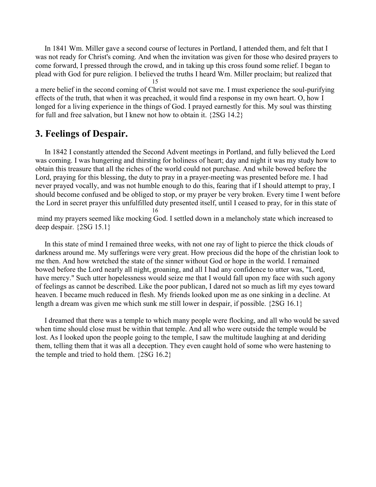In 1841 Wm. Miller gave a second course of lectures in Portland, I attended them, and felt that I was not ready for Christ's coming. And when the invitation was given for those who desired prayers to come forward, I pressed through the crowd, and in taking up this cross found some relief. I began to plead with God for pure religion. I believed the truths I heard Wm. Miller proclaim; but realized that 15

a mere belief in the second coming of Christ would not save me. I must experience the soul-purifying effects of the truth, that when it was preached, it would find a response in my own heart. O, how I longed for a living experience in the things of God. I prayed earnestly for this. My soul was thirsting for full and free salvation, but I knew not how to obtain it. {2SG 14.2}

# **3. Feelings of Despair.**

 In 1842 I constantly attended the Second Advent meetings in Portland, and fully believed the Lord was coming. I was hungering and thirsting for holiness of heart; day and night it was my study how to obtain this treasure that all the riches of the world could not purchase. And while bowed before the Lord, praying for this blessing, the duty to pray in a prayer-meeting was presented before me. I had never prayed vocally, and was not humble enough to do this, fearing that if I should attempt to pray, I should become confused and be obliged to stop, or my prayer be very broken. Every time I went before the Lord in secret prayer this unfulfilled duty presented itself, until I ceased to pray, for in this state of 16

 mind my prayers seemed like mocking God. I settled down in a melancholy state which increased to deep despair. {2SG 15.1}

 In this state of mind I remained three weeks, with not one ray of light to pierce the thick clouds of darkness around me. My sufferings were very great. How precious did the hope of the christian look to me then. And how wretched the state of the sinner without God or hope in the world. I remained bowed before the Lord nearly all night, groaning, and all I had any confidence to utter was, "Lord, have mercy." Such utter hopelessness would seize me that I would fall upon my face with such agony of feelings as cannot be described. Like the poor publican, I dared not so much as lift my eyes toward heaven. I became much reduced in flesh. My friends looked upon me as one sinking in a decline. At length a dream was given me which sunk me still lower in despair, if possible. {2SG 16.1}

 I dreamed that there was a temple to which many people were flocking, and all who would be saved when time should close must be within that temple. And all who were outside the temple would be lost. As I looked upon the people going to the temple, I saw the multitude laughing at and deriding them, telling them that it was all a deception. They even caught hold of some who were hastening to the temple and tried to hold them. {2SG 16.2}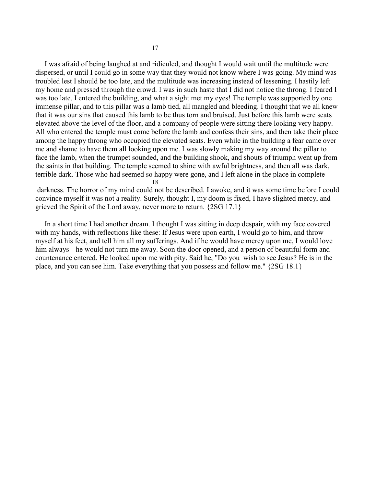I was afraid of being laughed at and ridiculed, and thought I would wait until the multitude were dispersed, or until I could go in some way that they would not know where I was going. My mind was troubled lest I should be too late, and the multitude was increasing instead of lessening. I hastily left my home and pressed through the crowd. I was in such haste that I did not notice the throng. I feared I was too late. I entered the building, and what a sight met my eyes! The temple was supported by one immense pillar, and to this pillar was a lamb tied, all mangled and bleeding. I thought that we all knew that it was our sins that caused this lamb to be thus torn and bruised. Just before this lamb were seats elevated above the level of the floor, and a company of people were sitting there looking very happy. All who entered the temple must come before the lamb and confess their sins, and then take their place among the happy throng who occupied the elevated seats. Even while in the building a fear came over me and shame to have them all looking upon me. I was slowly making my way around the pillar to face the lamb, when the trumpet sounded, and the building shook, and shouts of triumph went up from the saints in that building. The temple seemed to shine with awful brightness, and then all was dark, terrible dark. Those who had seemed so happy were gone, and I left alone in the place in complete 18

 darkness. The horror of my mind could not be described. I awoke, and it was some time before I could convince myself it was not a reality. Surely, thought I, my doom is fixed, I have slighted mercy, and grieved the Spirit of the Lord away, never more to return. {2SG 17.1}

 In a short time I had another dream. I thought I was sitting in deep despair, with my face covered with my hands, with reflections like these: If Jesus were upon earth, I would go to him, and throw myself at his feet, and tell him all my sufferings. And if he would have mercy upon me, I would love him always --he would not turn me away. Soon the door opened, and a person of beautiful form and countenance entered. He looked upon me with pity. Said he, "Do you wish to see Jesus? He is in the place, and you can see him. Take everything that you possess and follow me." {2SG 18.1}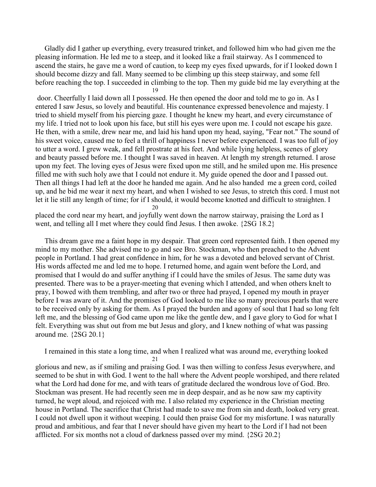Gladly did I gather up everything, every treasured trinket, and followed him who had given me the pleasing information. He led me to a steep, and it looked like a frail stairway. As I commenced to ascend the stairs, he gave me a word of caution, to keep my eyes fixed upwards, for if I looked down I should become dizzy and fall. Many seemed to be climbing up this steep stairway, and some fell before reaching the top. I succeeded in climbing to the top. Then my guide bid me lay everything at the

19

 door. Cheerfully I laid down all I possessed. He then opened the door and told me to go in. As I entered I saw Jesus, so lovely and beautiful. His countenance expressed benevolence and majesty. I tried to shield myself from his piercing gaze. I thought he knew my heart, and every circumstance of my life. I tried not to look upon his face, but still his eyes were upon me. I could not escape his gaze. He then, with a smile, drew near me, and laid his hand upon my head, saying, "Fear not." The sound of his sweet voice, caused me to feel a thrill of happiness I never before experienced. I was too full of joy to utter a word. I grew weak, and fell prostrate at his feet. And while lying helpless, scenes of glory and beauty passed before me. I thought I was saved in heaven. At length my strength returned. I arose upon my feet. The loving eyes of Jesus were fixed upon me still, and he smiled upon me. His presence filled me with such holy awe that I could not endure it. My guide opened the door and I passed out. Then all things I had left at the door he handed me again. And he also handed me a green cord, coiled up, and he bid me wear it next my heart, and when I wished to see Jesus, to stretch this cord. I must not let it lie still any length of time; for if I should, it would become knotted and difficult to straighten. I 20

placed the cord near my heart, and joyfully went down the narrow stairway, praising the Lord as I went, and telling all I met where they could find Jesus. I then awoke. {2SG 18.2}

 This dream gave me a faint hope in my despair. That green cord represented faith. I then opened my mind to my mother. She advised me to go and see Bro. Stockman, who then preached to the Advent people in Portland. I had great confidence in him, for he was a devoted and beloved servant of Christ. His words affected me and led me to hope. I returned home, and again went before the Lord, and promised that I would do and suffer anything if I could have the smiles of Jesus. The same duty was presented. There was to be a prayer-meeting that evening which I attended, and when others knelt to pray, I bowed with them trembling, and after two or three had prayed, I opened my mouth in prayer before I was aware of it. And the promises of God looked to me like so many precious pearls that were to be received only by asking for them. As I prayed the burden and agony of soul that I had so long felt left me, and the blessing of God came upon me like the gentle dew, and I gave glory to God for what I felt. Everything was shut out from me but Jesus and glory, and I knew nothing of what was passing around me. {2SG 20.1}

I remained in this state a long time, and when I realized what was around me, everything looked

21

glorious and new, as if smiling and praising God. I was then willing to confess Jesus everywhere, and seemed to be shut in with God. I went to the hall where the Advent people worshiped, and there related what the Lord had done for me, and with tears of gratitude declared the wondrous love of God. Bro. Stockman was present. He had recently seen me in deep despair, and as he now saw my captivity turned, he wept aloud, and rejoiced with me. I also related my experience in the Christian meeting house in Portland. The sacrifice that Christ had made to save me from sin and death, looked very great. I could not dwell upon it without weeping. I could then praise God for my misfortune. I was naturally proud and ambitious, and fear that I never should have given my heart to the Lord if I had not been afflicted. For six months not a cloud of darkness passed over my mind. {2SG 20.2}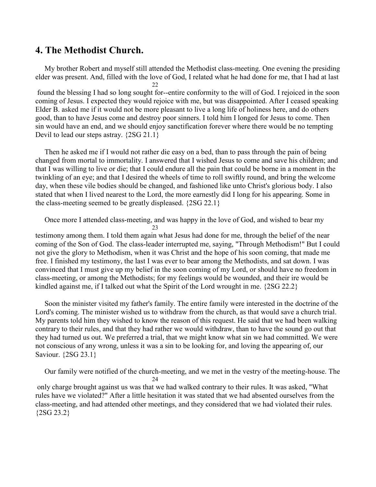### **4. The Methodist Church.**

 My brother Robert and myself still attended the Methodist class-meeting. One evening the presiding elder was present. And, filled with the love of God, I related what he had done for me, that I had at last 22

 found the blessing I had so long sought for--entire conformity to the will of God. I rejoiced in the soon coming of Jesus. I expected they would rejoice with me, but was disappointed. After I ceased speaking Elder B. asked me if it would not be more pleasant to live a long life of holiness here, and do others good, than to have Jesus come and destroy poor sinners. I told him I longed for Jesus to come. Then sin would have an end, and we should enjoy sanctification forever where there would be no tempting Devil to lead our steps astray. {2SG 21.1}

 Then he asked me if I would not rather die easy on a bed, than to pass through the pain of being changed from mortal to immortality. I answered that I wished Jesus to come and save his children; and that I was willing to live or die; that I could endure all the pain that could be borne in a moment in the twinkling of an eye; and that I desired the wheels of time to roll swiftly round, and bring the welcome day, when these vile bodies should be changed, and fashioned like unto Christ's glorious body. I also stated that when I lived nearest to the Lord, the more earnestly did I long for his appearing. Some in the class-meeting seemed to be greatly displeased. {2SG 22.1}

Once more I attended class-meeting, and was happy in the love of God, and wished to bear my

 23 testimony among them. I told them again what Jesus had done for me, through the belief of the near coming of the Son of God. The class-leader interrupted me, saying, "Through Methodism!" But I could not give the glory to Methodism, when it was Christ and the hope of his soon coming, that made me free. I finished my testimony, the last I was ever to bear among the Methodists, and sat down. I was convinced that I must give up my belief in the soon coming of my Lord, or should have no freedom in class-meeting, or among the Methodists; for my feelings would be wounded, and their ire would be kindled against me, if I talked out what the Spirit of the Lord wrought in me. {2SG 22.2}

 Soon the minister visited my father's family. The entire family were interested in the doctrine of the Lord's coming. The minister wished us to withdraw from the church, as that would save a church trial. My parents told him they wished to know the reason of this request. He said that we had been walking contrary to their rules, and that they had rather we would withdraw, than to have the sound go out that they had turned us out. We preferred a trial, that we might know what sin we had committed. We were not conscious of any wrong, unless it was a sin to be looking for, and loving the appearing of, our Saviour. {2SG 23.1}

Our family were notified of the church-meeting, and we met in the vestry of the meeting-house. The

 24 only charge brought against us was that we had walked contrary to their rules. It was asked, "What rules have we violated?" After a little hesitation it was stated that we had absented ourselves from the class-meeting, and had attended other meetings, and they considered that we had violated their rules. {2SG 23.2}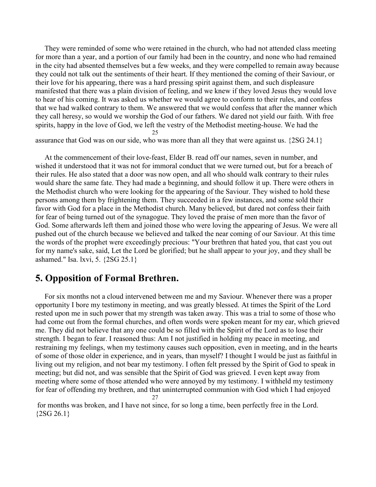They were reminded of some who were retained in the church, who had not attended class meeting for more than a year, and a portion of our family had been in the country, and none who had remained in the city had absented themselves but a few weeks, and they were compelled to remain away because they could not talk out the sentiments of their heart. If they mentioned the coming of their Saviour, or their love for his appearing, there was a hard pressing spirit against them, and such displeasure manifested that there was a plain division of feeling, and we knew if they loved Jesus they would love to hear of his coming. It was asked us whether we would agree to conform to their rules, and confess that we had walked contrary to them. We answered that we would confess that after the manner which they call heresy, so would we worship the God of our fathers. We dared not yield our faith. With free spirits, happy in the love of God, we left the vestry of the Methodist meeting-house. We had the 25

assurance that God was on our side, who was more than all they that were against us. {2SG 24.1}

 At the commencement of their love-feast, Elder B. read off our names, seven in number, and wished it understood that it was not for immoral conduct that we were turned out, but for a breach of their rules. He also stated that a door was now open, and all who should walk contrary to their rules would share the same fate. They had made a beginning, and should follow it up. There were others in the Methodist church who were looking for the appearing of the Saviour. They wished to hold these persons among them by frightening them. They succeeded in a few instances, and some sold their favor with God for a place in the Methodist church. Many believed, but dared not confess their faith for fear of being turned out of the synagogue. They loved the praise of men more than the favor of God. Some afterwards left them and joined those who were loving the appearing of Jesus. We were all pushed out of the church because we believed and talked the near coming of our Saviour. At this time the words of the prophet were exceedingly precious: "Your brethren that hated you, that cast you out for my name's sake, said, Let the Lord be glorified; but he shall appear to your joy, and they shall be ashamed." Isa. lxvi, 5. {2SG 25.1}

#### **5. Opposition of Formal Brethren.**

 For six months not a cloud intervened between me and my Saviour. Whenever there was a proper opportunity I bore my testimony in meeting, and was greatly blessed. At times the Spirit of the Lord rested upon me in such power that my strength was taken away. This was a trial to some of those who had come out from the formal churches, and often words were spoken meant for my ear, which grieved me. They did not believe that any one could be so filled with the Spirit of the Lord as to lose their strength. I began to fear. I reasoned thus: Am I not justified in holding my peace in meeting, and restraining my feelings, when my testimony causes such opposition, even in meeting, and in the hearts of some of those older in experience, and in years, than myself? I thought I would be just as faithful in living out my religion, and not bear my testimony. I often felt pressed by the Spirit of God to speak in meeting; but did not, and was sensible that the Spirit of God was grieved. I even kept away from meeting where some of those attended who were annoyed by my testimony. I withheld my testimony for fear of offending my brethren, and that uninterrupted communion with God which I had enjoyed

27

 for months was broken, and I have not since, for so long a time, been perfectly free in the Lord.  ${2SG 26.1}$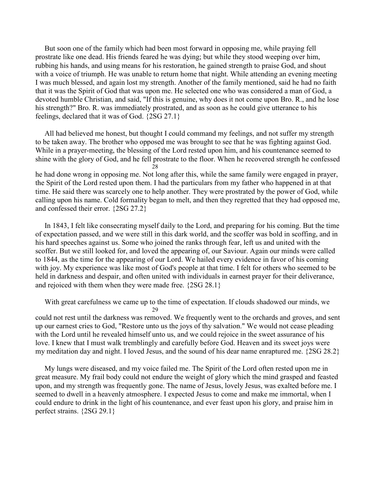But soon one of the family which had been most forward in opposing me, while praying fell prostrate like one dead. His friends feared he was dying; but while they stood weeping over him, rubbing his hands, and using means for his restoration, he gained strength to praise God, and shout with a voice of triumph. He was unable to return home that night. While attending an evening meeting I was much blessed, and again lost my strength. Another of the family mentioned, said he had no faith that it was the Spirit of God that was upon me. He selected one who was considered a man of God, a devoted humble Christian, and said, "If this is genuine, why does it not come upon Bro. R., and he lose his strength?" Bro. R. was immediately prostrated, and as soon as he could give utterance to his feelings, declared that it was of God. {2SG 27.1}

 All had believed me honest, but thought I could command my feelings, and not suffer my strength to be taken away. The brother who opposed me was brought to see that he was fighting against God. While in a prayer-meeting, the blessing of the Lord rested upon him, and his countenance seemed to shine with the glory of God, and he fell prostrate to the floor. When he recovered strength he confessed 28 he had done wrong in opposing me. Not long after this, while the same family were engaged in prayer, the Spirit of the Lord rested upon them. I had the particulars from my father who happened in at that time. He said there was scarcely one to help another. They were prostrated by the power of God, while calling upon his name. Cold formality began to melt, and then they regretted that they had opposed me, and confessed their error. {2SG 27.2}

 In 1843, I felt like consecrating myself daily to the Lord, and preparing for his coming. But the time of expectation passed, and we were still in this dark world, and the scoffer was bold in scoffing, and in his hard speeches against us. Some who joined the ranks through fear, left us and united with the scoffer. But we still looked for, and loved the appearing of, our Saviour. Again our minds were called to 1844, as the time for the appearing of our Lord. We hailed every evidence in favor of his coming with joy. My experience was like most of God's people at that time. I felt for others who seemed to be held in darkness and despair, and often united with individuals in earnest prayer for their deliverance, and rejoiced with them when they were made free. {2SG 28.1}

With great carefulness we came up to the time of expectation. If clouds shadowed our minds, we

 29 could not rest until the darkness was removed. We frequently went to the orchards and groves, and sent up our earnest cries to God, "Restore unto us the joys of thy salvation." We would not cease pleading with the Lord until he revealed himself unto us, and we could rejoice in the sweet assurance of his love. I knew that I must walk tremblingly and carefully before God. Heaven and its sweet joys were my meditation day and night. I loved Jesus, and the sound of his dear name enraptured me. {2SG 28.2}

 My lungs were diseased, and my voice failed me. The Spirit of the Lord often rested upon me in great measure. My frail body could not endure the weight of glory which the mind grasped and feasted upon, and my strength was frequently gone. The name of Jesus, lovely Jesus, was exalted before me. I seemed to dwell in a heavenly atmosphere. I expected Jesus to come and make me immortal, when I could endure to drink in the light of his countenance, and ever feast upon his glory, and praise him in perfect strains. {2SG 29.1}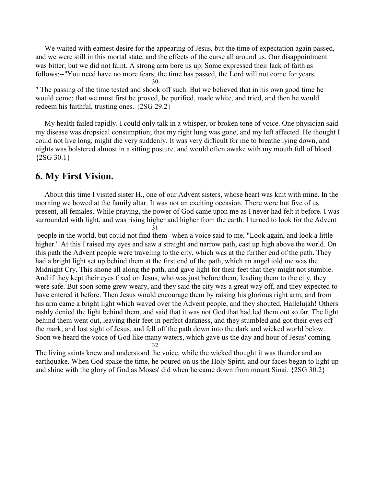We waited with earnest desire for the appearing of Jesus, but the time of expectation again passed, and we were still in this mortal state, and the effects of the curse all around us. Our disappointment was bitter; but we did not faint. A strong arm bore us up. Some expressed their lack of faith as follows:--"You need have no more fears; the time has passed, the Lord will not come for years. 30

" The passing of the time tested and shook off such. But we believed that in his own good time he would come; that we must first be proved, be purified, made white, and tried, and then he would redeem his faithful, trusting ones. {2SG 29.2}

 My health failed rapidly. I could only talk in a whisper, or broken tone of voice. One physician said my disease was dropsical consumption; that my right lung was gone, and my left affected. He thought I could not live long, might die very suddenly. It was very difficult for me to breathe lying down, and nights was bolstered almost in a sitting posture, and would often awake with my mouth full of blood.  ${2SG 30.1}$ 

#### **6. My First Vision.**

 About this time I visited sister H., one of our Advent sisters, whose heart was knit with mine. In the morning we bowed at the family altar. It was not an exciting occasion. There were but five of us present, all females. While praying, the power of God came upon me as I never had felt it before. I was surrounded with light, and was rising higher and higher from the earth. I turned to look for the Advent 31

 people in the world, but could not find them--when a voice said to me, "Look again, and look a little higher." At this I raised my eyes and saw a straight and narrow path, cast up high above the world. On this path the Advent people were traveling to the city, which was at the further end of the path. They had a bright light set up behind them at the first end of the path, which an angel told me was the Midnight Cry. This shone all along the path, and gave light for their feet that they might not stumble. And if they kept their eyes fixed on Jesus, who was just before them, leading them to the city, they were safe. But soon some grew weary, and they said the city was a great way off, and they expected to have entered it before. Then Jesus would encourage them by raising his glorious right arm, and from his arm came a bright light which waved over the Advent people, and they shouted, Hallelujah! Others rashly denied the light behind them, and said that it was not God that had led them out so far. The light behind them went out, leaving their feet in perfect darkness, and they stumbled and got their eyes off the mark, and lost sight of Jesus, and fell off the path down into the dark and wicked world below. Soon we heard the voice of God like many waters, which gave us the day and hour of Jesus' coming. 32

The living saints knew and understood the voice, while the wicked thought it was thunder and an earthquake. When God spake the time, he poured on us the Holy Spirit, and our faces began to light up and shine with the glory of God as Moses' did when he came down from mount Sinai. {2SG 30.2}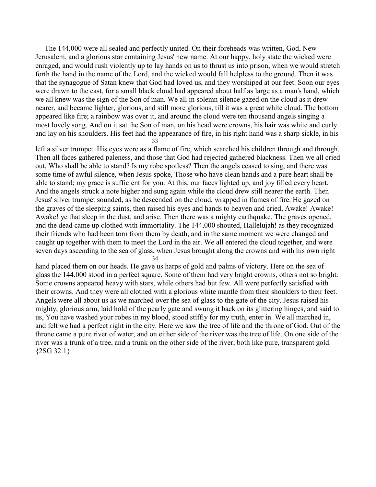The 144,000 were all sealed and perfectly united. On their foreheads was written, God, New Jerusalem, and a glorious star containing Jesus' new name. At our happy, holy state the wicked were enraged, and would rush violently up to lay hands on us to thrust us into prison, when we would stretch forth the hand in the name of the Lord, and the wicked would fall helpless to the ground. Then it was that the synagogue of Satan knew that God had loved us, and they worshiped at our feet. Soon our eyes were drawn to the east, for a small black cloud had appeared about half as large as a man's hand, which we all knew was the sign of the Son of man. We all in solemn silence gazed on the cloud as it drew nearer, and became lighter, glorious, and still more glorious, till it was a great white cloud. The bottom appeared like fire; a rainbow was over it, and around the cloud were ten thousand angels singing a most lovely song. And on it sat the Son of man, on his head were crowns, his hair was white and curly and lay on his shoulders. His feet had the appearance of fire, in his right hand was a sharp sickle, in his 33

left a silver trumpet. His eyes were as a flame of fire, which searched his children through and through. Then all faces gathered paleness, and those that God had rejected gathered blackness. Then we all cried out, Who shall be able to stand? Is my robe spotless? Then the angels ceased to sing, and there was some time of awful silence, when Jesus spoke, Those who have clean hands and a pure heart shall be able to stand; my grace is sufficient for you. At this, our faces lighted up, and joy filled every heart. And the angels struck a note higher and sung again while the cloud drew still nearer the earth. Then Jesus' silver trumpet sounded, as he descended on the cloud, wrapped in flames of fire. He gazed on the graves of the sleeping saints, then raised his eyes and hands to heaven and cried, Awake! Awake! Awake! ye that sleep in the dust, and arise. Then there was a mighty earthquake. The graves opened, and the dead came up clothed with immortality. The 144,000 shouted, Hallelujah! as they recognized their friends who had been torn from them by death, and in the same moment we were changed and caught up together with them to meet the Lord in the air. We all entered the cloud together, and were seven days ascending to the sea of glass, when Jesus brought along the crowns and with his own right 34

hand placed them on our heads. He gave us harps of gold and palms of victory. Here on the sea of glass the 144,000 stood in a perfect square. Some of them had very bright crowns, others not so bright. Some crowns appeared heavy with stars, while others had but few. All were perfectly satisfied with their crowns. And they were all clothed with a glorious white mantle from their shoulders to their feet. Angels were all about us as we marched over the sea of glass to the gate of the city. Jesus raised his mighty, glorious arm, laid hold of the pearly gate and swung it back on its glittering hinges, and said to us, You have washed your robes in my blood, stood stiffly for my truth, enter in. We all marched in, and felt we had a perfect right in the city. Here we saw the tree of life and the throne of God. Out of the throne came a pure river of water, and on either side of the river was the tree of life. On one side of the river was a trunk of a tree, and a trunk on the other side of the river, both like pure, transparent gold.  ${2SG}$  32.1}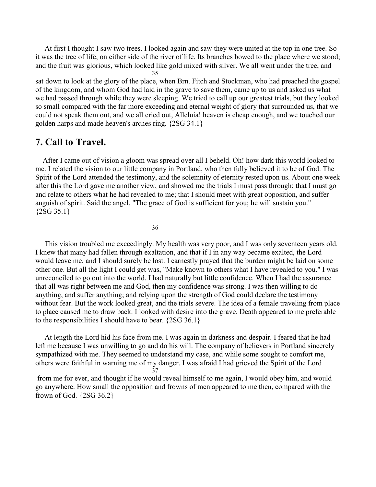At first I thought I saw two trees. I looked again and saw they were united at the top in one tree. So it was the tree of life, on either side of the river of life. Its branches bowed to the place where we stood; and the fruit was glorious, which looked like gold mixed with silver. We all went under the tree, and 35

sat down to look at the glory of the place, when Brn. Fitch and Stockman, who had preached the gospel of the kingdom, and whom God had laid in the grave to save them, came up to us and asked us what we had passed through while they were sleeping. We tried to call up our greatest trials, but they looked so small compared with the far more exceeding and eternal weight of glory that surrounded us, that we could not speak them out, and we all cried out, Alleluia! heaven is cheap enough, and we touched our golden harps and made heaven's arches ring. {2SG 34.1}

#### **7. Call to Travel.**

 After I came out of vision a gloom was spread over all I beheld. Oh! how dark this world looked to me. I related the vision to our little company in Portland, who then fully believed it to be of God. The Spirit of the Lord attended the testimony, and the solemnity of eternity rested upon us. About one week after this the Lord gave me another view, and showed me the trials I must pass through; that I must go and relate to others what he had revealed to me; that I should meet with great opposition, and suffer anguish of spirit. Said the angel, "The grace of God is sufficient for you; he will sustain you."  ${2SG}$  35.1}

36

 This vision troubled me exceedingly. My health was very poor, and I was only seventeen years old. I knew that many had fallen through exaltation, and that if I in any way became exalted, the Lord would leave me, and I should surely be lost. I earnestly prayed that the burden might be laid on some other one. But all the light I could get was, "Make known to others what I have revealed to you." I was unreconciled to go out into the world. I had naturally but little confidence. When I had the assurance that all was right between me and God, then my confidence was strong. I was then willing to do anything, and suffer anything; and relying upon the strength of God could declare the testimony without fear. But the work looked great, and the trials severe. The idea of a female traveling from place to place caused me to draw back. I looked with desire into the grave. Death appeared to me preferable to the responsibilities I should have to bear. {2SG 36.1}

 At length the Lord hid his face from me. I was again in darkness and despair. I feared that he had left me because I was unwilling to go and do his will. The company of believers in Portland sincerely sympathized with me. They seemed to understand my case, and while some sought to comfort me, others were faithful in warning me of my danger. I was afraid I had grieved the Spirit of the Lord 37

 from me for ever, and thought if he would reveal himself to me again, I would obey him, and would go anywhere. How small the opposition and frowns of men appeared to me then, compared with the frown of God. {2SG 36.2}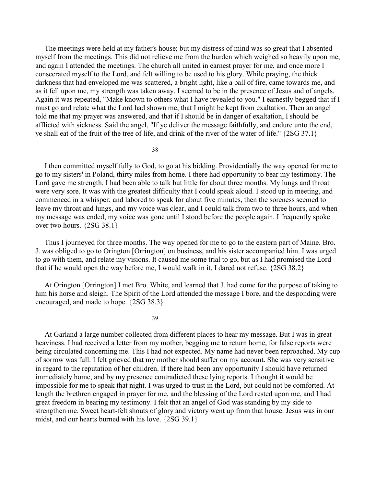The meetings were held at my father's house; but my distress of mind was so great that I absented myself from the meetings. This did not relieve me from the burden which weighed so heavily upon me, and again I attended the meetings. The church all united in earnest prayer for me, and once more I consecrated myself to the Lord, and felt willing to be used to his glory. While praying, the thick darkness that had enveloped me was scattered, a bright light, like a ball of fire, came towards me, and as it fell upon me, my strength was taken away. I seemed to be in the presence of Jesus and of angels. Again it was repeated, "Make known to others what I have revealed to you." I earnestly begged that if I must go and relate what the Lord had shown me, that I might be kept from exaltation. Then an angel told me that my prayer was answered, and that if I should be in danger of exaltation, I should be afflicted with sickness. Said the angel, "If ye deliver the message faithfully, and endure unto the end, ye shall eat of the fruit of the tree of life, and drink of the river of the water of life." {2SG 37.1}

38

 I then committed myself fully to God, to go at his bidding. Providentially the way opened for me to go to my sisters' in Poland, thirty miles from home. I there had opportunity to bear my testimony. The Lord gave me strength. I had been able to talk but little for about three months. My lungs and throat were very sore. It was with the greatest difficulty that I could speak aloud. I stood up in meeting, and commenced in a whisper; and labored to speak for about five minutes, then the soreness seemed to leave my throat and lungs, and my voice was clear, and I could talk from two to three hours, and when my message was ended, my voice was gone until I stood before the people again. I frequently spoke over two hours. {2SG 38.1}

 Thus I journeyed for three months. The way opened for me to go to the eastern part of Maine. Bro. J. was obliged to go to Orington [Orrington] on business, and his sister accompanied him. I was urged to go with them, and relate my visions. It caused me some trial to go, but as I had promised the Lord that if he would open the way before me, I would walk in it, I dared not refuse. {2SG 38.2}

 At Orington [Orrington] I met Bro. White, and learned that J. had come for the purpose of taking to him his horse and sleigh. The Spirit of the Lord attended the message I bore, and the desponding were encouraged, and made to hope. {2SG 38.3}

39

 At Garland a large number collected from different places to hear my message. But I was in great heaviness. I had received a letter from my mother, begging me to return home, for false reports were being circulated concerning me. This I had not expected. My name had never been reproached. My cup of sorrow was full. I felt grieved that my mother should suffer on my account. She was very sensitive in regard to the reputation of her children. If there had been any opportunity I should have returned immediately home, and by my presence contradicted these lying reports. I thought it would be impossible for me to speak that night. I was urged to trust in the Lord, but could not be comforted. At length the brethren engaged in prayer for me, and the blessing of the Lord rested upon me, and I had great freedom in bearing my testimony. I felt that an angel of God was standing by my side to strengthen me. Sweet heart-felt shouts of glory and victory went up from that house. Jesus was in our midst, and our hearts burned with his love. {2SG 39.1}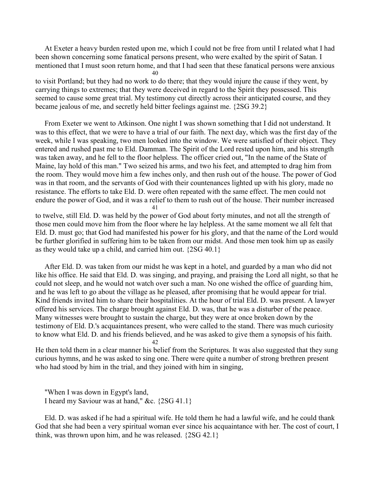At Exeter a heavy burden rested upon me, which I could not be free from until I related what I had been shown concerning some fanatical persons present, who were exalted by the spirit of Satan. I mentioned that I must soon return home, and that I had seen that these fanatical persons were anxious 40

to visit Portland; but they had no work to do there; that they would injure the cause if they went, by carrying things to extremes; that they were deceived in regard to the Spirit they possessed. This seemed to cause some great trial. My testimony cut directly across their anticipated course, and they became jealous of me, and secretly held bitter feelings against me. {2SG 39.2}

 From Exeter we went to Atkinson. One night I was shown something that I did not understand. It was to this effect, that we were to have a trial of our faith. The next day, which was the first day of the week, while I was speaking, two men looked into the window. We were satisfied of their object. They entered and rushed past me to Eld. Damman. The Spirit of the Lord rested upon him, and his strength was taken away, and he fell to the floor helpless. The officer cried out, "In the name of the State of Maine, lay hold of this man." Two seized his arms, and two his feet, and attempted to drag him from the room. They would move him a few inches only, and then rush out of the house. The power of God was in that room, and the servants of God with their countenances lighted up with his glory, made no resistance. The efforts to take Eld. D. were often repeated with the same effect. The men could not endure the power of God, and it was a relief to them to rush out of the house. Their number increased 41

to twelve, still Eld. D. was held by the power of God about forty minutes, and not all the strength of those men could move him from the floor where he lay helpless. At the same moment we all felt that Eld. D. must go; that God had manifested his power for his glory, and that the name of the Lord would be further glorified in suffering him to be taken from our midst. And those men took him up as easily as they would take up a child, and carried him out. {2SG 40.1}

 After Eld. D. was taken from our midst he was kept in a hotel, and guarded by a man who did not like his office. He said that Eld. D. was singing, and praying, and praising the Lord all night, so that he could not sleep, and he would not watch over such a man. No one wished the office of guarding him, and he was left to go about the village as he pleased, after promising that he would appear for trial. Kind friends invited him to share their hospitalities. At the hour of trial Eld. D. was present. A lawyer offered his services. The charge brought against Eld. D. was, that he was a disturber of the peace. Many witnesses were brought to sustain the charge, but they were at once broken down by the testimony of Eld. D.'s acquaintances present, who were called to the stand. There was much curiosity to know what Eld. D. and his friends believed, and he was asked to give them a synopsis of his faith.

He then told them in a clear manner his belief from the Scriptures. It was also suggested that they sung curious hymns, and he was asked to sing one. There were quite a number of strong brethren present who had stood by him in the trial, and they joined with him in singing,

 "When I was down in Egypt's land, I heard my Saviour was at hand," &c. {2SG 41.1}

42

 Eld. D. was asked if he had a spiritual wife. He told them he had a lawful wife, and he could thank God that she had been a very spiritual woman ever since his acquaintance with her. The cost of court, I think, was thrown upon him, and he was released. {2SG 42.1}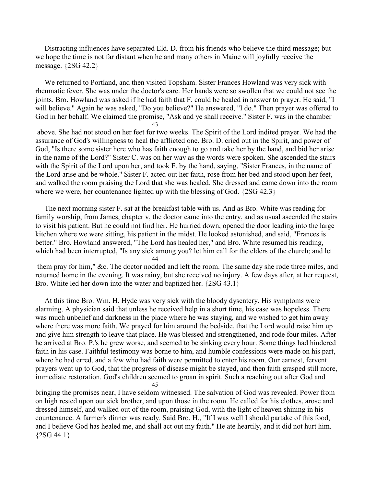Distracting influences have separated Eld. D. from his friends who believe the third message; but we hope the time is not far distant when he and many others in Maine will joyfully receive the message. {2SG 42.2}

 We returned to Portland, and then visited Topsham. Sister Frances Howland was very sick with rheumatic fever. She was under the doctor's care. Her hands were so swollen that we could not see the joints. Bro. Howland was asked if he had faith that F. could be healed in answer to prayer. He said, "I will believe." Again he was asked, "Do you believe?" He answered, "I do." Then prayer was offered to God in her behalf. We claimed the promise, "Ask and ye shall receive." Sister F. was in the chamber 43

 above. She had not stood on her feet for two weeks. The Spirit of the Lord indited prayer. We had the assurance of God's willingness to heal the afflicted one. Bro. D. cried out in the Spirit, and power of God, "Is there some sister here who has faith enough to go and take her by the hand, and bid her arise in the name of the Lord?" Sister C. was on her way as the words were spoken. She ascended the stairs with the Spirit of the Lord upon her, and took F. by the hand, saying, "Sister Frances, in the name of the Lord arise and be whole." Sister F. acted out her faith, rose from her bed and stood upon her feet, and walked the room praising the Lord that she was healed. She dressed and came down into the room where we were, her countenance lighted up with the blessing of God.  $\{2SG\,42.3\}$ 

 The next morning sister F. sat at the breakfast table with us. And as Bro. White was reading for family worship, from James, chapter y, the doctor came into the entry, and as usual ascended the stairs to visit his patient. But he could not find her. He hurried down, opened the door leading into the large kitchen where we were sitting, his patient in the midst. He looked astonished, and said, "Frances is better." Bro. Howland answered, "The Lord has healed her," and Bro. White resumed his reading, which had been interrupted, "Is any sick among you? let him call for the elders of the church; and let 44

 them pray for him," &c. The doctor nodded and left the room. The same day she rode three miles, and returned home in the evening. It was rainy, but she received no injury. A few days after, at her request, Bro. White led her down into the water and baptized her. {2SG 43.1}

 At this time Bro. Wm. H. Hyde was very sick with the bloody dysentery. His symptoms were alarming. A physician said that unless he received help in a short time, his case was hopeless. There was much unbelief and darkness in the place where he was staying, and we wished to get him away where there was more faith. We prayed for him around the bedside, that the Lord would raise him up and give him strength to leave that place. He was blessed and strengthened, and rode four miles. After he arrived at Bro. P.'s he grew worse, and seemed to be sinking every hour. Some things had hindered faith in his case. Faithful testimony was borne to him, and humble confessions were made on his part, where he had erred, and a few who had faith were permitted to enter his room. Our earnest, fervent prayers went up to God, that the progress of disease might be stayed, and then faith grasped still more, immediate restoration. God's children seemed to groan in spirit. Such a reaching out after God and 45

bringing the promises near, I have seldom witnessed. The salvation of God was revealed. Power from on high rested upon our sick brother, and upon those in the room. He called for his clothes, arose and dressed himself, and walked out of the room, praising God, with the light of heaven shining in his countenance. A farmer's dinner was ready. Said Bro. H., "If I was well I should partake of this food, and I believe God has healed me, and shall act out my faith." He ate heartily, and it did not hurt him.  ${2SG 44.1}$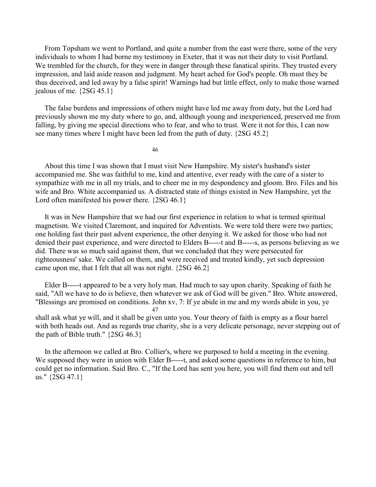From Topsham we went to Portland, and quite a number from the east were there, some of the very individuals to whom I had borne my testimony in Exeter, that it was not their duty to visit Portland. We trembled for the church, for they were in danger through these fanatical spirits. They trusted every impression, and laid aside reason and judgment. My heart ached for God's people. Oh must they be thus deceived, and led away by a false spirit! Warnings had but little effect, only to make those warned jealous of me.  ${2SG\,45.1}$ 

 The false burdens and impressions of others might have led me away from duty, but the Lord had previously shown me my duty where to go, and, although young and inexperienced, preserved me from falling, by giving me special directions who to fear, and who to trust. Were it not for this, I can now see many times where I might have been led from the path of duty. {2SG 45.2}

46

 About this time I was shown that I must visit New Hampshire. My sister's husband's sister accompanied me. She was faithful to me, kind and attentive, ever ready with the care of a sister to sympathize with me in all my trials, and to cheer me in my despondency and gloom. Bro. Files and his wife and Bro. White accompanied us. A distracted state of things existed in New Hampshire, yet the Lord often manifested his power there.  ${2SG\,46.1}$ 

 It was in New Hampshire that we had our first experience in relation to what is termed spiritual magnetism. We visited Claremont, and inquired for Adventists. We were told there were two parties; one holding fast their past advent experience, the other denying it. We asked for those who had not denied their past experience, and were directed to Elders B-----t and B-----s, as persons believing as we did. There was so much said against them, that we concluded that they were persecuted for righteousness' sake. We called on them, and were received and treated kindly, yet such depression came upon me, that I felt that all was not right. {2SG 46.2}

 Elder B-----t appeared to be a very holy man. Had much to say upon charity. Speaking of faith he said, "All we have to do is believe, then whatever we ask of God will be given." Bro. White answered, "Blessings are promised on conditions. John xv, 7: If ye abide in me and my words abide in you, ye 47

shall ask what ye will, and it shall be given unto you. Your theory of faith is empty as a flour barrel with both heads out. And as regards true charity, she is a very delicate personage, never stepping out of the path of Bible truth." {2SG 46.3}

 In the afternoon we called at Bro. Collier's, where we purposed to hold a meeting in the evening. We supposed they were in union with Elder B-----t, and asked some questions in reference to him, but could get no information. Said Bro. C., "If the Lord has sent you here, you will find them out and tell us."  ${2SG 47.1}$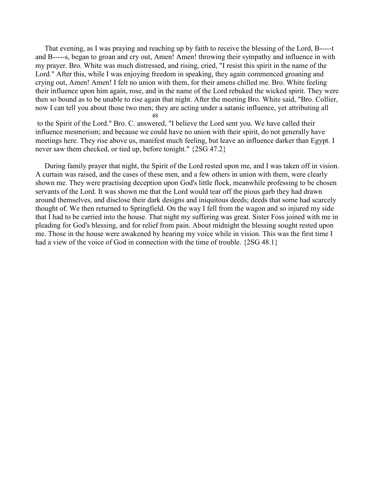That evening, as I was praying and reaching up by faith to receive the blessing of the Lord, B-----t and B-----s, began to groan and cry out, Amen! Amen! throwing their sympathy and influence in with my prayer. Bro. White was much distressed, and rising, cried, "I resist this spirit in the name of the Lord." After this, while I was enjoying freedom in speaking, they again commenced groaning and crying out, Amen! Amen! I felt no union with them, for their amens chilled me. Bro. White feeling their influence upon him again, rose, and in the name of the Lord rebuked the wicked spirit. They were then so bound as to be unable to rise again that night. After the meeting Bro. White said, "Bro. Collier, now I can tell you about those two men; they are acting under a satanic influence, yet attributing all

 48 to the Spirit of the Lord." Bro. C. answered, "I believe the Lord sent you. We have called their influence mesmerism; and because we could have no union with their spirit, do not generally have meetings here. They rise above us, manifest much feeling, but leave an influence darker than Egypt. I never saw them checked, or tied up, before tonight." {2SG 47.2}

 During family prayer that night, the Spirit of the Lord rested upon me, and I was taken off in vision. A curtain was raised, and the cases of these men, and a few others in union with them, were clearly shown me. They were practising deception upon God's little flock, meanwhile professing to be chosen servants of the Lord. It was shown me that the Lord would tear off the pious garb they had drawn around themselves, and disclose their dark designs and iniquitous deeds; deeds that some had scarcely thought of. We then returned to Springfield. On the way I fell from the wagon and so injured my side that I had to be carried into the house. That night my suffering was great. Sister Foss joined with me in pleading for God's blessing, and for relief from pain. About midnight the blessing sought rested upon me. Those in the house were awakened by hearing my voice while in vision. This was the first time I had a view of the voice of God in connection with the time of trouble. {2SG 48.1}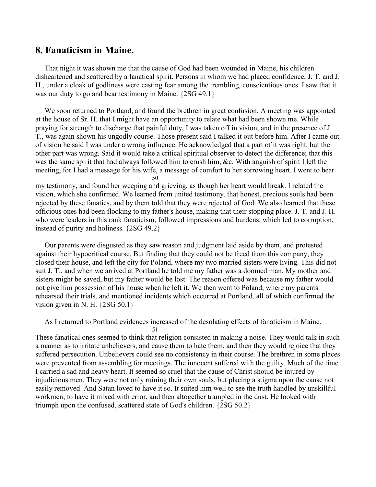#### **8. Fanaticism in Maine.**

 That night it was shown me that the cause of God had been wounded in Maine, his children disheartened and scattered by a fanatical spirit. Persons in whom we had placed confidence, J. T. and J. H., under a cloak of godliness were casting fear among the trembling, conscientious ones. I saw that it was our duty to go and bear testimony in Maine. {2SG 49.1}

 We soon returned to Portland, and found the brethren in great confusion. A meeting was appointed at the house of Sr. H. that I might have an opportunity to relate what had been shown me. While praying for strength to discharge that painful duty, I was taken off in vision, and in the presence of J. T., was again shown his ungodly course. Those present said I talked it out before him. After I came out of vision he said I was under a wrong influence. He acknowledged that a part of it was right, but the other part was wrong. Said it would take a critical spiritual observer to detect the difference; that this was the same spirit that had always followed him to crush him, &c. With anguish of spirit I left the meeting, for I had a message for his wife, a message of comfort to her sorrowing heart. I went to bear 50

my testimony, and found her weeping and grieving, as though her heart would break. I related the vision, which she confirmed. We learned from united testimony, that honest, precious souls had been rejected by these fanatics, and by them told that they were rejected of God. We also learned that these officious ones had been flocking to my father's house, making that their stopping place. J. T. and J. H. who were leaders in this rank fanaticism, followed impressions and burdens, which led to corruption, instead of purity and holiness. {2SG 49.2}

 Our parents were disgusted as they saw reason and judgment laid aside by them, and protested against their hypocritical course. But finding that they could not be freed from this company, they closed their house, and left the city for Poland, where my two married sisters were living. This did not suit J. T., and when we arrived at Portland he told me my father was a doomed man. My mother and sisters might be saved, but my father would be lost. The reason offered was because my father would not give him possession of his house when he left it. We then went to Poland, where my parents rehearsed their trials, and mentioned incidents which occurred at Portland, all of which confirmed the vision given in N. H.  $\{2SG 50.1\}$ 

As I returned to Portland evidences increased of the desolating effects of fanaticism in Maine.

51

These fanatical ones seemed to think that religion consisted in making a noise. They would talk in such a manner as to irritate unbelievers, and cause them to hate them, and then they would rejoice that they suffered persecution. Unbelievers could see no consistency in their course. The brethren in some places were prevented from assembling for meetings. The innocent suffered with the guilty. Much of the time I carried a sad and heavy heart. It seemed so cruel that the cause of Christ should be injured by injudicious men. They were not only ruining their own souls, but placing a stigma upon the cause not easily removed. And Satan loved to have it so. It suited him well to see the truth handled by unskillful workmen; to have it mixed with error, and then altogether trampled in the dust. He looked with triumph upon the confused, scattered state of God's children. {2SG 50.2}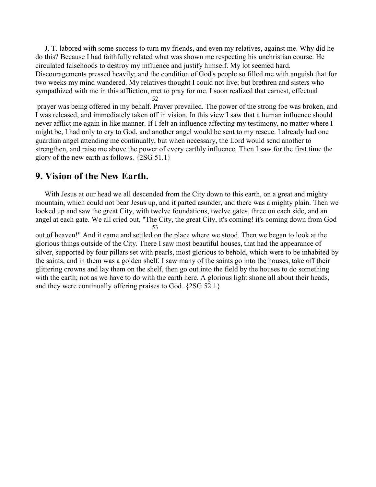J. T. labored with some success to turn my friends, and even my relatives, against me. Why did he do this? Because I had faithfully related what was shown me respecting his unchristian course. He circulated falsehoods to destroy my influence and justify himself. My lot seemed hard. Discouragements pressed heavily; and the condition of God's people so filled me with anguish that for two weeks my mind wandered. My relatives thought I could not live; but brethren and sisters who sympathized with me in this affliction, met to pray for me. I soon realized that earnest, effectual

52

 prayer was being offered in my behalf. Prayer prevailed. The power of the strong foe was broken, and I was released, and immediately taken off in vision. In this view I saw that a human influence should never afflict me again in like manner. If I felt an influence affecting my testimony, no matter where I might be, I had only to cry to God, and another angel would be sent to my rescue. I already had one guardian angel attending me continually, but when necessary, the Lord would send another to strengthen, and raise me above the power of every earthly influence. Then I saw for the first time the glory of the new earth as follows. {2SG 51.1}

# **9. Vision of the New Earth.**

With Jesus at our head we all descended from the City down to this earth, on a great and mighty mountain, which could not bear Jesus up, and it parted asunder, and there was a mighty plain. Then we looked up and saw the great City, with twelve foundations, twelve gates, three on each side, and an angel at each gate. We all cried out, "The City, the great City, it's coming! it's coming down from God 53

out of heaven!" And it came and settled on the place where we stood. Then we began to look at the glorious things outside of the City. There I saw most beautiful houses, that had the appearance of silver, supported by four pillars set with pearls, most glorious to behold, which were to be inhabited by the saints, and in them was a golden shelf. I saw many of the saints go into the houses, take off their glittering crowns and lay them on the shelf, then go out into the field by the houses to do something with the earth; not as we have to do with the earth here. A glorious light shone all about their heads, and they were continually offering praises to God. {2SG 52.1}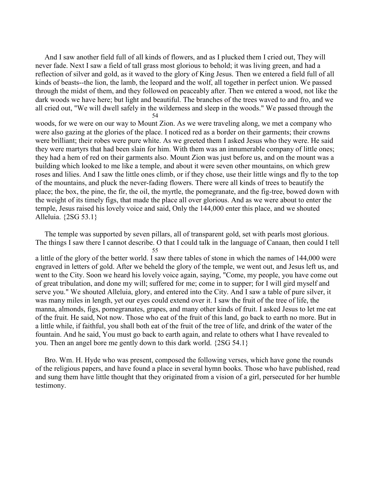And I saw another field full of all kinds of flowers, and as I plucked them I cried out, They will never fade. Next I saw a field of tall grass most glorious to behold; it was living green, and had a reflection of silver and gold, as it waved to the glory of King Jesus. Then we entered a field full of all kinds of beasts--the lion, the lamb, the leopard and the wolf, all together in perfect union. We passed through the midst of them, and they followed on peaceably after. Then we entered a wood, not like the dark woods we have here; but light and beautiful. The branches of the trees waved to and fro, and we all cried out, "We will dwell safely in the wilderness and sleep in the woods." We passed through the

 54 woods, for we were on our way to Mount Zion. As we were traveling along, we met a company who were also gazing at the glories of the place. I noticed red as a border on their garments; their crowns were brilliant; their robes were pure white. As we greeted them I asked Jesus who they were. He said they were martyrs that had been slain for him. With them was an innumerable company of little ones; they had a hem of red on their garments also. Mount Zion was just before us, and on the mount was a building which looked to me like a temple, and about it were seven other mountains, on which grew roses and lilies. And I saw the little ones climb, or if they chose, use their little wings and fly to the top of the mountains, and pluck the never-fading flowers. There were all kinds of trees to beautify the place; the box, the pine, the fir, the oil, the myrtle, the pomegranate, and the fig-tree, bowed down with the weight of its timely figs, that made the place all over glorious. And as we were about to enter the temple, Jesus raised his lovely voice and said, Only the 144,000 enter this place, and we shouted Alleluia. {2SG 53.1}

 The temple was supported by seven pillars, all of transparent gold, set with pearls most glorious. The things I saw there I cannot describe. O that I could talk in the language of Canaan, then could I tell 55

a little of the glory of the better world. I saw there tables of stone in which the names of 144,000 were engraved in letters of gold. After we beheld the glory of the temple, we went out, and Jesus left us, and went to the City. Soon we heard his lovely voice again, saying, "Come, my people, you have come out of great tribulation, and done my will; suffered for me; come in to supper; for I will gird myself and serve you." We shouted Alleluia, glory, and entered into the City. And I saw a table of pure silver, it was many miles in length, yet our eyes could extend over it. I saw the fruit of the tree of life, the manna, almonds, figs, pomegranates, grapes, and many other kinds of fruit. I asked Jesus to let me eat of the fruit. He said, Not now. Those who eat of the fruit of this land, go back to earth no more. But in a little while, if faithful, you shall both eat of the fruit of the tree of life, and drink of the water of the fountain. And he said, You must go back to earth again, and relate to others what I have revealed to you. Then an angel bore me gently down to this dark world. {2SG 54.1}

 Bro. Wm. H. Hyde who was present, composed the following verses, which have gone the rounds of the religious papers, and have found a place in several hymn books. Those who have published, read and sung them have little thought that they originated from a vision of a girl, persecuted for her humble testimony.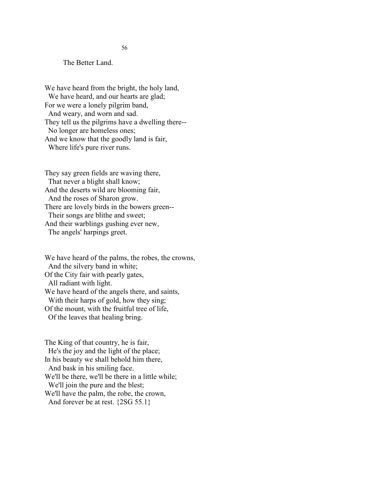The Better Land.

 We have heard from the bright, the holy land, We have heard, and our hearts are glad; For we were a lonely pilgrim band, And weary, and worn and sad. They tell us the pilgrims have a dwelling there-- No longer are homeless ones; And we know that the goodly land is fair, Where life's pure river runs.

 They say green fields are waving there, That never a blight shall know; And the deserts wild are blooming fair, And the roses of Sharon grow. There are lovely birds in the bowers green-- Their songs are blithe and sweet; And their warblings gushing ever new, The angels' harpings greet.

 We have heard of the palms, the robes, the crowns, And the silvery band in white; Of the City fair with pearly gates, All radiant with light. We have heard of the angels there, and saints, With their harps of gold, how they sing; Of the mount, with the fruitful tree of life, Of the leaves that healing bring.

 The King of that country, he is fair, He's the joy and the light of the place; In his beauty we shall behold him there, And bask in his smiling face. We'll be there, we'll be there in a little while; We'll join the pure and the blest; We'll have the palm, the robe, the crown, And forever be at rest. {2SG 55.1}

56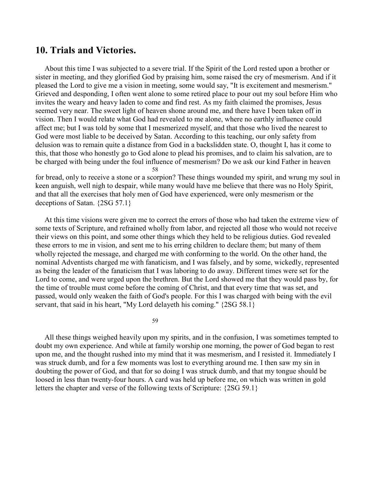#### **10. Trials and Victories.**

 About this time I was subjected to a severe trial. If the Spirit of the Lord rested upon a brother or sister in meeting, and they glorified God by praising him, some raised the cry of mesmerism. And if it pleased the Lord to give me a vision in meeting, some would say, "It is excitement and mesmerism." Grieved and desponding, I often went alone to some retired place to pour out my soul before Him who invites the weary and heavy laden to come and find rest. As my faith claimed the promises, Jesus seemed very near. The sweet light of heaven shone around me, and there have I been taken off in vision. Then I would relate what God had revealed to me alone, where no earthly influence could affect me; but I was told by some that I mesmerized myself, and that those who lived the nearest to God were most liable to be deceived by Satan. According to this teaching, our only safety from delusion was to remain quite a distance from God in a backslidden state. O, thought I, has it come to this, that those who honestly go to God alone to plead his promises, and to claim his salvation, are to be charged with being under the foul influence of mesmerism? Do we ask our kind Father in heaven 58

for bread, only to receive a stone or a scorpion? These things wounded my spirit, and wrung my soul in keen anguish, well nigh to despair, while many would have me believe that there was no Holy Spirit, and that all the exercises that holy men of God have experienced, were only mesmerism or the deceptions of Satan. {2SG 57.1}

 At this time visions were given me to correct the errors of those who had taken the extreme view of some texts of Scripture, and refrained wholly from labor, and rejected all those who would not receive their views on this point, and some other things which they held to be religious duties. God revealed these errors to me in vision, and sent me to his erring children to declare them; but many of them wholly rejected the message, and charged me with conforming to the world. On the other hand, the nominal Adventists charged me with fanaticism, and I was falsely, and by some, wickedly, represented as being the leader of the fanaticism that I was laboring to do away. Different times were set for the Lord to come, and were urged upon the brethren. But the Lord showed me that they would pass by, for the time of trouble must come before the coming of Christ, and that every time that was set, and passed, would only weaken the faith of God's people. For this I was charged with being with the evil servant, that said in his heart, "My Lord delayeth his coming." {2SG 58.1}

59

 All these things weighed heavily upon my spirits, and in the confusion, I was sometimes tempted to doubt my own experience. And while at family worship one morning, the power of God began to rest upon me, and the thought rushed into my mind that it was mesmerism, and I resisted it. Immediately I was struck dumb, and for a few moments was lost to everything around me. I then saw my sin in doubting the power of God, and that for so doing I was struck dumb, and that my tongue should be loosed in less than twenty-four hours. A card was held up before me, on which was written in gold letters the chapter and verse of the following texts of Scripture: {2SG 59.1}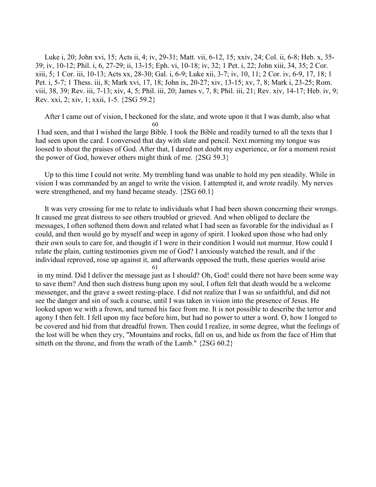Luke i, 20; John xvi, 15; Acts ii, 4; iv, 29-31; Matt. vii, 6-12, 15; xxiv, 24; Col. ii, 6-8; Heb. x, 35- 39; iv, 10-12; Phil. i, 6, 27-29; ii, 13-15; Eph. vi, 10-18; iv, 32; 1 Pet. i, 22; John xiii, 34, 35; 2 Cor. xiii, 5; 1 Cor. iii, 10-13; Acts xx, 28-30; Gal. i, 6-9; Luke xii, 3-7; iv, 10, 11; 2 Cor. iv, 6-9, 17, 18; 1 Pet. i, 5-7; 1 Thess. iii, 8; Mark xvi, 17, 18; John ix, 20-27; xiv, 13-15; xv, 7, 8; Mark i, 23-25; Rom. viii, 38, 39; Rev. iii, 7-13; xiv, 4, 5; Phil. iii, 20; James v, 7, 8; Phil. iii, 21; Rev. xiv, 14-17; Heb. iv, 9; Rev. xxi, 2; xiv, 1; xxii, 1-5. {2SG 59.2}

 After I came out of vision, I beckoned for the slate, and wrote upon it that I was dumb, also what 60 I had seen, and that I wished the large Bible. I took the Bible and readily turned to all the texts that I had seen upon the card. I conversed that day with slate and pencil. Next morning my tongue was loosed to shout the praises of God. After that, I dared not doubt my experience, or for a moment resist the power of God, however others might think of me. {2SG 59.3}

 Up to this time I could not write. My trembling hand was unable to hold my pen steadily. While in vision I was commanded by an angel to write the vision. I attempted it, and wrote readily. My nerves were strengthened, and my hand became steady. {2SG 60.1}

 It was very crossing for me to relate to individuals what I had been shown concerning their wrongs. It caused me great distress to see others troubled or grieved. And when obliged to declare the messages, I often softened them down and related what I had seen as favorable for the individual as I could, and then would go by myself and weep in agony of spirit. I looked upon those who had only their own souls to care for, and thought if I were in their condition I would not murmur. How could I relate the plain, cutting testimonies given me of God? I anxiously watched the result, and if the individual reproved, rose up against it, and afterwards opposed the truth, these queries would arise 61

in my mind. Did I deliver the message just as I should? Oh, God! could there not have been some way to save them? And then such distress hung upon my soul, I often felt that death would be a welcome messenger, and the grave a sweet resting-place. I did not realize that I was so unfaithful, and did not see the danger and sin of such a course, until I was taken in vision into the presence of Jesus. He looked upon we with a frown, and turned his face from me. It is not possible to describe the terror and agony I then felt. I fell upon my face before him, but had no power to utter a word. O, how I longed to be covered and hid from that dreadful frown. Then could I realize, in some degree, what the feelings of the lost will be when they cry, "Mountains and rocks, fall on us, and hide us from the face of Him that sitteth on the throne, and from the wrath of the Lamb." {2SG 60.2}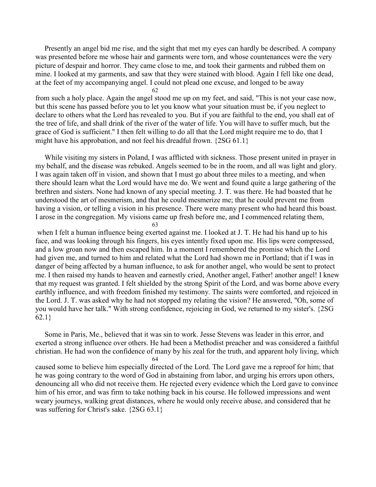Presently an angel bid me rise, and the sight that met my eyes can hardly be described. A company was presented before me whose hair and garments were torn, and whose countenances were the very picture of despair and horror. They came close to me, and took their garments and rubbed them on mine. I looked at my garments, and saw that they were stained with blood. Again I fell like one dead, at the feet of my accompanying angel. I could not plead one excuse, and longed to be away

62

from such a holy place. Again the angel stood me up on my feet, and said, "This is not your case now, but this scene has passed before you to let you know what your situation must be, if you neglect to declare to others what the Lord has revealed to you. But if you are faithful to the end, you shall eat of the tree of life, and shall drink of the river of the water of life. You will have to suffer much, but the grace of God is sufficient." I then felt willing to do all that the Lord might require me to do, that I might have his approbation, and not feel his dreadful frown. {2SG 61.1}

 While visiting my sisters in Poland, I was afflicted with sickness. Those present united in prayer in my behalf, and the disease was rebuked. Angels seemed to be in the room, and all was light and glory. I was again taken off in vision, and shown that I must go about three miles to a meeting, and when there should learn what the Lord would have me do. We went and found quite a large gathering of the brethren and sisters. None had known of any special meeting. J. T. was there. He had boasted that he understood the art of mesmerism, and that he could mesmerize me; that he could prevent me from having a vision, or telling a vision in his presence. There were many present who had heard this boast. I arose in the congregation. My visions came up fresh before me, and I commenced relating them, 63

 when I felt a human influence being exerted against me. I looked at J. T. He had his hand up to his face, and was looking through his fingers, his eyes intently fixed upon me. His lips were compressed, and a low groan now and then escaped him. In a moment I remembered the promise which the Lord had given me, and turned to him and related what the Lord had shown me in Portland; that if I was in danger of being affected by a human influence, to ask for another angel, who would be sent to protect me. I then raised my hands to heaven and earnestly cried, Another angel, Father! another angel! I knew that my request was granted. I felt shielded by the strong Spirit of the Lord, and was borne above every earthly influence, and with freedom finished my testimony. The saints were comforted, and rejoiced in the Lord. J. T. was asked why he had not stopped my relating the vision? He answered, "Oh, some of you would have her talk." With strong confidence, rejoicing in God, we returned to my sister's. {2SG 62.1}

 Some in Paris, Me., believed that it was sin to work. Jesse Stevens was leader in this error, and exerted a strong influence over others. He had been a Methodist preacher and was considered a faithful christian. He had won the confidence of many by his zeal for the truth, and apparent holy living, which 64

caused some to believe him especially directed of the Lord. The Lord gave me a reproof for him; that he was going contrary to the word of God in abstaining from labor, and urging his errors upon others, denouncing all who did not receive them. He rejected every evidence which the Lord gave to convince him of his error, and was firm to take nothing back in his course. He followed impressions and went weary journeys, walking great distances, where he would only receive abuse, and considered that he was suffering for Christ's sake. {2SG 63.1}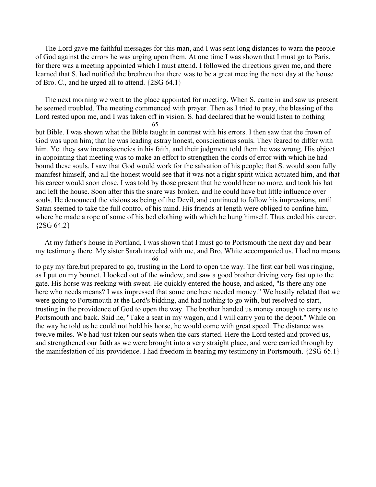The Lord gave me faithful messages for this man, and I was sent long distances to warn the people of God against the errors he was urging upon them. At one time I was shown that I must go to Paris, for there was a meeting appointed which I must attend. I followed the directions given me, and there learned that S. had notified the brethren that there was to be a great meeting the next day at the house of Bro. C., and he urged all to attend. {2SG 64.1}

 The next morning we went to the place appointed for meeting. When S. came in and saw us present he seemed troubled. The meeting commenced with prayer. Then as I tried to pray, the blessing of the Lord rested upon me, and I was taken off in vision. S. had declared that he would listen to nothing 65

but Bible. I was shown what the Bible taught in contrast with his errors. I then saw that the frown of God was upon him; that he was leading astray honest, conscientious souls. They feared to differ with him. Yet they saw inconsistencies in his faith, and their judgment told them he was wrong. His object in appointing that meeting was to make an effort to strengthen the cords of error with which he had bound these souls. I saw that God would work for the salvation of his people; that S. would soon fully manifest himself, and all the honest would see that it was not a right spirit which actuated him, and that his career would soon close. I was told by those present that he would hear no more, and took his hat and left the house. Soon after this the snare was broken, and he could have but little influence over souls. He denounced the visions as being of the Devil, and continued to follow his impressions, until Satan seemed to take the full control of his mind. His friends at length were obliged to confine him, where he made a rope of some of his bed clothing with which he hung himself. Thus ended his career. {2SG 64.2}

 At my father's house in Portland, I was shown that I must go to Portsmouth the next day and bear my testimony there. My sister Sarah traveled with me, and Bro. White accompanied us. I had no means 66

to pay my fare,but prepared to go, trusting in the Lord to open the way. The first car bell was ringing, as I put on my bonnet. I looked out of the window, and saw a good brother driving very fast up to the gate. His horse was reeking with sweat. He quickly entered the house, and asked, "Is there any one here who needs means? I was impressed that some one here needed money." We hastily related that we were going to Portsmouth at the Lord's bidding, and had nothing to go with, but resolved to start, trusting in the providence of God to open the way. The brother handed us money enough to carry us to Portsmouth and back. Said he, "Take a seat in my wagon, and I will carry you to the depot." While on the way he told us he could not hold his horse, he would come with great speed. The distance was twelve miles. We had just taken our seats when the cars started. Here the Lord tested and proved us, and strengthened our faith as we were brought into a very straight place, and were carried through by the manifestation of his providence. I had freedom in bearing my testimony in Portsmouth. {2SG 65.1}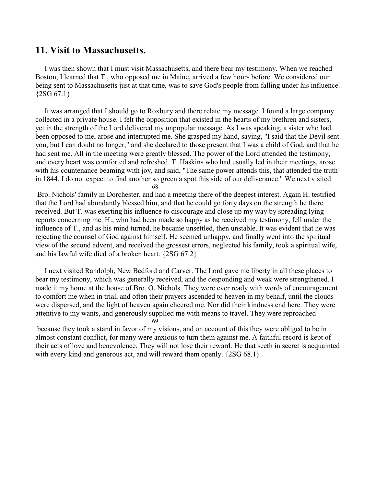#### **11. Visit to Massachusetts.**

68

 I was then shown that I must visit Massachusetts, and there bear my testimony. When we reached Boston, I learned that T., who opposed me in Maine, arrived a few hours before. We considered our being sent to Massachusetts just at that time, was to save God's people from falling under his influence.  ${2SG 67.1}$ 

 It was arranged that I should go to Roxbury and there relate my message. I found a large company collected in a private house. I felt the opposition that existed in the hearts of my brethren and sisters, yet in the strength of the Lord delivered my unpopular message. As I was speaking, a sister who had been opposed to me, arose and interrupted me. She grasped my hand, saying, "I said that the Devil sent you, but I can doubt no longer," and she declared to those present that I was a child of God, and that he had sent me. All in the meeting were greatly blessed. The power of the Lord attended the testimony, and every heart was comforted and refreshed. T. Haskins who had usually led in their meetings, arose with his countenance beaming with joy, and said, "The same power attends this, that attended the truth in 1844. I do not expect to find another so green a spot this side of our deliverance." We next visited

 Bro. Nichols' family in Dorchester, and had a meeting there of the deepest interest. Again H. testified that the Lord had abundantly blessed him, and that he could go forty days on the strength he there received. But T. was exerting his influence to discourage and close up my way by spreading lying reports concerning me. H., who had been made so happy as he received my testimony, fell under the influence of T., and as his mind turned, he became unsettled, then unstable. It was evident that he was rejecting the counsel of God against himself. He seemed unhappy, and finally went into the spiritual view of the second advent, and received the grossest errors, neglected his family, took a spiritual wife, and his lawful wife died of a broken heart. {2SG 67.2}

 I next visited Randolph, New Bedford and Carver. The Lord gave me liberty in all these places to bear my testimony, which was generally received, and the desponding and weak were strengthened. I made it my home at the house of Bro. O. Nichols. They were ever ready with words of encouragement to comfort me when in trial, and often their prayers ascended to heaven in my behalf, until the clouds were dispersed, and the light of heaven again cheered me. Nor did their kindness end here. They were attentive to my wants, and generously supplied me with means to travel. They were reproached 69

 because they took a stand in favor of my visions, and on account of this they were obliged to be in almost constant conflict, for many were anxious to turn them against me. A faithful record is kept of their acts of love and benevolence. They will not lose their reward. He that seeth in secret is acquainted with every kind and generous act, and will reward them openly. {2SG 68.1}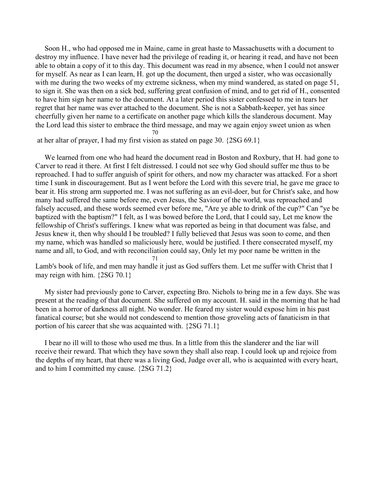Soon H., who had opposed me in Maine, came in great haste to Massachusetts with a document to destroy my influence. I have never had the privilege of reading it, or hearing it read, and have not been able to obtain a copy of it to this day. This document was read in my absence, when I could not answer for myself. As near as I can learn, H. got up the document, then urged a sister, who was occasionally with me during the two weeks of my extreme sickness, when my mind wandered, as stated on page 51, to sign it. She was then on a sick bed, suffering great confusion of mind, and to get rid of H., consented to have him sign her name to the document. At a later period this sister confessed to me in tears her regret that her name was ever attached to the document. She is not a Sabbath-keeper, yet has since cheerfully given her name to a certificate on another page which kills the slanderous document. May the Lord lead this sister to embrace the third message, and may we again enjoy sweet union as when 70

at her altar of prayer, I had my first vision as stated on page 30. {2SG 69.1}

 We learned from one who had heard the document read in Boston and Roxbury, that H. had gone to Carver to read it there. At first I felt distressed. I could not see why God should suffer me thus to be reproached. I had to suffer anguish of spirit for others, and now my character was attacked. For a short time I sunk in discouragement. But as I went before the Lord with this severe trial, he gave me grace to bear it. His strong arm supported me. I was not suffering as an evil-doer, but for Christ's sake, and how many had suffered the same before me, even Jesus, the Saviour of the world, was reproached and falsely accused, and these words seemed ever before me, "Are ye able to drink of the cup?" Can "ye be baptized with the baptism?" I felt, as I was bowed before the Lord, that I could say, Let me know the fellowship of Christ's sufferings. I knew what was reported as being in that document was false, and Jesus knew it, then why should I be troubled? I fully believed that Jesus was soon to come, and then my name, which was handled so maliciously here, would be justified. I there consecrated myself, my name and all, to God, and with reconciliation could say, Only let my poor name be written in the

71

Lamb's book of life, and men may handle it just as God suffers them. Let me suffer with Christ that I may reign with him. {2SG 70.1}

 My sister had previously gone to Carver, expecting Bro. Nichols to bring me in a few days. She was present at the reading of that document. She suffered on my account. H. said in the morning that he had been in a horror of darkness all night. No wonder. He feared my sister would expose him in his past fanatical course; but she would not condescend to mention those groveling acts of fanaticism in that portion of his career that she was acquainted with. {2SG 71.1}

 I bear no ill will to those who used me thus. In a little from this the slanderer and the liar will receive their reward. That which they have sown they shall also reap. I could look up and rejoice from the depths of my heart, that there was a living God, Judge over all, who is acquainted with every heart, and to him I committed my cause. {2SG 71.2}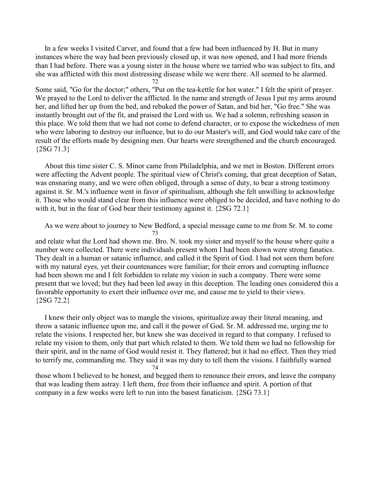In a few weeks I visited Carver, and found that a few had been influenced by H. But in many instances where the way had been previously closed up, it was now opened, and I had more friends than I had before. There was a young sister in the house where we tarried who was subject to fits, and she was afflicted with this most distressing disease while we were there. All seemed to be alarmed. 72

Some said, "Go for the doctor;" others, "Put on the tea-kettle for hot water." I felt the spirit of prayer. We prayed to the Lord to deliver the afflicted. In the name and strength of Jesus I put my arms around her, and lifted her up from the bed, and rebuked the power of Satan, and bid her, "Go free." She was instantly brought out of the fit, and praised the Lord with us. We had a solemn, refreshing season in this place. We told them that we had not come to defend character, or to expose the wickedness of men who were laboring to destroy our influence, but to do our Master's will, and God would take care of the result of the efforts made by designing men. Our hearts were strengthened and the church encouraged. {2SG 71.3}

 About this time sister C. S. Minor came from Philadelphia, and we met in Boston. Different errors were affecting the Advent people. The spiritual view of Christ's coming, that great deception of Satan, was ensnaring many, and we were often obliged, through a sense of duty, to bear a strong testimony against it. Sr. M.'s influence went in favor of spiritualism, although she felt unwilling to acknowledge it. Those who would stand clear from this influence were obliged to be decided, and have nothing to do with it, but in the fear of God bear their testimony against it. {2SG 72.1}

As we were about to journey to New Bedford, a special message came to me from Sr. M. to come 73

and relate what the Lord had shown me. Bro. N. took my sister and myself to the house where quite a number were collected. There were individuals present whom I had been shown were strong fanatics. They dealt in a human or satanic influence, and called it the Spirit of God. I had not seen them before with my natural eyes, yet their countenances were familiar; for their errors and corrupting influence had been shown me and I felt forbidden to relate my vision in such a company. There were some present that we loved; but they had been led away in this deception. The leading ones considered this a favorable opportunity to exert their influence over me, and cause me to yield to their views.  ${2SG 72.2}$ 

 I knew their only object was to mangle the visions, spiritualize away their literal meaning, and throw a satanic influence upon me, and call it the power of God. Sr. M. addressed me, urging me to relate the visions. I respected her, but knew she was deceived in regard to that company. I refused to relate my vision to them, only that part which related to them. We told them we had no fellowship for their spirit, and in the name of God would resist it. They flattered; but it had no effect. Then they tried to terrify me, commanding me. They said it was my duty to tell them the visions. I faithfully warned 74

those whom I believed to be honest, and begged them to renounce their errors, and leave the company that was leading them astray. I left them, free from their influence and spirit. A portion of that company in a few weeks were left to run into the basest fanaticism. {2SG 73.1}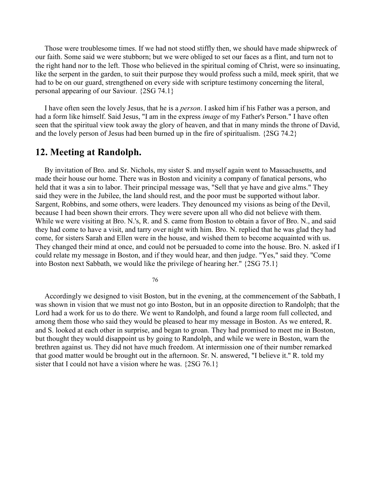Those were troublesome times. If we had not stood stiffly then, we should have made shipwreck of our faith. Some said we were stubborn; but we were obliged to set our faces as a flint, and turn not to the right hand nor to the left. Those who believed in the spiritual coming of Christ, were so insinuating, like the serpent in the garden, to suit their purpose they would profess such a mild, meek spirit, that we had to be on our guard, strengthened on every side with scripture testimony concerning the literal, personal appearing of our Saviour. {2SG 74.1}

 I have often seen the lovely Jesus, that he is a *person*. I asked him if his Father was a person, and had a form like himself. Said Jesus, "I am in the express *image* of my Father's Person." I have often seen that the spiritual view took away the glory of heaven, and that in many minds the throne of David, and the lovely person of Jesus had been burned up in the fire of spiritualism. {2SG 74.2}

#### **12. Meeting at Randolph.**

 By invitation of Bro. and Sr. Nichols, my sister S. and myself again went to Massachusetts, and made their house our home. There was in Boston and vicinity a company of fanatical persons, who held that it was a sin to labor. Their principal message was, "Sell that ye have and give alms." They said they were in the Jubilee, the land should rest, and the poor must be supported without labor. Sargent, Robbins, and some others, were leaders. They denounced my visions as being of the Devil, because I had been shown their errors. They were severe upon all who did not believe with them. While we were visiting at Bro. N.'s, R. and S. came from Boston to obtain a favor of Bro. N., and said they had come to have a visit, and tarry over night with him. Bro. N. replied that he was glad they had come, for sisters Sarah and Ellen were in the house, and wished them to become acquainted with us. They changed their mind at once, and could not be persuaded to come into the house. Bro. N. asked if I could relate my message in Boston, and if they would hear, and then judge. "Yes," said they. "Come into Boston next Sabbath, we would like the privilege of hearing her." {2SG 75.1}

76

 Accordingly we designed to visit Boston, but in the evening, at the commencement of the Sabbath, I was shown in vision that we must not go into Boston, but in an opposite direction to Randolph; that the Lord had a work for us to do there. We went to Randolph, and found a large room full collected, and among them those who said they would be pleased to hear my message in Boston. As we entered, R. and S. looked at each other in surprise, and began to groan. They had promised to meet me in Boston, but thought they would disappoint us by going to Randolph, and while we were in Boston, warn the brethren against us. They did not have much freedom. At intermission one of their number remarked that good matter would be brought out in the afternoon. Sr. N. answered, "I believe it." R. told my sister that I could not have a vision where he was. {2SG 76.1}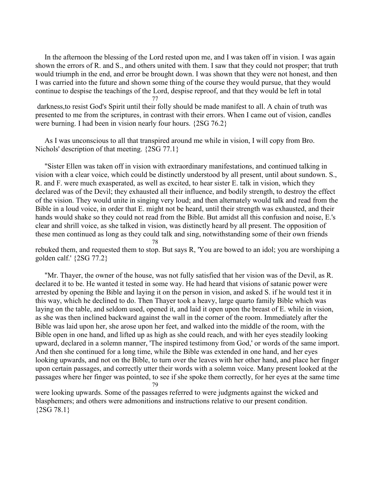In the afternoon the blessing of the Lord rested upon me, and I was taken off in vision. I was again shown the errors of R. and S., and others united with them. I saw that they could not prosper; that truth would triumph in the end, and error be brought down. I was shown that they were not honest, and then I was carried into the future and shown some thing of the course they would pursue, that they would continue to despise the teachings of the Lord, despise reproof, and that they would be left in total

 77 darkness,to resist God's Spirit until their folly should be made manifest to all. A chain of truth was presented to me from the scriptures, in contrast with their errors. When I came out of vision, candles were burning. I had been in vision nearly four hours. {2SG 76.2}

 As I was unconscious to all that transpired around me while in vision, I will copy from Bro. Nichols' description of that meeting. {2SG 77.1}

 "Sister Ellen was taken off in vision with extraordinary manifestations, and continued talking in vision with a clear voice, which could be distinctly understood by all present, until about sundown. S., R. and F. were much exasperated, as well as excited, to hear sister E. talk in vision, which they declared was of the Devil; they exhausted all their influence, and bodily strength, to destroy the effect of the vision. They would unite in singing very loud; and then alternately would talk and read from the Bible in a loud voice, in order that E. might not be heard, until their strength was exhausted, and their hands would shake so they could not read from the Bible. But amidst all this confusion and noise, E.'s clear and shrill voice, as she talked in vision, was distinctly heard by all present. The opposition of these men continued as long as they could talk and sing, notwithstanding some of their own friends 78

rebuked them, and requested them to stop. But says R, 'You are bowed to an idol; you are worshiping a golden calf.' {2SG 77.2}

 "Mr. Thayer, the owner of the house, was not fully satisfied that her vision was of the Devil, as R. declared it to be. He wanted it tested in some way. He had heard that visions of satanic power were arrested by opening the Bible and laying it on the person in vision, and asked S. if he would test it in this way, which he declined to do. Then Thayer took a heavy, large quarto family Bible which was laying on the table, and seldom used, opened it, and laid it open upon the breast of E. while in vision, as she was then inclined backward against the wall in the corner of the room. Immediately after the Bible was laid upon her, she arose upon her feet, and walked into the middle of the room, with the Bible open in one hand, and lifted up as high as she could reach, and with her eyes steadily looking upward, declared in a solemn manner, 'The inspired testimony from God,' or words of the same import. And then she continued for a long time, while the Bible was extended in one hand, and her eyes looking upwards, and not on the Bible, to turn over the leaves with her other hand, and place her finger upon certain passages, and correctly utter their words with a solemn voice. Many present looked at the passages where her finger was pointed, to see if she spoke them correctly, for her eyes at the same time 79

were looking upwards. Some of the passages referred to were judgments against the wicked and blasphemers; and others were admonitions and instructions relative to our present condition. {2SG 78.1}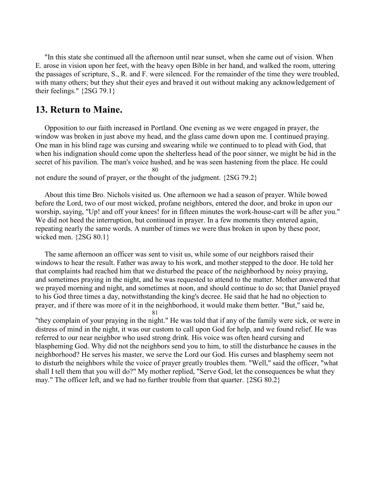"In this state she continued all the afternoon until near sunset, when she came out of vision. When E. arose in vision upon her feet, with the heavy open Bible in her hand, and walked the room, uttering the passages of scripture, S., R. and F. were silenced. For the remainder of the time they were troubled, with many others; but they shut their eyes and braved it out without making any acknowledgement of their feelings." {2SG 79.1}

#### **13. Return to Maine.**

 Opposition to our faith increased in Portland. One evening as we were engaged in prayer, the window was broken in just above my head, and the glass came down upon me. I continued praying. One man in his blind rage was cursing and swearing while we continued to to plead with God, that when his indignation should come upon the shelterless head of the poor sinner, we might be hid in the secret of his pavilion. The man's voice hushed, and he was seen hastening from the place. He could  $\frac{80}{100}$ 80

not endure the sound of prayer, or the thought of the judgment. {2SG 79.2}

 About this time Bro. Nichols visited us. One afternoon we had a season of prayer. While bowed before the Lord, two of our most wicked, profane neighbors, entered the door, and broke in upon our worship, saying, "Up! and off your knees! for in fifteen minutes the work-house-cart will be after you." We did not heed the interruption, but continued in prayer. In a few moments they entered again, repeating nearly the same words. A number of times we were thus broken in upon by these poor, wicked men. {2SG 80.1}

 The same afternoon an officer was sent to visit us, while some of our neighbors raised their windows to hear the result. Father was away to his work, and mother stepped to the door. He told her that complaints had reached him that we disturbed the peace of the neighborhood by noisy praying, and sometimes praying in the night, and he was requested to attend to the matter. Mother answered that we prayed morning and night, and sometimes at noon, and should continue to do so; that Daniel prayed to his God three times a day, notwithstanding the king's decree. He said that he had no objection to prayer, and if there was more of it in the neighborhood, it would make them better. "But," said he, 81

"they complain of your praying in the night." He was told that if any of the family were sick, or were in distress of mind in the night, it was our custom to call upon God for help, and we found relief. He was referred to our near neighbor who used strong drink. His voice was often heard cursing and blaspheming God. Why did not the neighbors send you to him, to still the disturbance he causes in the neighborhood? He serves his master, we serve the Lord our God. His curses and blasphemy seem not to disturb the neighbors while the voice of prayer greatly troubles them. "Well," said the officer, "what shall I tell them that you will do?" My mother replied, "Serve God, let the consequences be what they may." The officer left, and we had no further trouble from that quarter. {2SG 80.2}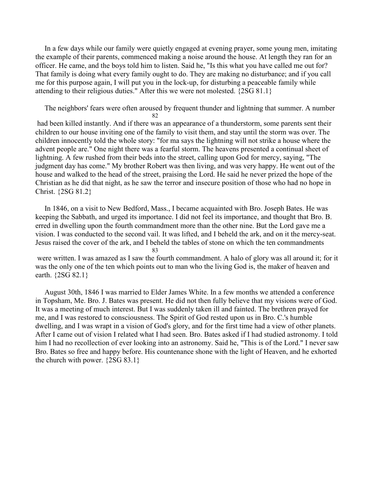In a few days while our family were quietly engaged at evening prayer, some young men, imitating the example of their parents, commenced making a noise around the house. At length they ran for an officer. He came, and the boys told him to listen. Said he, "Is this what you have called me out for? That family is doing what every family ought to do. They are making no disturbance; and if you call me for this purpose again, I will put you in the lock-up, for disturbing a peaceable family while attending to their religious duties." After this we were not molested. {2SG 81.1}

 The neighbors' fears were often aroused by frequent thunder and lightning that summer. A number 82

 had been killed instantly. And if there was an appearance of a thunderstorm, some parents sent their children to our house inviting one of the family to visit them, and stay until the storm was over. The children innocently told the whole story: "for ma says the lightning will not strike a house where the advent people are." One night there was a fearful storm. The heavens presented a continual sheet of lightning. A few rushed from their beds into the street, calling upon God for mercy, saying, "The judgment day has come." My brother Robert was then living, and was very happy. He went out of the house and walked to the head of the street, praising the Lord. He said he never prized the hope of the Christian as he did that night, as he saw the terror and insecure position of those who had no hope in Christ. {2SG 81.2}

 In 1846, on a visit to New Bedford, Mass., I became acquainted with Bro. Joseph Bates. He was keeping the Sabbath, and urged its importance. I did not feel its importance, and thought that Bro. B. erred in dwelling upon the fourth commandment more than the other nine. But the Lord gave me a vision. I was conducted to the second vail. It was lifted, and I beheld the ark, and on it the mercy-seat. Jesus raised the cover of the ark, and I beheld the tables of stone on which the ten commandments 83

 were written. I was amazed as I saw the fourth commandment. A halo of glory was all around it; for it was the only one of the ten which points out to man who the living God is, the maker of heaven and earth. {2SG 82.1}

 August 30th, 1846 I was married to Elder James White. In a few months we attended a conference in Topsham, Me. Bro. J. Bates was present. He did not then fully believe that my visions were of God. It was a meeting of much interest. But I was suddenly taken ill and fainted. The brethren prayed for me, and I was restored to consciousness. The Spirit of God rested upon us in Bro. C.'s humble dwelling, and I was wrapt in a vision of God's glory, and for the first time had a view of other planets. After I came out of vision I related what I had seen. Bro. Bates asked if I had studied astronomy. I told him I had no recollection of ever looking into an astronomy. Said he, "This is of the Lord." I never saw Bro. Bates so free and happy before. His countenance shone with the light of Heaven, and he exhorted the church with power. {2SG 83.1}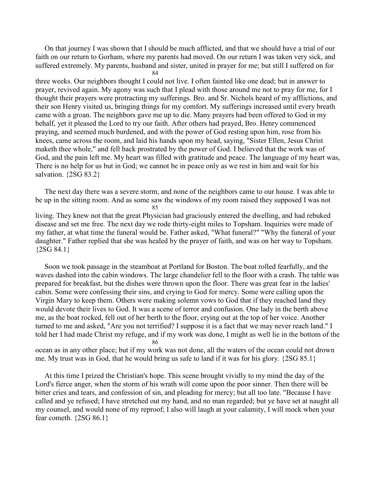On that journey I was shown that I should be much afflicted, and that we should have a trial of our faith on our return to Gorham, where my parents had moved. On our return I was taken very sick, and suffered extremely. My parents, husband and sister, united in prayer for me; but still I suffered on for 84

three weeks. Our neighbors thought I could not live. I often fainted like one dead; but in answer to prayer, revived again. My agony was such that I plead with those around me not to pray for me, for I thought their prayers were protracting my sufferings. Bro. and Sr. Nichols heard of my afflictions, and their son Henry visited us, bringing things for my comfort. My sufferings increased until every breath came with a groan. The neighbors gave me up to die. Many prayers had been offered to God in my behalf, yet it pleased the Lord to try our faith. After others had prayed, Bro. Henry commenced praying, and seemed much burdened, and with the power of God resting upon him, rose from his knees, came across the room, and laid his hands upon my head, saying, "Sister Ellen, Jesus Christ maketh thee whole," and fell back prostrated by the power of God. I believed that the work was of God, and the pain left me. My heart was filled with gratitude and peace. The language of my heart was, There is no help for us but in God; we cannot be in peace only as we rest in him and wait for his salvation. {2SG 83.2}

 The next day there was a severe storm, and none of the neighbors came to our house. I was able to be up in the sitting room. And as some saw the windows of my room raised they supposed I was not 85 living. They knew not that the great Physician had graciously entered the dwelling, and had rebuked disease and set me free. The next day we rode thirty-eight miles to Topsham. Inquiries were made of my father, at what time the funeral would be. Father asked, "What funeral?" "Why the funeral of your daughter." Father replied that she was healed by the prayer of faith, and was on her way to Topsham.  ${2SG 84.1}$ 

 Soon we took passage in the steamboat at Portland for Boston. The boat rolled fearfully, and the waves dashed into the cabin windows. The large chandelier fell to the floor with a crash. The table was prepared for breakfast, but the dishes were thrown upon the floor. There was great fear in the ladies' cabin. Some were confessing their sins, and crying to God for mercy. Some were calling upon the Virgin Mary to keep them. Others were making solemn vows to God that if they reached land they would devote their lives to God. It was a scene of terror and confusion. One lady in the berth above me, as the boat rocked, fell out of her berth to the floor, crying out at the top of her voice. Another turned to me and asked, "Are you not terrified? I suppose it is a fact that we may never reach land." I told her I had made Christ my refuge, and if my work was done, I might as well lie in the bottom of the 86

ocean as in any other place; but if my work was not done, all the waters of the ocean could not drown me. My trust was in God, that he would bring us safe to land if it was for his glory. {2SG 85.1}

 At this time I prized the Christian's hope. This scene brought vividly to my mind the day of the Lord's fierce anger, when the storm of his wrath will come upon the poor sinner. Then there will be bitter cries and tears, and confession of sin, and pleading for mercy; but all too late. "Because I have called and ye refused; I have stretched out my hand, and no man regarded; but ye have set at naught all my counsel, and would none of my reproof; I also will laugh at your calamity, I will mock when your fear cometh. {2SG 86.1}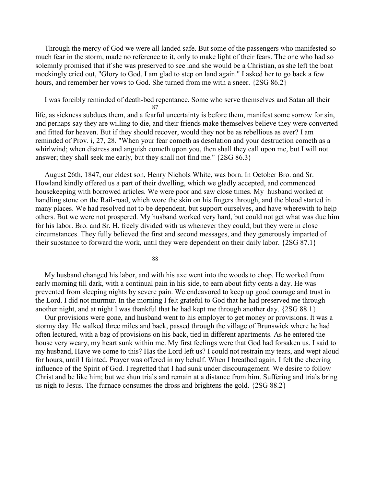Through the mercy of God we were all landed safe. But some of the passengers who manifested so much fear in the storm, made no reference to it, only to make light of their fears. The one who had so solemnly promised that if she was preserved to see land she would be a Christian, as she left the boat mockingly cried out, "Glory to God, I am glad to step on land again." I asked her to go back a few hours, and remember her vows to God. She turned from me with a sneer. {2SG 86.2}

 I was forcibly reminded of death-bed repentance. Some who serve themselves and Satan all their 87

life, as sickness subdues them, and a fearful uncertainty is before them, manifest some sorrow for sin, and perhaps say they are willing to die, and their friends make themselves believe they were converted and fitted for heaven. But if they should recover, would they not be as rebellious as ever? I am reminded of Prov. i, 27, 28. "When your fear cometh as desolation and your destruction cometh as a whirlwind; when distress and anguish cometh upon you, then shall they call upon me, but I will not answer; they shall seek me early, but they shall not find me." {2SG 86.3}

 August 26th, 1847, our eldest son, Henry Nichols White, was born. In October Bro. and Sr. Howland kindly offered us a part of their dwelling, which we gladly accepted, and commenced housekeeping with borrowed articles. We were poor and saw close times. My husband worked at handling stone on the Rail-road, which wore the skin on his fingers through, and the blood started in many places. We had resolved not to be dependent, but support ourselves, and have wherewith to help others. But we were not prospered. My husband worked very hard, but could not get what was due him for his labor. Bro. and Sr. H. freely divided with us whenever they could; but they were in close circumstances. They fully believed the first and second messages, and they generously imparted of their substance to forward the work, until they were dependent on their daily labor. {2SG 87.1}

88

 My husband changed his labor, and with his axe went into the woods to chop. He worked from early morning till dark, with a continual pain in his side, to earn about fifty cents a day. He was prevented from sleeping nights by severe pain. We endeavored to keep up good courage and trust in the Lord. I did not murmur. In the morning I felt grateful to God that he had preserved me through another night, and at night I was thankful that he had kept me through another day. {2SG 88.1}

 Our provisions were gone, and husband went to his employer to get money or provisions. It was a stormy day. He walked three miles and back, passed through the village of Brunswick where he had often lectured, with a bag of provisions on his back, tied in different apartments. As he entered the house very weary, my heart sunk within me. My first feelings were that God had forsaken us. I said to my husband, Have we come to this? Has the Lord left us? I could not restrain my tears, and wept aloud for hours, until I fainted. Prayer was offered in my behalf. When I breathed again, I felt the cheering influence of the Spirit of God. I regretted that I had sunk under discouragement. We desire to follow Christ and be like him; but we shun trials and remain at a distance from him. Suffering and trials bring us nigh to Jesus. The furnace consumes the dross and brightens the gold. {2SG 88.2}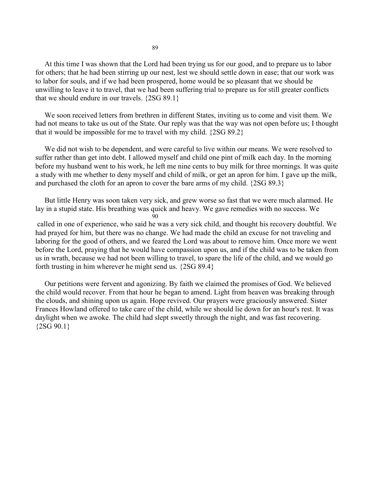At this time I was shown that the Lord had been trying us for our good, and to prepare us to labor for others; that he had been stirring up our nest, lest we should settle down in ease; that our work was to labor for souls, and if we had been prospered, home would be so pleasant that we should be unwilling to leave it to travel, that we had been suffering trial to prepare us for still greater conflicts that we should endure in our travels. {2SG 89.1}

 We soon received letters from brethren in different States, inviting us to come and visit them. We had not means to take us out of the State. Our reply was that the way was not open before us; I thought that it would be impossible for me to travel with my child. {2SG 89.2}

 We did not wish to be dependent, and were careful to live within our means. We were resolved to suffer rather than get into debt. I allowed myself and child one pint of milk each day. In the morning before my husband went to his work, he left me nine cents to buy milk for three mornings. It was quite a study with me whether to deny myself and child of milk, or get an apron for him. I gave up the milk, and purchased the cloth for an apron to cover the bare arms of my child. {2SG 89.3}

 But little Henry was soon taken very sick, and grew worse so fast that we were much alarmed. He lay in a stupid state. His breathing was quick and heavy. We gave remedies with no success. We 90 called in one of experience, who said he was a very sick child, and thought his recovery doubtful. We had prayed for him, but there was no change. We had made the child an excuse for not traveling and laboring for the good of others, and we feared the Lord was about to remove him. Once more we went before the Lord, praying that he would have compassion upon us, and if the child was to be taken from us in wrath, because we had not been willing to travel, to spare the life of the child, and we would go forth trusting in him wherever he might send us. {2SG 89.4}

 Our petitions were fervent and agonizing. By faith we claimed the promises of God. We believed the child would recover. From that hour he began to amend. Light from heaven was breaking through the clouds, and shining upon us again. Hope revived. Our prayers were graciously answered. Sister Frances Howland offered to take care of the child, while we should lie down for an hour's rest. It was daylight when we awoke. The child had slept sweetly through the night, and was fast recovering. {2SG 90.1}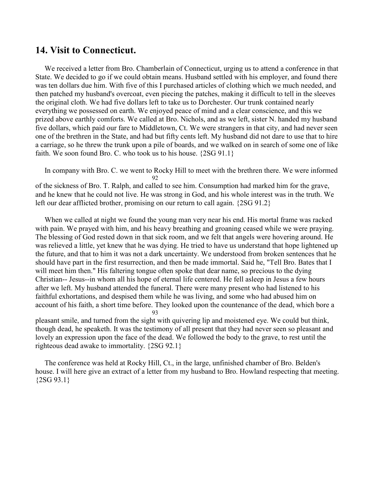### **14. Visit to Connecticut.**

 We received a letter from Bro. Chamberlain of Connecticut, urging us to attend a conference in that State. We decided to go if we could obtain means. Husband settled with his employer, and found there was ten dollars due him. With five of this I purchased articles of clothing which we much needed, and then patched my husband's overcoat, even piecing the patches, making it difficult to tell in the sleeves the original cloth. We had five dollars left to take us to Dorchester. Our trunk contained nearly everything we possessed on earth. We enjoyed peace of mind and a clear conscience, and this we prized above earthly comforts. We called at Bro. Nichols, and as we left, sister N. handed my husband five dollars, which paid our fare to Middletown, Ct. We were strangers in that city, and had never seen one of the brethren in the State, and had but fifty cents left. My husband did not dare to use that to hire a carriage, so he threw the trunk upon a pile of boards, and we walked on in search of some one of like faith. We soon found Bro. C. who took us to his house. {2SG 91.1}

 In company with Bro. C. we went to Rocky Hill to meet with the brethren there. We were informed 92 of the sickness of Bro. T. Ralph, and called to see him. Consumption had marked him for the grave, and he knew that he could not live. He was strong in God, and his whole interest was in the truth. We left our dear afflicted brother, promising on our return to call again. {2SG 91.2}

 When we called at night we found the young man very near his end. His mortal frame was racked with pain. We prayed with him, and his heavy breathing and groaning ceased while we were praying. The blessing of God rested down in that sick room, and we felt that angels were hovering around. He was relieved a little, yet knew that he was dying. He tried to have us understand that hope lightened up the future, and that to him it was not a dark uncertainty. We understood from broken sentences that he should have part in the first resurrection, and then be made immortal. Said he, "Tell Bro. Bates that I will meet him then." His faltering tongue often spoke that dear name, so precious to the dying Christian-- Jesus--in whom all his hope of eternal life centered. He fell asleep in Jesus a few hours after we left. My husband attended the funeral. There were many present who had listened to his faithful exhortations, and despised them while he was living, and some who had abused him on account of his faith, a short time before. They looked upon the countenance of the dead, which bore a  $\frac{93}{100}$ 93

pleasant smile, and turned from the sight with quivering lip and moistened eye. We could but think, though dead, he speaketh. It was the testimony of all present that they had never seen so pleasant and lovely an expression upon the face of the dead. We followed the body to the grave, to rest until the righteous dead awake to immortality. {2SG 92.1}

 The conference was held at Rocky Hill, Ct., in the large, unfinished chamber of Bro. Belden's house. I will here give an extract of a letter from my husband to Bro. Howland respecting that meeting. {2SG 93.1}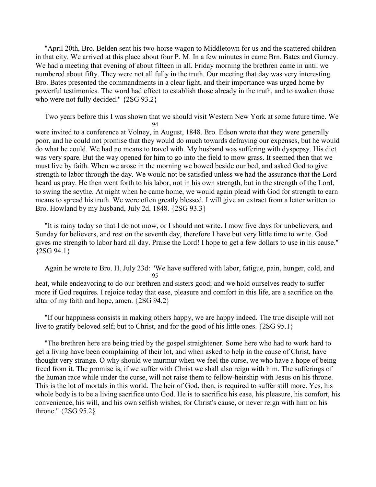"April 20th, Bro. Belden sent his two-horse wagon to Middletown for us and the scattered children in that city. We arrived at this place about four P. M. In a few minutes in came Brn. Bates and Gurney. We had a meeting that evening of about fifteen in all. Friday morning the brethren came in until we numbered about fifty. They were not all fully in the truth. Our meeting that day was very interesting. Bro. Bates presented the commandments in a clear light, and their importance was urged home by powerful testimonies. The word had effect to establish those already in the truth, and to awaken those who were not fully decided." {2SG 93.2}

Two years before this I was shown that we should visit Western New York at some future time. We

 94 were invited to a conference at Volney, in August, 1848. Bro. Edson wrote that they were generally poor, and he could not promise that they would do much towards defraying our expenses, but he would do what he could. We had no means to travel with. My husband was suffering with dyspepsy. His diet was very spare. But the way opened for him to go into the field to mow grass. It seemed then that we must live by faith. When we arose in the morning we bowed beside our bed, and asked God to give strength to labor through the day. We would not be satisfied unless we had the assurance that the Lord heard us pray. He then went forth to his labor, not in his own strength, but in the strength of the Lord, to swing the scythe. At night when he came home, we would again plead with God for strength to earn means to spread his truth. We were often greatly blessed. I will give an extract from a letter written to Bro. Howland by my husband, July 2d, 1848. {2SG 93.3}

 "It is rainy today so that I do not mow, or I should not write. I mow five days for unbelievers, and Sunday for believers, and rest on the seventh day, therefore I have but very little time to write. God gives me strength to labor hard all day. Praise the Lord! I hope to get a few dollars to use in his cause." {2SG 94.1}

 Again he wrote to Bro. H. July 23d: "We have suffered with labor, fatigue, pain, hunger, cold, and 95 heat, while endeavoring to do our brethren and sisters good; and we hold ourselves ready to suffer more if God requires. I rejoice today that ease, pleasure and comfort in this life, are a sacrifice on the altar of my faith and hope, amen. {2SG 94.2}

 "If our happiness consists in making others happy, we are happy indeed. The true disciple will not live to gratify beloved self; but to Christ, and for the good of his little ones. {2SG 95.1}

 "The brethren here are being tried by the gospel straightener. Some here who had to work hard to get a living have been complaining of their lot, and when asked to help in the cause of Christ, have thought very strange. O why should we murmur when we feel the curse, we who have a hope of being freed from it. The promise is, if we suffer with Christ we shall also reign with him. The sufferings of the human race while under the curse, will not raise them to fellow-heirship with Jesus on his throne. This is the lot of mortals in this world. The heir of God, then, is required to suffer still more. Yes, his whole body is to be a living sacrifice unto God. He is to sacrifice his ease, his pleasure, his comfort, his convenience, his will, and his own selfish wishes, for Christ's cause, or never reign with him on his throne." {2SG 95.2}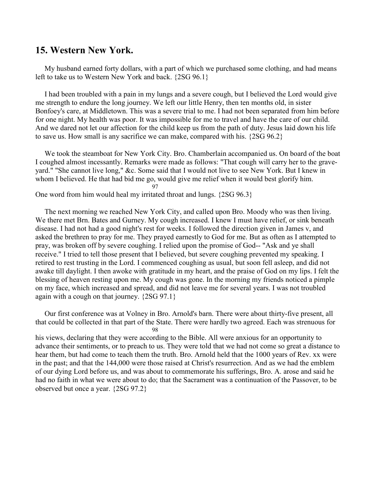#### **15. Western New York.**

 My husband earned forty dollars, with a part of which we purchased some clothing, and had means left to take us to Western New York and back. {2SG 96.1}

 I had been troubled with a pain in my lungs and a severe cough, but I believed the Lord would give me strength to endure the long journey. We left our little Henry, then ten months old, in sister Bonfoey's care, at Middletown. This was a severe trial to me. I had not been separated from him before for one night. My health was poor. It was impossible for me to travel and have the care of our child. And we dared not let our affection for the child keep us from the path of duty. Jesus laid down his life to save us. How small is any sacrifice we can make, compared with his. {2SG 96.2}

 We took the steamboat for New York City. Bro. Chamberlain accompanied us. On board of the boat I coughed almost incessantly. Remarks were made as follows: "That cough will carry her to the graveyard." "She cannot live long," &c. Some said that I would not live to see New York. But I knew in whom I believed. He that had bid me go, would give me relief when it would best glorify him. 97

One word from him would heal my irritated throat and lungs. {2SG 96.3}

 The next morning we reached New York City, and called upon Bro. Moody who was then living. We there met Brn. Bates and Gurney. My cough increased. I knew I must have relief, or sink beneath disease. I had not had a good night's rest for weeks. I followed the direction given in James v, and asked the brethren to pray for me. They prayed earnestly to God for me. But as often as I attempted to pray, was broken off by severe coughing. I relied upon the promise of God-- "Ask and ye shall receive." I tried to tell those present that I believed, but severe coughing prevented my speaking. I retired to rest trusting in the Lord. I commenced coughing as usual, but soon fell asleep, and did not awake till daylight. I then awoke with gratitude in my heart, and the praise of God on my lips. I felt the blessing of heaven resting upon me. My cough was gone. In the morning my friends noticed a pimple on my face, which increased and spread, and did not leave me for several years. I was not troubled again with a cough on that journey. {2SG 97.1}

 Our first conference was at Volney in Bro. Arnold's barn. There were about thirty-five present, all that could be collected in that part of the State. There were hardly two agreed. Each was strenuous for 98

his views, declaring that they were according to the Bible. All were anxious for an opportunity to advance their sentiments, or to preach to us. They were told that we had not come so great a distance to hear them, but had come to teach them the truth. Bro. Arnold held that the 1000 years of Rev. xx were in the past; and that the 144,000 were those raised at Christ's resurrection. And as we had the emblem of our dying Lord before us, and was about to commemorate his sufferings, Bro. A. arose and said he had no faith in what we were about to do; that the Sacrament was a continuation of the Passover, to be observed but once a year. {2SG 97.2}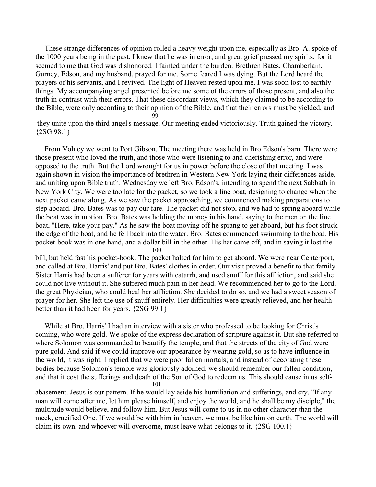These strange differences of opinion rolled a heavy weight upon me, especially as Bro. A. spoke of the 1000 years being in the past. I knew that he was in error, and great grief pressed my spirits; for it seemed to me that God was dishonored. I fainted under the burden. Brethren Bates, Chamberlain, Gurney, Edson, and my husband, prayed for me. Some feared I was dying. But the Lord heard the prayers of his servants, and I revived. The light of Heaven rested upon me. I was soon lost to earthly things. My accompanying angel presented before me some of the errors of those present, and also the truth in contrast with their errors. That these discordant views, which they claimed to be according to the Bible, were only according to their opinion of the Bible, and that their errors must be yielded, and 99

 they unite upon the third angel's message. Our meeting ended victoriously. Truth gained the victory.  ${2SG 98.1}$ 

 From Volney we went to Port Gibson. The meeting there was held in Bro Edson's barn. There were those present who loved the truth, and those who were listening to and cherishing error, and were opposed to the truth. But the Lord wrought for us in power before the close of that meeting. I was again shown in vision the importance of brethren in Western New York laying their differences aside, and uniting upon Bible truth. Wednesday we left Bro. Edson's, intending to spend the next Sabbath in New York City. We were too late for the packet, so we took a line boat, designing to change when the next packet came along. As we saw the packet approaching, we commenced making preparations to step aboard. Bro. Bates was to pay our fare. The packet did not stop, and we had to spring aboard while the boat was in motion. Bro. Bates was holding the money in his hand, saying to the men on the line boat, "Here, take your pay." As he saw the boat moving off he sprang to get aboard, but his foot struck the edge of the boat, and he fell back into the water. Bro. Bates commenced swimming to the boat. His pocket-book was in one hand, and a dollar bill in the other. His hat came off, and in saving it lost the 100

bill, but held fast his pocket-book. The packet halted for him to get aboard. We were near Centerport, and called at Bro. Harris' and put Bro. Bates' clothes in order. Our visit proved a benefit to that family. Sister Harris had been a sufferer for years with catarrh, and used snuff for this affliction, and said she could not live without it. She suffered much pain in her head. We recommended her to go to the Lord, the great Physician, who could heal her affliction. She decided to do so, and we had a sweet season of prayer for her. She left the use of snuff entirely. Her difficulties were greatly relieved, and her health better than it had been for years. {2SG 99.1}

 While at Bro. Harris' I had an interview with a sister who professed to be looking for Christ's coming, who wore gold. We spoke of the express declaration of scripture against it. But she referred to where Solomon was commanded to beautify the temple, and that the streets of the city of God were pure gold. And said if we could improve our appearance by wearing gold, so as to have influence in the world, it was right. I replied that we were poor fallen mortals; and instead of decorating these bodies because Solomon's temple was gloriously adorned, we should remember our fallen condition, and that it cost the sufferings and death of the Son of God to redeem us. This should cause in us self- 101

abasement. Jesus is our pattern. If he would lay aside his humiliation and sufferings, and cry, "If any man will come after me, let him please himself, and enjoy the world, and he shall be my disciple," the multitude would believe, and follow him. But Jesus will come to us in no other character than the meek, crucified One. If we would be with him in heaven, we must be like him on earth. The world will claim its own, and whoever will overcome, must leave what belongs to it. {2SG 100.1}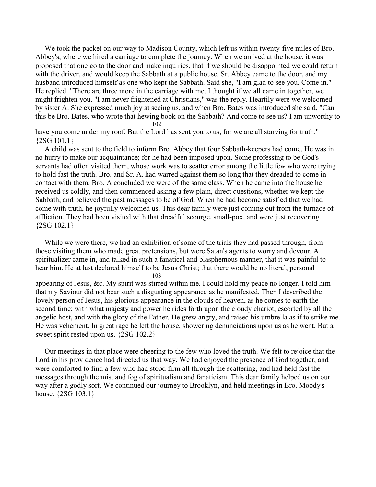We took the packet on our way to Madison County, which left us within twenty-five miles of Bro. Abbey's, where we hired a carriage to complete the journey. When we arrived at the house, it was proposed that one go to the door and make inquiries, that if we should be disappointed we could return with the driver, and would keep the Sabbath at a public house. Sr. Abbey came to the door, and my husband introduced himself as one who kept the Sabbath. Said she, "I am glad to see you. Come in." He replied. "There are three more in the carriage with me. I thought if we all came in together, we might frighten you. "I am never frightened at Christians," was the reply. Heartily were we welcomed by sister A. She expressed much joy at seeing us, and when Bro. Bates was introduced she said, "Can this be Bro. Bates, who wrote that hewing book on the Sabbath? And come to see us? I am unworthy to 102

have you come under my roof. But the Lord has sent you to us, for we are all starving for truth." {2SG 101.1}

 A child was sent to the field to inform Bro. Abbey that four Sabbath-keepers had come. He was in no hurry to make our acquaintance; for he had been imposed upon. Some professing to be God's servants had often visited them, whose work was to scatter error among the little few who were trying to hold fast the truth. Bro. and Sr. A. had warred against them so long that they dreaded to come in contact with them. Bro. A concluded we were of the same class. When he came into the house he received us coldly, and then commenced asking a few plain, direct questions, whether we kept the Sabbath, and believed the past messages to be of God. When he had become satisfied that we had come with truth, he joyfully welcomed us. This dear family were just coming out from the furnace of affliction. They had been visited with that dreadful scourge, small-pox, and were just recovering.  ${2SG 102.1}$ 

 While we were there, we had an exhibition of some of the trials they had passed through, from those visiting them who made great pretensions, but were Satan's agents to worry and devour. A spiritualizer came in, and talked in such a fanatical and blasphemous manner, that it was painful to hear him. He at last declared himself to be Jesus Christ; that there would be no literal, personal 103

appearing of Jesus, &c. My spirit was stirred within me. I could hold my peace no longer. I told him that my Saviour did not bear such a disgusting appearance as he manifested. Then I described the lovely person of Jesus, his glorious appearance in the clouds of heaven, as he comes to earth the second time; with what majesty and power he rides forth upon the cloudy chariot, escorted by all the angelic host, and with the glory of the Father. He grew angry, and raised his umbrella as if to strike me. He was vehement. In great rage he left the house, showering denunciations upon us as he went. But a sweet spirit rested upon us. {2SG 102.2}

 Our meetings in that place were cheering to the few who loved the truth. We felt to rejoice that the Lord in his providence had directed us that way. We had enjoyed the presence of God together, and were comforted to find a few who had stood firm all through the scattering, and had held fast the messages through the mist and fog of spiritualism and fanaticism. This dear family helped us on our way after a godly sort. We continued our journey to Brooklyn, and held meetings in Bro. Moody's house. {2SG 103.1}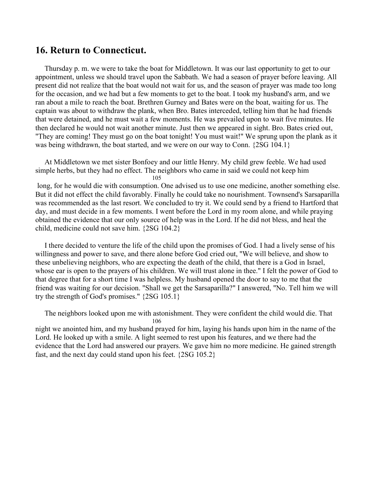### **16. Return to Connecticut.**

 Thursday p. m. we were to take the boat for Middletown. It was our last opportunity to get to our appointment, unless we should travel upon the Sabbath. We had a season of prayer before leaving. All present did not realize that the boat would not wait for us, and the season of prayer was made too long for the occasion, and we had but a few moments to get to the boat. I took my husband's arm, and we ran about a mile to reach the boat. Brethren Gurney and Bates were on the boat, waiting for us. The captain was about to withdraw the plank, when Bro. Bates interceded, telling him that he had friends that were detained, and he must wait a few moments. He was prevailed upon to wait five minutes. He then declared he would not wait another minute. Just then we appeared in sight. Bro. Bates cried out, "They are coming! They must go on the boat tonight! You must wait!" We sprung upon the plank as it was being withdrawn, the boat started, and we were on our way to Conn. {2SG 104.1}

 At Middletown we met sister Bonfoey and our little Henry. My child grew feeble. We had used simple herbs, but they had no effect. The neighbors who came in said we could not keep him 105

 long, for he would die with consumption. One advised us to use one medicine, another something else. But it did not effect the child favorably. Finally he could take no nourishment. Townsend's Sarsaparilla was recommended as the last resort. We concluded to try it. We could send by a friend to Hartford that day, and must decide in a few moments. I went before the Lord in my room alone, and while praying obtained the evidence that our only source of help was in the Lord. If he did not bless, and heal the child, medicine could not save him. {2SG 104.2}

 I there decided to venture the life of the child upon the promises of God. I had a lively sense of his willingness and power to save, and there alone before God cried out, "We will believe, and show to these unbelieving neighbors, who are expecting the death of the child, that there is a God in Israel, whose ear is open to the prayers of his children. We will trust alone in thee." I felt the power of God to that degree that for a short time I was helpless. My husband opened the door to say to me that the friend was waiting for our decision. "Shall we get the Sarsaparilla?" I answered, "No. Tell him we will try the strength of God's promises." {2SG 105.1}

 The neighbors looked upon me with astonishment. They were confident the child would die. That 106

night we anointed him, and my husband prayed for him, laying his hands upon him in the name of the Lord. He looked up with a smile. A light seemed to rest upon his features, and we there had the evidence that the Lord had answered our prayers. We gave him no more medicine. He gained strength fast, and the next day could stand upon his feet. {2SG 105.2}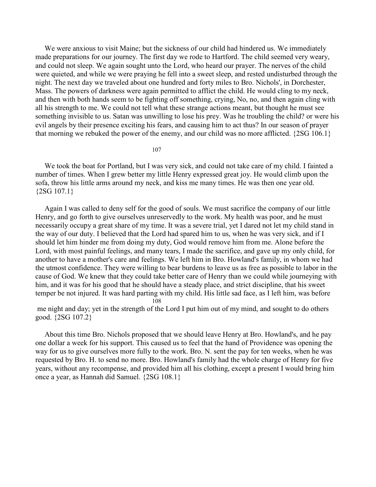We were anxious to visit Maine; but the sickness of our child had hindered us. We immediately made preparations for our journey. The first day we rode to Hartford. The child seemed very weary, and could not sleep. We again sought unto the Lord, who heard our prayer. The nerves of the child were quieted, and while we were praying he fell into a sweet sleep, and rested undisturbed through the night. The next day we traveled about one hundred and forty miles to Bro. Nichols', in Dorchester, Mass. The powers of darkness were again permitted to afflict the child. He would cling to my neck, and then with both hands seem to be fighting off something, crying, No, no, and then again cling with all his strength to me. We could not tell what these strange actions meant, but thought he must see something invisible to us. Satan was unwilling to lose his prey. Was he troubling the child? or were his evil angels by their presence exciting his fears, and causing him to act thus? In our season of prayer that morning we rebuked the power of the enemy, and our child was no more afflicted. {2SG 106.1}

107

We took the boat for Portland, but I was very sick, and could not take care of my child. I fainted a number of times. When I grew better my little Henry expressed great joy. He would climb upon the sofa, throw his little arms around my neck, and kiss me many times. He was then one year old.  ${2SG 107.1}$ 

 Again I was called to deny self for the good of souls. We must sacrifice the company of our little Henry, and go forth to give ourselves unreservedly to the work. My health was poor, and he must necessarily occupy a great share of my time. It was a severe trial, yet I dared not let my child stand in the way of our duty. I believed that the Lord had spared him to us, when he was very sick, and if I should let him hinder me from doing my duty, God would remove him from me. Alone before the Lord, with most painful feelings, and many tears, I made the sacrifice, and gave up my only child, for another to have a mother's care and feelings. We left him in Bro. Howland's family, in whom we had the utmost confidence. They were willing to bear burdens to leave us as free as possible to labor in the cause of God. We knew that they could take better care of Henry than we could while journeying with him, and it was for his good that he should have a steady place, and strict discipline, that his sweet temper be not injured. It was hard parting with my child. His little sad face, as I left him, was before 108

 me night and day; yet in the strength of the Lord I put him out of my mind, and sought to do others good. {2SG 107.2}

 About this time Bro. Nichols proposed that we should leave Henry at Bro. Howland's, and he pay one dollar a week for his support. This caused us to feel that the hand of Providence was opening the way for us to give ourselves more fully to the work. Bro. N. sent the pay for ten weeks, when he was requested by Bro. H. to send no more. Bro. Howland's family had the whole charge of Henry for five years, without any recompense, and provided him all his clothing, except a present I would bring him once a year, as Hannah did Samuel. {2SG 108.1}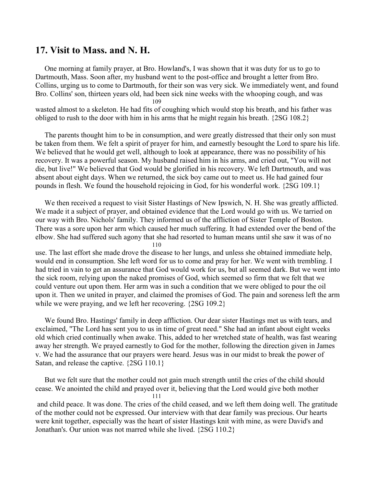## **17. Visit to Mass. and N. H.**

 One morning at family prayer, at Bro. Howland's, I was shown that it was duty for us to go to Dartmouth, Mass. Soon after, my husband went to the post-office and brought a letter from Bro. Collins, urging us to come to Dartmouth, for their son was very sick. We immediately went, and found Bro. Collins' son, thirteen years old, had been sick nine weeks with the whooping cough, and was 109 wasted almost to a skeleton. He had fits of coughing which would stop his breath, and his father was obliged to rush to the door with him in his arms that he might regain his breath. {2SG 108.2}

 The parents thought him to be in consumption, and were greatly distressed that their only son must be taken from them. We felt a spirit of prayer for him, and earnestly besought the Lord to spare his life. We believed that he would get well, although to look at appearance, there was no possibility of his recovery. It was a powerful season. My husband raised him in his arms, and cried out, "You will not die, but live!" We believed that God would be glorified in his recovery. We left Dartmouth, and was absent about eight days. When we returned, the sick boy came out to meet us. He had gained four pounds in flesh. We found the household rejoicing in God, for his wonderful work. {2SG 109.1}

 We then received a request to visit Sister Hastings of New Ipswich, N. H. She was greatly afflicted. We made it a subject of prayer, and obtained evidence that the Lord would go with us. We tarried on our way with Bro. Nichols' family. They informed us of the affliction of Sister Temple of Boston. There was a sore upon her arm which caused her much suffering. It had extended over the bend of the elbow. She had suffered such agony that she had resorted to human means until she saw it was of no 110

use. The last effort she made drove the disease to her lungs, and unless she obtained immediate help, would end in consumption. She left word for us to come and pray for her. We went with trembling. I had tried in vain to get an assurance that God would work for us, but all seemed dark. But we went into the sick room, relying upon the naked promises of God, which seemed so firm that we felt that we could venture out upon them. Her arm was in such a condition that we were obliged to pour the oil upon it. Then we united in prayer, and claimed the promises of God. The pain and soreness left the arm while we were praying, and we left her recovering. {2SG 109.2}

 We found Bro. Hastings' family in deep affliction. Our dear sister Hastings met us with tears, and exclaimed, "The Lord has sent you to us in time of great need." She had an infant about eight weeks old which cried continually when awake. This, added to her wretched state of health, was fast wearing away her strength. We prayed earnestly to God for the mother, following the direction given in James v. We had the assurance that our prayers were heard. Jesus was in our midst to break the power of Satan, and release the captive. {2SG 110.1}

 But we felt sure that the mother could not gain much strength until the cries of the child should cease. We anointed the child and prayed over it, believing that the Lord would give both mother 111 and child peace. It was done. The cries of the child ceased, and we left them doing well. The gratitude of the mother could not be expressed. Our interview with that dear family was precious. Our hearts were knit together, especially was the heart of sister Hastings knit with mine, as were David's and Jonathan's. Our union was not marred while she lived. {2SG 110.2}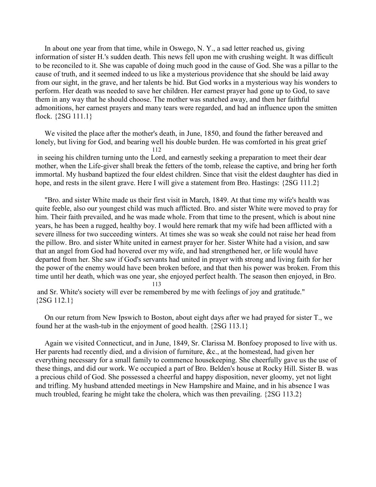In about one year from that time, while in Oswego, N. Y., a sad letter reached us, giving information of sister H.'s sudden death. This news fell upon me with crushing weight. It was difficult to be reconciled to it. She was capable of doing much good in the cause of God. She was a pillar to the cause of truth, and it seemed indeed to us like a mysterious providence that she should be laid away from our sight, in the grave, and her talents be hid. But God works in a mysterious way his wonders to perform. Her death was needed to save her children. Her earnest prayer had gone up to God, to save them in any way that he should choose. The mother was snatched away, and then her faithful admonitions, her earnest prayers and many tears were regarded, and had an influence upon the smitten flock.  $\{2SG\ 111.1\}$ 

 We visited the place after the mother's death, in June, 1850, and found the father bereaved and lonely, but living for God, and bearing well his double burden. He was comforted in his great grief 112

 in seeing his children turning unto the Lord, and earnestly seeking a preparation to meet their dear mother, when the Life-giver shall break the fetters of the tomb, release the captive, and bring her forth immortal. My husband baptized the four eldest children. Since that visit the eldest daughter has died in hope, and rests in the silent grave. Here I will give a statement from Bro. Hastings: {2SG 111.2}

 "Bro. and sister White made us their first visit in March, 1849. At that time my wife's health was quite feeble, also our youngest child was much afflicted. Bro. and sister White were moved to pray for him. Their faith prevailed, and he was made whole. From that time to the present, which is about nine years, he has been a rugged, healthy boy. I would here remark that my wife had been afflicted with a severe illness for two succeeding winters. At times she was so weak she could not raise her head from the pillow. Bro. and sister White united in earnest prayer for her. Sister White had a vision, and saw that an angel from God had hovered over my wife, and had strengthened her, or life would have departed from her. She saw if God's servants had united in prayer with strong and living faith for her the power of the enemy would have been broken before, and that then his power was broken. From this time until her death, which was one year, she enjoyed perfect health. The season then enjoyed, in Bro.

113

 and Sr. White's society will ever be remembered by me with feelings of joy and gratitude."  ${2SG 112.1}$ 

 On our return from New Ipswich to Boston, about eight days after we had prayed for sister T., we found her at the wash-tub in the enjoyment of good health. {2SG 113.1}

 Again we visited Connecticut, and in June, 1849, Sr. Clarissa M. Bonfoey proposed to live with us. Her parents had recently died, and a division of furniture, &c., at the homestead, had given her everything necessary for a small family to commence housekeeping. She cheerfully gave us the use of these things, and did our work. We occupied a part of Bro. Belden's house at Rocky Hill. Sister B. was a precious child of God. She possessed a cheerful and happy disposition, never gloomy, yet not light and trifling. My husband attended meetings in New Hampshire and Maine, and in his absence I was much troubled, fearing he might take the cholera, which was then prevailing. {2SG 113.2}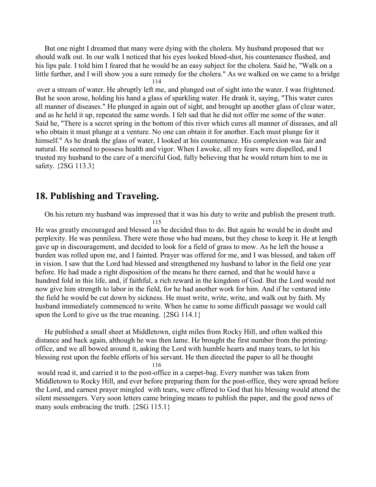But one night I dreamed that many were dying with the cholera. My husband proposed that we should walk out. In our walk I noticed that his eyes looked blood-shot, his countenance flushed, and his lips pale. I told him I feared that he would be an easy subject for the cholera. Said he, "Walk on a little further, and I will show you a sure remedy for the cholera." As we walked on we came to a bridge 114

 over a stream of water. He abruptly left me, and plunged out of sight into the water. I was frightened. But he soon arose, holding his hand a glass of sparkling water. He drank it, saying, "This water cures all manner of diseases." He plunged in again out of sight, and brought up another glass of clear water, and as he held it up, repeated the same words. I felt sad that he did not offer me some of the water. Said he, "There is a secret spring in the bottom of this river which cures all manner of diseases, and all who obtain it must plunge at a venture. No one can obtain it for another. Each must plunge for it himself." As he drank the glass of water, I looked at his countenance. His complexion was fair and natural. He seemed to possess health and vigor. When I awoke, all my fears were dispelled, and I trusted my husband to the care of a merciful God, fully believing that he would return him to me in safety. {2SG 113.3}

## **18. Publishing and Traveling.**

 On his return my husband was impressed that it was his duty to write and publish the present truth. 115

He was greatly encouraged and blessed as he decided thus to do. But again he would be in doubt and perplexity. He was penniless. There were those who had means, but they chose to keep it. He at length gave up in discouragement, and decided to look for a field of grass to mow. As he left the house a burden was rolled upon me, and I fainted. Prayer was offered for me, and I was blessed, and taken off in vision. I saw that the Lord had blessed and strengthened my husband to labor in the field one year before. He had made a right disposition of the means he there earned, and that he would have a hundred fold in this life, and, if faithful, a rich reward in the kingdom of God. But the Lord would not now give him strength to labor in the field, for he had another work for him. And if he ventured into the field he would be cut down by sickness. He must write, write, write, and walk out by faith. My husband immediately commenced to write. When he came to some difficult passage we would call upon the Lord to give us the true meaning. {2SG 114.1}

 He published a small sheet at Middletown, eight miles from Rocky Hill, and often walked this distance and back again, although he was then lame. He brought the first number from the printingoffice, and we all bowed around it, asking the Lord with humble hearts and many tears, to let his blessing rest upon the feeble efforts of his servant. He then directed the paper to all he thought 116

 would read it, and carried it to the post-office in a carpet-bag. Every number was taken from Middletown to Rocky Hill, and ever before preparing them for the post-office, they were spread before the Lord, and earnest prayer mingled with tears, were offered to God that his blessing would attend the silent messengers. Very soon letters came bringing means to publish the paper, and the good news of many souls embracing the truth.  ${2SG 115.1}$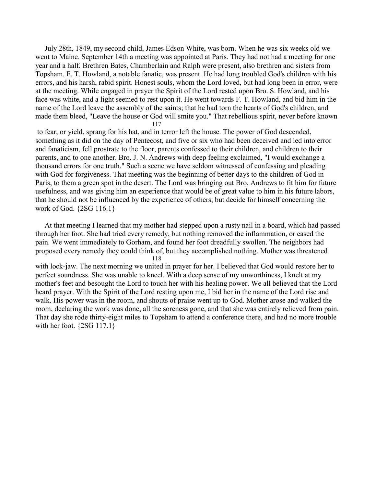July 28th, 1849, my second child, James Edson White, was born. When he was six weeks old we went to Maine. September 14th a meeting was appointed at Paris. They had not had a meeting for one year and a half. Brethren Bates, Chamberlain and Ralph were present, also brethren and sisters from Topsham. F. T. Howland, a notable fanatic, was present. He had long troubled God's children with his errors, and his harsh, rabid spirit. Honest souls, whom the Lord loved, but had long been in error, were at the meeting. While engaged in prayer the Spirit of the Lord rested upon Bro. S. Howland, and his face was white, and a light seemed to rest upon it. He went towards F. T. Howland, and bid him in the name of the Lord leave the assembly of the saints; that he had torn the hearts of God's children, and made them bleed, "Leave the house or God will smite you." That rebellious spirit, never before known 117

 to fear, or yield, sprang for his hat, and in terror left the house. The power of God descended, something as it did on the day of Pentecost, and five or six who had been deceived and led into error and fanaticism, fell prostrate to the floor, parents confessed to their children, and children to their parents, and to one another. Bro. J. N. Andrews with deep feeling exclaimed, "I would exchange a thousand errors for one truth." Such a scene we have seldom witnessed of confessing and pleading with God for forgiveness. That meeting was the beginning of better days to the children of God in Paris, to them a green spot in the desert. The Lord was bringing out Bro. Andrews to fit him for future usefulness, and was giving him an experience that would be of great value to him in his future labors, that he should not be influenced by the experience of others, but decide for himself concerning the work of God. {2SG 116.1}

 At that meeting I learned that my mother had stepped upon a rusty nail in a board, which had passed through her foot. She had tried every remedy, but nothing removed the inflammation, or eased the pain. We went immediately to Gorham, and found her foot dreadfully swollen. The neighbors had proposed every remedy they could think of, but they accomplished nothing. Mother was threatened 118

with lock-jaw. The next morning we united in prayer for her. I believed that God would restore her to perfect soundness. She was unable to kneel. With a deep sense of my unworthiness, I knelt at my mother's feet and besought the Lord to touch her with his healing power. We all believed that the Lord heard prayer. With the Spirit of the Lord resting upon me, I bid her in the name of the Lord rise and walk. His power was in the room, and shouts of praise went up to God. Mother arose and walked the room, declaring the work was done, all the soreness gone, and that she was entirely relieved from pain. That day she rode thirty-eight miles to Topsham to attend a conference there, and had no more trouble with her foot. {2SG 117.1}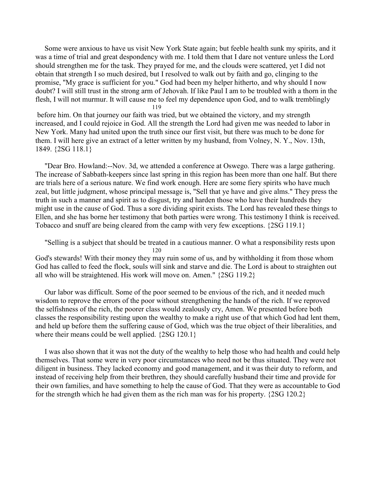Some were anxious to have us visit New York State again; but feeble health sunk my spirits, and it was a time of trial and great despondency with me. I told them that I dare not venture unless the Lord should strengthen me for the task. They prayed for me, and the clouds were scattered, yet I did not obtain that strength I so much desired, but I resolved to walk out by faith and go, clinging to the promise, "My grace is sufficient for you." God had been my helper hitherto, and why should I now doubt? I will still trust in the strong arm of Jehovah. If like Paul I am to be troubled with a thorn in the flesh, I will not murmur. It will cause me to feel my dependence upon God, and to walk tremblingly 119

 before him. On that journey our faith was tried, but we obtained the victory, and my strength increased, and I could rejoice in God. All the strength the Lord had given me was needed to labor in New York. Many had united upon the truth since our first visit, but there was much to be done for them. I will here give an extract of a letter written by my husband, from Volney, N. Y., Nov. 13th, 1849. {2SG 118.1}

 "Dear Bro. Howland:--Nov. 3d, we attended a conference at Oswego. There was a large gathering. The increase of Sabbath-keepers since last spring in this region has been more than one half. But there are trials here of a serious nature. We find work enough. Here are some fiery spirits who have much zeal, but little judgment, whose principal message is, "Sell that ye have and give alms." They press the truth in such a manner and spirit as to disgust, try and harden those who have their hundreds they might use in the cause of God. Thus a sore dividing spirit exists. The Lord has revealed these things to Ellen, and she has borne her testimony that both parties were wrong. This testimony I think is received. Tobacco and snuff are being cleared from the camp with very few exceptions. {2SG 119.1}

 "Selling is a subject that should be treated in a cautious manner. O what a responsibility rests upon 120

God's stewards! With their money they may ruin some of us, and by withholding it from those whom God has called to feed the flock, souls will sink and starve and die. The Lord is about to straighten out all who will be straightened. His work will move on. Amen." {2SG 119.2}

 Our labor was difficult. Some of the poor seemed to be envious of the rich, and it needed much wisdom to reprove the errors of the poor without strengthening the hands of the rich. If we reproved the selfishness of the rich, the poorer class would zealously cry, Amen. We presented before both classes the responsibility resting upon the wealthy to make a right use of that which God had lent them, and held up before them the suffering cause of God, which was the true object of their liberalities, and where their means could be well applied. {2SG 120.1}

 I was also shown that it was not the duty of the wealthy to help those who had health and could help themselves. That some were in very poor circumstances who need not be thus situated. They were not diligent in business. They lacked economy and good management, and it was their duty to reform, and instead of receiving help from their brethren, they should carefully husband their time and provide for their own families, and have something to help the cause of God. That they were as accountable to God for the strength which he had given them as the rich man was for his property. {2SG 120.2}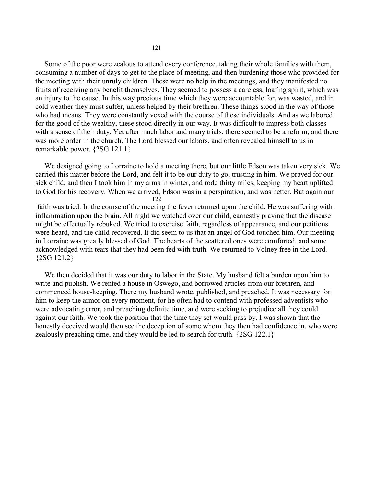Some of the poor were zealous to attend every conference, taking their whole families with them, consuming a number of days to get to the place of meeting, and then burdening those who provided for the meeting with their unruly children. These were no help in the meetings, and they manifested no fruits of receiving any benefit themselves. They seemed to possess a careless, loafing spirit, which was an injury to the cause. In this way precious time which they were accountable for, was wasted, and in cold weather they must suffer, unless helped by their brethren. These things stood in the way of those who had means. They were constantly vexed with the course of these individuals. And as we labored for the good of the wealthy, these stood directly in our way. It was difficult to impress both classes with a sense of their duty. Yet after much labor and many trials, there seemed to be a reform, and there was more order in the church. The Lord blessed our labors, and often revealed himself to us in remarkable power. {2SG 121.1}

 We designed going to Lorraine to hold a meeting there, but our little Edson was taken very sick. We carried this matter before the Lord, and felt it to be our duty to go, trusting in him. We prayed for our sick child, and then I took him in my arms in winter, and rode thirty miles, keeping my heart uplifted to God for his recovery. When we arrived, Edson was in a perspiration, and was better. But again our 122

 faith was tried. In the course of the meeting the fever returned upon the child. He was suffering with inflammation upon the brain. All night we watched over our child, earnestly praying that the disease might be effectually rebuked. We tried to exercise faith, regardless of appearance, and our petitions were heard, and the child recovered. It did seem to us that an angel of God touched him. Our meeting in Lorraine was greatly blessed of God. The hearts of the scattered ones were comforted, and some acknowledged with tears that they had been fed with truth. We returned to Volney free in the Lord. {2SG 121.2}

 We then decided that it was our duty to labor in the State. My husband felt a burden upon him to write and publish. We rented a house in Oswego, and borrowed articles from our brethren, and commenced house-keeping. There my husband wrote, published, and preached. It was necessary for him to keep the armor on every moment, for he often had to contend with professed adventists who were advocating error, and preaching definite time, and were seeking to prejudice all they could against our faith. We took the position that the time they set would pass by. I was shown that the honestly deceived would then see the deception of some whom they then had confidence in, who were zealously preaching time, and they would be led to search for truth. {2SG 122.1}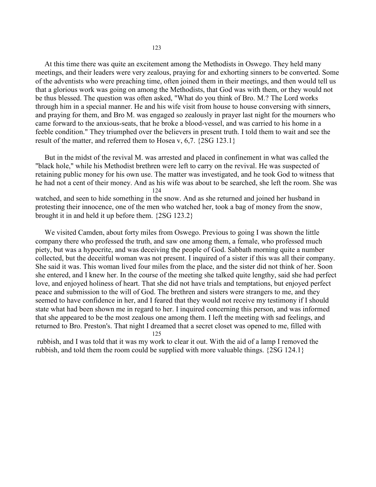At this time there was quite an excitement among the Methodists in Oswego. They held many meetings, and their leaders were very zealous, praying for and exhorting sinners to be converted. Some of the adventists who were preaching time, often joined them in their meetings, and then would tell us that a glorious work was going on among the Methodists, that God was with them, or they would not be thus blessed. The question was often asked, "What do you think of Bro. M.? The Lord works through him in a special manner. He and his wife visit from house to house conversing with sinners, and praying for them, and Bro M. was engaged so zealously in prayer last night for the mourners who came forward to the anxious-seats, that he broke a blood-vessel, and was carried to his home in a feeble condition." They triumphed over the believers in present truth. I told them to wait and see the result of the matter, and referred them to Hosea v, 6,7. {2SG 123.1}

 But in the midst of the revival M. was arrested and placed in confinement in what was called the "black hole," while his Methodist brethren were left to carry on the revival. He was suspected of retaining public money for his own use. The matter was investigated, and he took God to witness that he had not a cent of their money. And as his wife was about to be searched, she left the room. She was 124 watched, and seen to hide something in the snow. And as she returned and joined her husband in protesting their innocence, one of the men who watched her, took a bag of money from the snow,

 We visited Camden, about forty miles from Oswego. Previous to going I was shown the little company there who professed the truth, and saw one among them, a female, who professed much piety, but was a hypocrite, and was deceiving the people of God. Sabbath morning quite a number collected, but the deceitful woman was not present. I inquired of a sister if this was all their company. She said it was. This woman lived four miles from the place, and the sister did not think of her. Soon she entered, and I knew her. In the course of the meeting she talked quite lengthy, said she had perfect love, and enjoyed holiness of heart. That she did not have trials and temptations, but enjoyed perfect peace and submission to the will of God. The brethren and sisters were strangers to me, and they seemed to have confidence in her, and I feared that they would not receive my testimony if I should state what had been shown me in regard to her. I inquired concerning this person, and was informed that she appeared to be the most zealous one among them. I left the meeting with sad feelings, and returned to Bro. Preston's. That night I dreamed that a secret closet was opened to me, filled with

125

brought it in and held it up before them. {2SG 123.2}

 rubbish, and I was told that it was my work to clear it out. With the aid of a lamp I removed the rubbish, and told them the room could be supplied with more valuable things. {2SG 124.1}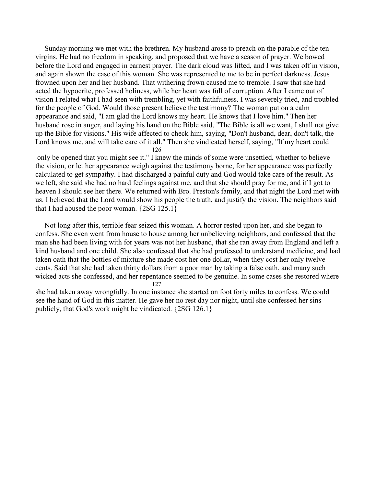Sunday morning we met with the brethren. My husband arose to preach on the parable of the ten virgins. He had no freedom in speaking, and proposed that we have a season of prayer. We bowed before the Lord and engaged in earnest prayer. The dark cloud was lifted, and I was taken off in vision, and again shown the case of this woman. She was represented to me to be in perfect darkness. Jesus frowned upon her and her husband. That withering frown caused me to tremble. I saw that she had acted the hypocrite, professed holiness, while her heart was full of corruption. After I came out of vision I related what I had seen with trembling, yet with faithfulness. I was severely tried, and troubled for the people of God. Would those present believe the testimony? The woman put on a calm appearance and said, "I am glad the Lord knows my heart. He knows that I love him." Then her husband rose in anger, and laying his hand on the Bible said, "The Bible is all we want, I shall not give up the Bible for visions." His wife affected to check him, saying, "Don't husband, dear, don't talk, the Lord knows me, and will take care of it all." Then she vindicated herself, saying, "If my heart could 126

 only be opened that you might see it." I knew the minds of some were unsettled, whether to believe the vision, or let her appearance weigh against the testimony borne, for her appearance was perfectly calculated to get sympathy. I had discharged a painful duty and God would take care of the result. As we left, she said she had no hard feelings against me, and that she should pray for me, and if I got to heaven I should see her there. We returned with Bro. Preston's family, and that night the Lord met with us. I believed that the Lord would show his people the truth, and justify the vision. The neighbors said that I had abused the poor woman. {2SG 125.1}

 Not long after this, terrible fear seized this woman. A horror rested upon her, and she began to confess. She even went from house to house among her unbelieving neighbors, and confessed that the man she had been living with for years was not her husband, that she ran away from England and left a kind husband and one child. She also confessed that she had professed to understand medicine, and had taken oath that the bottles of mixture she made cost her one dollar, when they cost her only twelve cents. Said that she had taken thirty dollars from a poor man by taking a false oath, and many such wicked acts she confessed, and her repentance seemed to be genuine. In some cases she restored where

127

she had taken away wrongfully. In one instance she started on foot forty miles to confess. We could see the hand of God in this matter. He gave her no rest day nor night, until she confessed her sins publicly, that God's work might be vindicated. {2SG 126.1}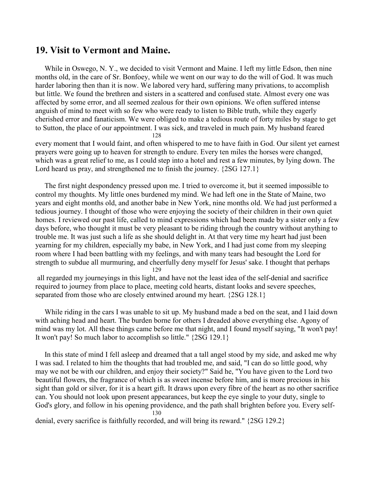# **19. Visit to Vermont and Maine.**

 While in Oswego, N. Y., we decided to visit Vermont and Maine. I left my little Edson, then nine months old, in the care of Sr. Bonfoey, while we went on our way to do the will of God. It was much harder laboring then than it is now. We labored very hard, suffering many privations, to accomplish but little. We found the brethren and sisters in a scattered and confused state. Almost every one was affected by some error, and all seemed zealous for their own opinions. We often suffered intense anguish of mind to meet with so few who were ready to listen to Bible truth, while they eagerly cherished error and fanaticism. We were obliged to make a tedious route of forty miles by stage to get to Sutton, the place of our appointment. I was sick, and traveled in much pain. My husband feared 128

every moment that I would faint, and often whispered to me to have faith in God. Our silent yet earnest prayers were going up to heaven for strength to endure. Every ten miles the horses were changed, which was a great relief to me, as I could step into a hotel and rest a few minutes, by lying down. The Lord heard us pray, and strengthened me to finish the journey.  $\{2SG 127.1\}$ 

 The first night despondency pressed upon me. I tried to overcome it, but it seemed impossible to control my thoughts. My little ones burdened my mind. We had left one in the State of Maine, two years and eight months old, and another babe in New York, nine months old. We had just performed a tedious journey. I thought of those who were enjoying the society of their children in their own quiet homes. I reviewed our past life, called to mind expressions which had been made by a sister only a few days before, who thought it must be very pleasant to be riding through the country without anything to trouble me. It was just such a life as she should delight in. At that very time my heart had just been yearning for my children, especially my babe, in New York, and I had just come from my sleeping room where I had been battling with my feelings, and with many tears had besought the Lord for strength to subdue all murmuring, and cheerfully deny myself for Jesus' sake. I thought that perhaps 129

 all regarded my journeyings in this light, and have not the least idea of the self-denial and sacrifice required to journey from place to place, meeting cold hearts, distant looks and severe speeches, separated from those who are closely entwined around my heart. {2SG 128.1}

 While riding in the cars I was unable to sit up. My husband made a bed on the seat, and I laid down with aching head and heart. The burden borne for others I dreaded above everything else. Agony of mind was my lot. All these things came before me that night, and I found myself saying, "It won't pay! It won't pay! So much labor to accomplish so little." {2SG 129.1}

 In this state of mind I fell asleep and dreamed that a tall angel stood by my side, and asked me why I was sad. I related to him the thoughts that had troubled me, and said, "I can do so little good, why may we not be with our children, and enjoy their society?" Said he, "You have given to the Lord two beautiful flowers, the fragrance of which is as sweet incense before him, and is more precious in his sight than gold or silver, for it is a heart gift. It draws upon every fibre of the heart as no other sacrifice can. You should not look upon present appearances, but keep the eye single to your duty, single to God's glory, and follow in his opening providence, and the path shall brighten before you. Every self- 130

denial, every sacrifice is faithfully recorded, and will bring its reward." {2SG 129.2}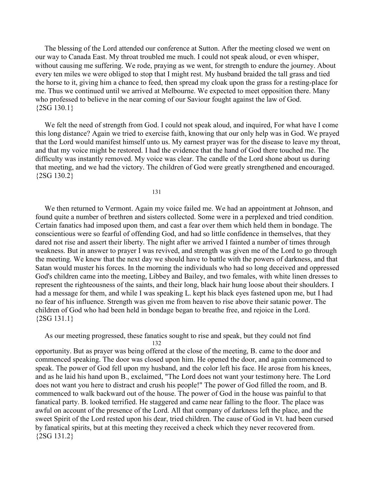The blessing of the Lord attended our conference at Sutton. After the meeting closed we went on our way to Canada East. My throat troubled me much. I could not speak aloud, or even whisper, without causing me suffering. We rode, praying as we went, for strength to endure the journey. About every ten miles we were obliged to stop that I might rest. My husband braided the tall grass and tied the horse to it, giving him a chance to feed, then spread my cloak upon the grass for a resting-place for me. Thus we continued until we arrived at Melbourne. We expected to meet opposition there. Many who professed to believe in the near coming of our Saviour fought against the law of God.  ${2SG 130.1}$ 

 We felt the need of strength from God. I could not speak aloud, and inquired, For what have I come this long distance? Again we tried to exercise faith, knowing that our only help was in God. We prayed that the Lord would manifest himself unto us. My earnest prayer was for the disease to leave my throat, and that my voice might be restored. I had the evidence that the hand of God there touched me. The difficulty was instantly removed. My voice was clear. The candle of the Lord shone about us during that meeting, and we had the victory. The children of God were greatly strengthened and encouraged. {2SG 130.2}

131

 We then returned to Vermont. Again my voice failed me. We had an appointment at Johnson, and found quite a number of brethren and sisters collected. Some were in a perplexed and tried condition. Certain fanatics had imposed upon them, and cast a fear over them which held them in bondage. The conscientious were so fearful of offending God, and had so little confidence in themselves, that they dared not rise and assert their liberty. The night after we arrived I fainted a number of times through weakness. But in answer to prayer I was revived, and strength was given me of the Lord to go through the meeting. We knew that the next day we should have to battle with the powers of darkness, and that Satan would muster his forces. In the morning the individuals who had so long deceived and oppressed God's children came into the meeting, Libbey and Bailey, and two females, with white linen dresses to represent the righteousness of the saints, and their long, black hair hung loose about their shoulders. I had a message for them, and while I was speaking L. kept his black eyes fastened upon me, but I had no fear of his influence. Strength was given me from heaven to rise above their satanic power. The children of God who had been held in bondage began to breathe free, and rejoice in the Lord. {2SG 131.1}

 As our meeting progressed, these fanatics sought to rise and speak, but they could not find 132

opportunity. But as prayer was being offered at the close of the meeting, B. came to the door and commenced speaking. The door was closed upon him. He opened the door, and again commenced to speak. The power of God fell upon my husband, and the color left his face. He arose from his knees, and as he laid his hand upon B., exclaimed, "The Lord does not want your testimony here. The Lord does not want you here to distract and crush his people!" The power of God filled the room, and B. commenced to walk backward out of the house. The power of God in the house was painful to that fanatical party. B. looked terrified. He staggered and came near falling to the floor. The place was awful on account of the presence of the Lord. All that company of darkness left the place, and the sweet Spirit of the Lord rested upon his dear, tried children. The cause of God in Vt. had been cursed by fanatical spirits, but at this meeting they received a check which they never recovered from. {2SG 131.2}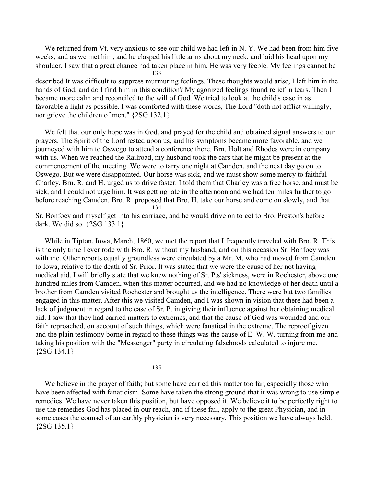We returned from Vt. very anxious to see our child we had left in N.Y. We had been from him five weeks, and as we met him, and he clasped his little arms about my neck, and laid his head upon my shoulder, I saw that a great change had taken place in him. He was very feeble. My feelings cannot be 133 described It was difficult to suppress murmuring feelings. These thoughts would arise, I left him in the hands of God, and do I find him in this condition? My agonized feelings found relief in tears. Then I became more calm and reconciled to the will of God. We tried to look at the child's case in as favorable a light as possible. I was comforted with these words, The Lord "doth not afflict willingly, nor grieve the children of men." {2SG 132.1}

 We felt that our only hope was in God, and prayed for the child and obtained signal answers to our prayers. The Spirit of the Lord rested upon us, and his symptoms became more favorable, and we journeyed with him to Oswego to attend a conference there. Brn. Holt and Rhodes were in company with us. When we reached the Railroad, my husband took the cars that he might be present at the commencement of the meeting. We were to tarry one night at Camden, and the next day go on to Oswego. But we were disappointed. Our horse was sick, and we must show some mercy to faithful Charley. Brn. R. and H. urged us to drive faster. I told them that Charley was a free horse, and must be sick, and I could not urge him. It was getting late in the afternoon and we had ten miles further to go before reaching Camden. Bro. R. proposed that Bro. H. take our horse and come on slowly, and that 134

Sr. Bonfoey and myself get into his carriage, and he would drive on to get to Bro. Preston's before dark. We did so. {2SG 133.1}

 While in Tipton, Iowa, March, 1860, we met the report that I frequently traveled with Bro. R. This is the only time I ever rode with Bro. R. without my husband, and on this occasion Sr. Bonfoey was with me. Other reports equally groundless were circulated by a Mr. M. who had moved from Camden to Iowa, relative to the death of Sr. Prior. It was stated that we were the cause of her not having medical aid. I will briefly state that we knew nothing of Sr. P.s' sickness, were in Rochester, above one hundred miles from Camden, when this matter occurred, and we had no knowledge of her death until a brother from Camden visited Rochester and brought us the intelligence. There were but two families engaged in this matter. After this we visited Camden, and I was shown in vision that there had been a lack of judgment in regard to the case of Sr. P. in giving their influence against her obtaining medical aid. I saw that they had carried matters to extremes, and that the cause of God was wounded and our faith reproached, on account of such things, which were fanatical in the extreme. The reproof given and the plain testimony borne in regard to these things was the cause of E. W. W. turning from me and taking his position with the "Messenger" party in circulating falsehoods calculated to injure me.  ${2SG 134.1}$ 

135

We believe in the prayer of faith; but some have carried this matter too far, especially those who have been affected with fanaticism. Some have taken the strong ground that it was wrong to use simple remedies. We have never taken this position, but have opposed it. We believe it to be perfectly right to use the remedies God has placed in our reach, and if these fail, apply to the great Physician, and in some cases the counsel of an earthly physician is very necessary. This position we have always held.  ${2SG 135.1}$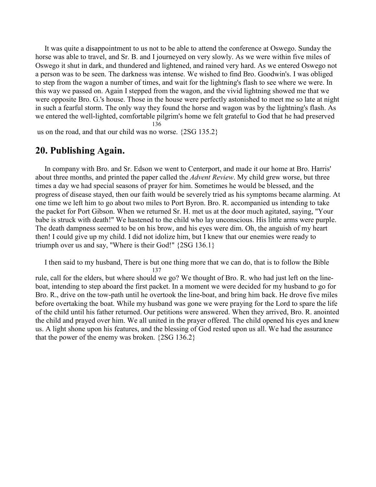It was quite a disappointment to us not to be able to attend the conference at Oswego. Sunday the horse was able to travel, and Sr. B. and I journeyed on very slowly. As we were within five miles of Oswego it shut in dark, and thundered and lightened, and rained very hard. As we entered Oswego not a person was to be seen. The darkness was intense. We wished to find Bro. Goodwin's. I was obliged to step from the wagon a number of times, and wait for the lightning's flash to see where we were. In this way we passed on. Again I stepped from the wagon, and the vivid lightning showed me that we were opposite Bro. G.'s house. Those in the house were perfectly astonished to meet me so late at night in such a fearful storm. The only way they found the horse and wagon was by the lightning's flash. As we entered the well-lighted, comfortable pilgrim's home we felt grateful to God that he had preserved 136

us on the road, and that our child was no worse. {2SG 135.2}

## **20. Publishing Again.**

 In company with Bro. and Sr. Edson we went to Centerport, and made it our home at Bro. Harris' about three months, and printed the paper called the *Advent Review*. My child grew worse, but three times a day we had special seasons of prayer for him. Sometimes he would be blessed, and the progress of disease stayed, then our faith would be severely tried as his symptoms became alarming. At one time we left him to go about two miles to Port Byron. Bro. R. accompanied us intending to take the packet for Port Gibson. When we returned Sr. H. met us at the door much agitated, saying, "Your babe is struck with death!" We hastened to the child who lay unconscious. His little arms were purple. The death dampness seemed to be on his brow, and his eyes were dim. Oh, the anguish of my heart then! I could give up my child. I did not idolize him, but I knew that our enemies were ready to triumph over us and say, "Where is their God!" {2SG 136.1}

 I then said to my husband, There is but one thing more that we can do, that is to follow the Bible 137

rule, call for the elders, but where should we go? We thought of Bro. R. who had just left on the lineboat, intending to step aboard the first packet. In a moment we were decided for my husband to go for Bro. R., drive on the tow-path until he overtook the line-boat, and bring him back. He drove five miles before overtaking the boat. While my husband was gone we were praying for the Lord to spare the life of the child until his father returned. Our petitions were answered. When they arrived, Bro. R. anointed the child and prayed over him. We all united in the prayer offered. The child opened his eyes and knew us. A light shone upon his features, and the blessing of God rested upon us all. We had the assurance that the power of the enemy was broken. {2SG 136.2}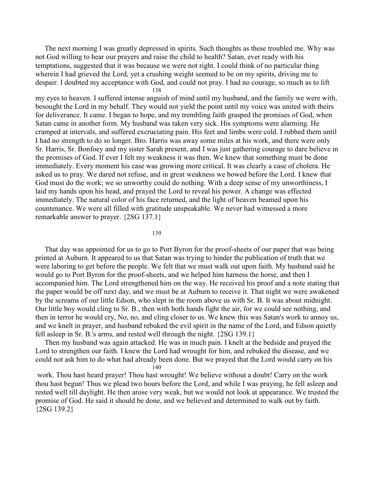The next morning I was greatly depressed in spirits. Such thoughts as these troubled me. Why was not God willing to hear our prayers and raise the child to health? Satan, ever ready with his temptations, suggested that it was because we were not right. I could think of no particular thing wherein I had grieved the Lord, yet a crushing weight seemed to be on my spirits, driving me to despair. I doubted my acceptance with God, and could not pray. I had no courage, so much as to lift 138

my eyes to heaven. I suffered intense anguish of mind until my husband, and the family we were with, besought the Lord in my behalf. They would not yield the point until my voice was united with theirs for deliverance. It came. I began to hope, and my trembling faith grasped the promises of God, when Satan came in another form. My husband was taken very sick. His symptoms were alarming. He cramped at intervals, and suffered excruciating pain. His feet and limbs were cold. I rubbed them until I had no strength to do so longer. Bro. Harris was away some miles at his work, and there were only Sr. Harris, Sr. Bonfoey and my sister Sarah present, and I was just gathering courage to dare believe in the promises of God. If ever I felt my weakness it was then. We knew that something must be done immediately. Every moment his case was growing more critical. It was clearly a case of cholera. He asked us to pray. We dared not refuse, and in great weakness we bowed before the Lord. I knew that God must do the work; we so unworthy could do nothing. With a deep sense of my unworthiness, I laid my hands upon his head, and prayed the Lord to reveal his power. A change was effected immediately. The natural color of his face returned, and the light of heaven beamed upon his countenance. We were all filled with gratitude unspeakable. We never had witnessed a more remarkable answer to prayer. {2SG 137.1}

139

 That day was appointed for us to go to Port Byron for the proof-sheets of our paper that was being printed at Auburn. It appeared to us that Satan was trying to hinder the publication of truth that we were laboring to get before the people. We felt that we must walk out upon faith. My husband said he would go to Port Byron for the proof-sheets, and we helped him harness the horse, and then I accompanied him. The Lord strengthened him on the way. He received his proof and a note stating that the paper would be off next day, and we must be at Auburn to receive it. That night we were awakened by the screams of our little Edson, who slept in the room above us with Sr. B. It was about midnight. Our little boy would cling to Sr. B., then with both hands fight the air, for we could see nothing, and then in terror he would cry, No, no, and cling closer to us. We knew this was Satan's work to annoy us, and we knelt in prayer, and husband rebuked the evil spirit in the name of the Lord, and Edson quietly fell asleep in Sr. B.'s arms, and rested well through the night. {2SG 139.1}

 Then my husband was again attacked. He was in much pain. I knelt at the bedside and prayed the Lord to strengthen our faith. I knew the Lord had wrought for him, and rebuked the disease, and we could not ask him to do what had already been done. But we prayed that the Lord would carry on his 140

 work. Thou hast heard prayer! Thou hast wrought! We believe without a doubt! Carry on the work thou hast begun! Thus we plead two hours before the Lord, and while I was praying, he fell asleep and rested well till daylight. He then arose very weak, but we would not look at appearance. We trusted the promise of God. He said it should be done, and we believed and determined to walk out by faith. {2SG 139.2}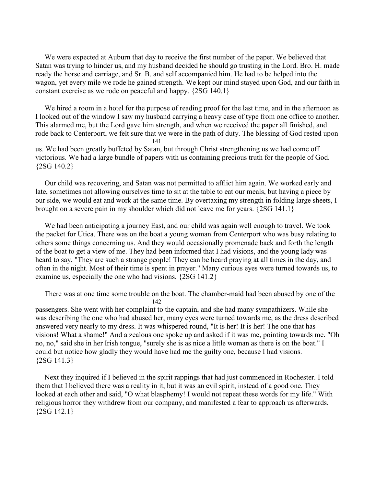We were expected at Auburn that day to receive the first number of the paper. We believed that Satan was trying to hinder us, and my husband decided he should go trusting in the Lord. Bro. H. made ready the horse and carriage, and Sr. B. and self accompanied him. He had to be helped into the wagon, yet every mile we rode he gained strength. We kept our mind stayed upon God, and our faith in constant exercise as we rode on peaceful and happy. {2SG 140.1}

 We hired a room in a hotel for the purpose of reading proof for the last time, and in the afternoon as I looked out of the window I saw my husband carrying a heavy case of type from one office to another. This alarmed me, but the Lord gave him strength, and when we received the paper all finished, and rode back to Centerport, we felt sure that we were in the path of duty. The blessing of God rested upon 141 us. We had been greatly buffeted by Satan, but through Christ strengthening us we had come off

victorious. We had a large bundle of papers with us containing precious truth for the people of God. {2SG 140.2}

 Our child was recovering, and Satan was not permitted to afflict him again. We worked early and late, sometimes not allowing ourselves time to sit at the table to eat our meals, but having a piece by our side, we would eat and work at the same time. By overtaxing my strength in folding large sheets, I brought on a severe pain in my shoulder which did not leave me for years. {2SG 141.1}

 We had been anticipating a journey East, and our child was again well enough to travel. We took the packet for Utica. There was on the boat a young woman from Centerport who was busy relating to others some things concerning us. And they would occasionally promenade back and forth the length of the boat to get a view of me. They had been informed that I had visions, and the young lady was heard to say, "They are such a strange people! They can be heard praying at all times in the day, and often in the night. Most of their time is spent in prayer." Many curious eyes were turned towards us, to examine us, especially the one who had visions. {2SG 141.2}

There was at one time some trouble on the boat. The chamber-maid had been abused by one of the 142 142

passengers. She went with her complaint to the captain, and she had many sympathizers. While she was describing the one who had abused her, many eyes were turned towards me, as the dress described answered very nearly to my dress. It was whispered round, "It is her! It is her! The one that has visions! What a shame!" And a zealous one spoke up and asked if it was me, pointing towards me. "Oh no, no," said she in her Irish tongue, "surely she is as nice a little woman as there is on the boat." I could but notice how gladly they would have had me the guilty one, because I had visions. {2SG 141.3}

 Next they inquired if I believed in the spirit rappings that had just commenced in Rochester. I told them that I believed there was a reality in it, but it was an evil spirit, instead of a good one. They looked at each other and said, "O what blasphemy! I would not repeat these words for my life." With religious horror they withdrew from our company, and manifested a fear to approach us afterwards.  ${2SG 142.1}$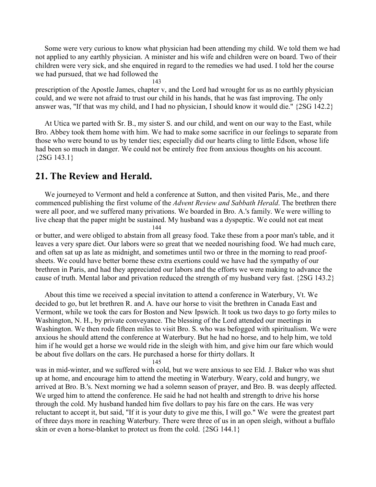Some were very curious to know what physician had been attending my child. We told them we had not applied to any earthly physician. A minister and his wife and children were on board. Two of their children were very sick, and she enquired in regard to the remedies we had used. I told her the course we had pursued, that we had followed the

143

prescription of the Apostle James, chapter v, and the Lord had wrought for us as no earthly physician could, and we were not afraid to trust our child in his hands, that he was fast improving. The only answer was, "If that was my child, and I had no physician, I should know it would die." {2SG 142.2}

 At Utica we parted with Sr. B., my sister S. and our child, and went on our way to the East, while Bro. Abbey took them home with him. We had to make some sacrifice in our feelings to separate from those who were bound to us by tender ties; especially did our hearts cling to little Edson, whose life had been so much in danger. We could not be entirely free from anxious thoughts on his account. {2SG 143.1}

## **21. The Review and Herald.**

 We journeyed to Vermont and held a conference at Sutton, and then visited Paris, Me., and there commenced publishing the first volume of the *Advent Review and Sabbath Herald*. The brethren there were all poor, and we suffered many privations. We boarded in Bro. A.'s family. We were willing to live cheap that the paper might be sustained. My husband was a dyspeptic. We could not eat meat 144

or butter, and were obliged to abstain from all greasy food. Take these from a poor man's table, and it leaves a very spare diet. Our labors were so great that we needed nourishing food. We had much care, and often sat up as late as midnight, and sometimes until two or three in the morning to read proofsheets. We could have better borne these extra exertions could we have had the sympathy of our brethren in Paris, and had they appreciated our labors and the efforts we were making to advance the cause of truth. Mental labor and privation reduced the strength of my husband very fast. {2SG 143.2}

 About this time we received a special invitation to attend a conference in Waterbury, Vt. We decided to go, but let brethren R. and A. have our horse to visit the brethren in Canada East and Vermont, while we took the cars for Boston and New Ipswich. It took us two days to go forty miles to Washington, N. H., by private conveyance. The blessing of the Lord attended our meetings in Washington. We then rode fifteen miles to visit Bro. S. who was befogged with spiritualism. We were anxious he should attend the conference at Waterbury. But he had no horse, and to help him, we told him if he would get a horse we would ride in the sleigh with him, and give him our fare which would be about five dollars on the cars. He purchased a horse for thirty dollars. It

 145 was in mid-winter, and we suffered with cold, but we were anxious to see Eld. J. Baker who was shut up at home, and encourage him to attend the meeting in Waterbury. Weary, cold and hungry, we arrived at Bro. B.'s. Next morning we had a solemn season of prayer, and Bro. B. was deeply affected. We urged him to attend the conference. He said he had not health and strength to drive his horse through the cold. My husband handed him five dollars to pay his fare on the cars. He was very reluctant to accept it, but said, "If it is your duty to give me this, I will go." We were the greatest part of three days more in reaching Waterbury. There were three of us in an open sleigh, without a buffalo skin or even a horse-blanket to protect us from the cold. {2SG 144.1}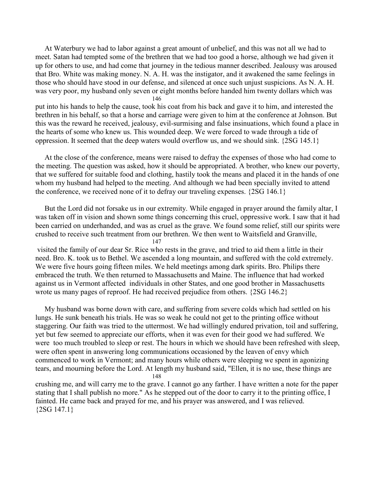At Waterbury we had to labor against a great amount of unbelief, and this was not all we had to meet. Satan had tempted some of the brethren that we had too good a horse, although we had given it up for others to use, and had come that journey in the tedious manner described. Jealousy was aroused that Bro. White was making money. N. A. H. was the instigator, and it awakened the same feelings in those who should have stood in our defense, and silenced at once such unjust suspicions. As N. A. H. was very poor, my husband only seven or eight months before handed him twenty dollars which was 146

put into his hands to help the cause, took his coat from his back and gave it to him, and interested the brethren in his behalf, so that a horse and carriage were given to him at the conference at Johnson. But this was the reward he received, jealousy, evil-surmising and false insinuations, which found a place in the hearts of some who knew us. This wounded deep. We were forced to wade through a tide of oppression. It seemed that the deep waters would overflow us, and we should sink. {2SG 145.1}

 At the close of the conference, means were raised to defray the expenses of those who had come to the meeting. The question was asked, how it should be appropriated. A brother, who knew our poverty, that we suffered for suitable food and clothing, hastily took the means and placed it in the hands of one whom my husband had helped to the meeting. And although we had been specially invited to attend the conference, we received none of it to defray our traveling expenses. {2SG 146.1}

 But the Lord did not forsake us in our extremity. While engaged in prayer around the family altar, I was taken off in vision and shown some things concerning this cruel, oppressive work. I saw that it had been carried on underhanded, and was as cruel as the grave. We found some relief, still our spirits were crushed to receive such treatment from our brethren. We then went to Waitsfield and Granville, 147

 visited the family of our dear Sr. Rice who rests in the grave, and tried to aid them a little in their need. Bro. K. took us to Bethel. We ascended a long mountain, and suffered with the cold extremely. We were five hours going fifteen miles. We held meetings among dark spirits. Bro. Philips there embraced the truth. We then returned to Massachusetts and Maine. The influence that had worked against us in Vermont affected individuals in other States, and one good brother in Massachusetts wrote us many pages of reproof. He had received prejudice from others. {2SG 146.2}

 My husband was borne down with care, and suffering from severe colds which had settled on his lungs. He sunk beneath his trials. He was so weak he could not get to the printing office without staggering. Our faith was tried to the uttermost. We had willingly endured privation, toil and suffering, yet but few seemed to appreciate our efforts, when it was even for their good we had suffered. We were too much troubled to sleep or rest. The hours in which we should have been refreshed with sleep, were often spent in answering long communications occasioned by the leaven of envy which commenced to work in Vermont; and many hours while others were sleeping we spent in agonizing tears, and mourning before the Lord. At length my husband said, "Ellen, it is no use, these things are 148

crushing me, and will carry me to the grave. I cannot go any farther. I have written a note for the paper stating that I shall publish no more." As he stepped out of the door to carry it to the printing office, I fainted. He came back and prayed for me, and his prayer was answered, and I was relieved.  ${2SG}$  147.1}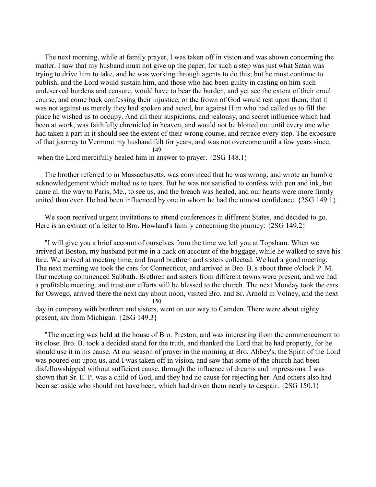The next morning, while at family prayer, I was taken off in vision and was shown concerning the matter. I saw that my husband must not give up the paper, for such a step was just what Satan was trying to drive him to take, and he was working through agents to do this; but he must continue to publish, and the Lord would sustain him, and those who had been guilty in casting on him such undeserved burdens and censure, would have to bear the burden, and yet see the extent of their cruel course, and come back confessing their injustice, or the frown of God would rest upon them; that it was not against us merely they had spoken and acted, but against Him who had called us to fill the place he wished us to occupy. And all their suspicions, and jealousy, and secret influence which had been at work, was faithfully chronicled in heaven, and would not be blotted out until every one who had taken a part in it should see the extent of their wrong course, and retrace every step. The exposure of that journey to Vermont my husband felt for years, and was not overcome until a few years since, 149

when the Lord mercifully healed him in answer to prayer. {2SG 148.1}

 The brother referred to in Massachusetts, was convinced that he was wrong, and wrote an humble acknowledgement which melted us to tears. But he was not satisfied to confess with pen and ink, but came all the way to Paris, Me., to see us, and the breach was healed, and our hearts were more firmly united than ever. He had been influenced by one in whom he had the utmost confidence. {2SG 149.1}

 We soon received urgent invitations to attend conferences in different States, and decided to go. Here is an extract of a letter to Bro. Howland's family concerning the journey: {2SG 149.2}

 "I will give you a brief account of ourselves from the time we left you at Topsham. When we arrived at Boston, my husband put me in a hack on account of the baggage, while he walked to save his fare. We arrived at meeting time, and found brethren and sisters collected. We had a good meeting. The next morning we took the cars for Connecticut, and arrived at Bro. B.'s about three o'clock P. M. Our meeting commenced Sabbath. Brethren and sisters from different towns were present, and we had a profitable meeting, and trust our efforts will be blessed to the church. The next Monday took the cars for Oswego, arrived there the next day about noon, visited Bro. and Sr. Arnold in Volney, and the next 150

day in company with brethren and sisters, went on our way to Camden. There were about eighty present, six from Michigan. {2SG 149.3}

 "The meeting was held at the house of Bro. Preston, and was interesting from the commencement to its close. Bro. B. took a decided stand for the truth, and thanked the Lord that he had property, for he should use it in his cause. At our season of prayer in the morning at Bro. Abbey's, the Spirit of the Lord was poured out upon us, and I was taken off in vision, and saw that some of the church had been disfellowshipped without sufficient cause, through the influence of dreams and impressions. I was shown that Sr. E. P. was a child of God, and they had no cause for rejecting her. And others also had been set aside who should not have been, which had driven them nearly to despair. {2SG 150.1}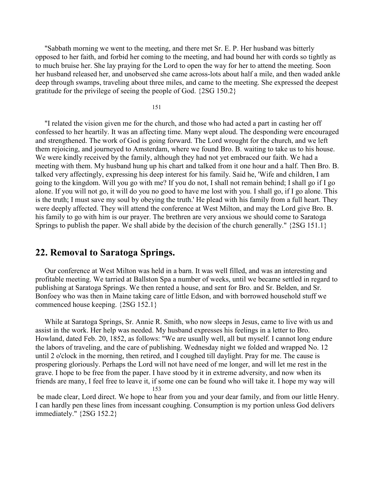"Sabbath morning we went to the meeting, and there met Sr. E. P. Her husband was bitterly opposed to her faith, and forbid her coming to the meeting, and had bound her with cords so tightly as to much bruise her. She lay praying for the Lord to open the way for her to attend the meeting. Soon her husband released her, and unobserved she came across-lots about half a mile, and then waded ankle deep through swamps, traveling about three miles, and came to the meeting. She expressed the deepest gratitude for the privilege of seeing the people of God. {2SG 150.2}

151

 "I related the vision given me for the church, and those who had acted a part in casting her off confessed to her heartily. It was an affecting time. Many wept aloud. The desponding were encouraged and strengthened. The work of God is going forward. The Lord wrought for the church, and we left them rejoicing, and journeyed to Amsterdam, where we found Bro. B. waiting to take us to his house. We were kindly received by the family, although they had not yet embraced our faith. We had a meeting with them. My husband hung up his chart and talked from it one hour and a half. Then Bro. B. talked very affectingly, expressing his deep interest for his family. Said he, 'Wife and children, I am going to the kingdom. Will you go with me? If you do not, I shall not remain behind; I shall go if I go alone. If you will not go, it will do you no good to have me lost with you. I shall go, if I go alone. This is the truth; I must save my soul by obeying the truth.' He plead with his family from a full heart. They were deeply affected. They will attend the conference at West Milton, and may the Lord give Bro. B. his family to go with him is our prayer. The brethren are very anxious we should come to Saratoga Springs to publish the paper. We shall abide by the decision of the church generally." {2SG 151.1}

### **22. Removal to Saratoga Springs.**

 Our conference at West Milton was held in a barn. It was well filled, and was an interesting and profitable meeting. We tarried at Ballston Spa a number of weeks, until we became settled in regard to publishing at Saratoga Springs. We then rented a house, and sent for Bro. and Sr. Belden, and Sr. Bonfoey who was then in Maine taking care of little Edson, and with borrowed household stuff we commenced house keeping. {2SG 152.1}

 While at Saratoga Springs, Sr. Annie R. Smith, who now sleeps in Jesus, came to live with us and assist in the work. Her help was needed. My husband expresses his feelings in a letter to Bro. Howland, dated Feb. 20, 1852, as follows: "We are usually well, all but myself. I cannot long endure the labors of traveling, and the care of publishing. Wednesday night we folded and wrapped No. 12 until 2 o'clock in the morning, then retired, and I coughed till daylight. Pray for me. The cause is prospering gloriously. Perhaps the Lord will not have need of me longer, and will let me rest in the grave. I hope to be free from the paper. I have stood by it in extreme adversity, and now when its friends are many, I feel free to leave it, if some one can be found who will take it. I hope my way will 153

 be made clear, Lord direct. We hope to hear from you and your dear family, and from our little Henry. I can hardly pen these lines from incessant coughing. Consumption is my portion unless God delivers immediately." {2SG 152.2}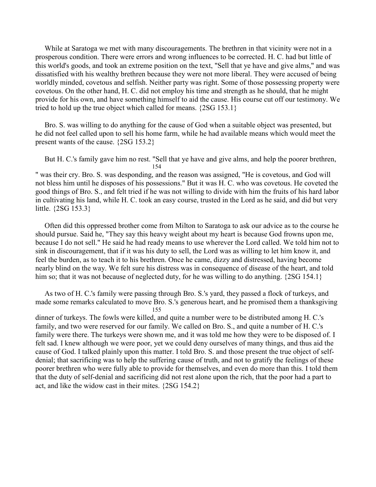While at Saratoga we met with many discouragements. The brethren in that vicinity were not in a prosperous condition. There were errors and wrong influences to be corrected. H. C. had but little of this world's goods, and took an extreme position on the text, "Sell that ye have and give alms," and was dissatisfied with his wealthy brethren because they were not more liberal. They were accused of being worldly minded, covetous and selfish. Neither party was right. Some of those possessing property were covetous. On the other hand, H. C. did not employ his time and strength as he should, that he might provide for his own, and have something himself to aid the cause. His course cut off our testimony. We tried to hold up the true object which called for means. {2SG 153.1}

 Bro. S. was willing to do anything for the cause of God when a suitable object was presented, but he did not feel called upon to sell his home farm, while he had available means which would meet the present wants of the cause. {2SG 153.2}

 But H. C.'s family gave him no rest. "Sell that ye have and give alms, and help the poorer brethren, 154

" was their cry. Bro. S. was desponding, and the reason was assigned, "He is covetous, and God will not bless him until he disposes of his possessions." But it was H. C. who was covetous. He coveted the good things of Bro. S., and felt tried if he was not willing to divide with him the fruits of his hard labor in cultivating his land, while H. C. took an easy course, trusted in the Lord as he said, and did but very little. {2SG 153.3}

 Often did this oppressed brother come from Milton to Saratoga to ask our advice as to the course he should pursue. Said he, "They say this heavy weight about my heart is because God frowns upon me, because I do not sell." He said he had ready means to use wherever the Lord called. We told him not to sink in discouragement, that if it was his duty to sell, the Lord was as willing to let him know it, and feel the burden, as to teach it to his brethren. Once he came, dizzy and distressed, having become nearly blind on the way. We felt sure his distress was in consequence of disease of the heart, and told him so; that it was not because of neglected duty, for he was willing to do anything. {2SG 154.1}

 As two of H. C.'s family were passing through Bro. S.'s yard, they passed a flock of turkeys, and made some remarks calculated to move Bro. S.'s generous heart, and he promised them a thanksgiving 155

dinner of turkeys. The fowls were killed, and quite a number were to be distributed among H. C.'s family, and two were reserved for our family. We called on Bro. S., and quite a number of H. C.'s family were there. The turkeys were shown me, and it was told me how they were to be disposed of. I felt sad. I knew although we were poor, yet we could deny ourselves of many things, and thus aid the cause of God. I talked plainly upon this matter. I told Bro. S. and those present the true object of selfdenial; that sacrificing was to help the suffering cause of truth, and not to gratify the feelings of these poorer brethren who were fully able to provide for themselves, and even do more than this. I told them that the duty of self-denial and sacrificing did not rest alone upon the rich, that the poor had a part to act, and like the widow cast in their mites. {2SG 154.2}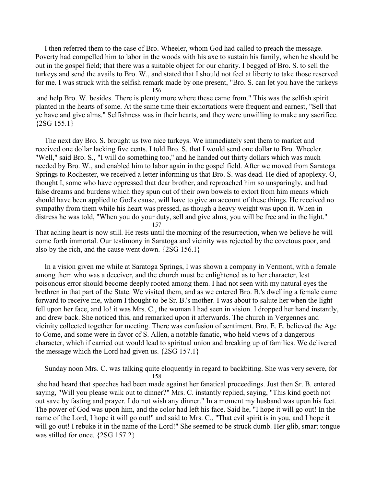I then referred them to the case of Bro. Wheeler, whom God had called to preach the message. Poverty had compelled him to labor in the woods with his axe to sustain his family, when he should be out in the gospel field; that there was a suitable object for our charity. I begged of Bro. S. to sell the turkeys and send the avails to Bro. W., and stated that I should not feel at liberty to take those reserved for me. I was struck with the selfish remark made by one present, "Bro. S. can let you have the turkeys

156

 and help Bro. W. besides. There is plenty more where these came from." This was the selfish spirit planted in the hearts of some. At the same time their exhortations were frequent and earnest, "Sell that ye have and give alms." Selfishness was in their hearts, and they were unwilling to make any sacrifice.  ${2SG 155.1}$ 

 The next day Bro. S. brought us two nice turkeys. We immediately sent them to market and received one dollar lacking five cents. I told Bro. S. that I would send one dollar to Bro. Wheeler. "Well," said Bro. S., "I will do something too," and he handed out thirty dollars which was much needed by Bro. W., and enabled him to labor again in the gospel field. After we moved from Saratoga Springs to Rochester, we received a letter informing us that Bro. S. was dead. He died of apoplexy. O, thought I, some who have oppressed that dear brother, and reproached him so unsparingly, and had false dreams and burdens which they spun out of their own bowels to extort from him means which should have been applied to God's cause, will have to give an account of these things. He received no sympathy from them while his heart was pressed, as though a heavy weight was upon it. When in distress he was told, "When you do your duty, sell and give alms, you will be free and in the light." 157

That aching heart is now still. He rests until the morning of the resurrection, when we believe he will come forth immortal. Our testimony in Saratoga and vicinity was rejected by the covetous poor, and also by the rich, and the cause went down. {2SG 156.1}

 In a vision given me while at Saratoga Springs, I was shown a company in Vermont, with a female among them who was a deceiver, and the church must be enlightened as to her character, lest poisonous error should become deeply rooted among them. I had not seen with my natural eyes the brethren in that part of the State. We visited them, and as we entered Bro. B.'s dwelling a female came forward to receive me, whom I thought to be Sr. B.'s mother. I was about to salute her when the light fell upon her face, and lo! it was Mrs. C., the woman I had seen in vision. I dropped her hand instantly, and drew back. She noticed this, and remarked upon it afterwards. The church in Vergennes and vicinity collected together for meeting. There was confusion of sentiment. Bro. E. E. believed the Age to Come, and some were in favor of S. Allen, a notable fanatic, who held views of a dangerous character, which if carried out would lead to spiritual union and breaking up of families. We delivered the message which the Lord had given us. {2SG 157.1}

 Sunday noon Mrs. C. was talking quite eloquently in regard to backbiting. She was very severe, for 158

 she had heard that speeches had been made against her fanatical proceedings. Just then Sr. B. entered saying, "Will you please walk out to dinner?" Mrs. C. instantly replied, saying, "This kind goeth not out save by fasting and prayer. I do not wish any dinner." In a moment my husband was upon his feet. The power of God was upon him, and the color had left his face. Said he, "I hope it will go out! In the name of the Lord, I hope it will go out!" and said to Mrs. C., "That evil spirit is in you, and I hope it will go out! I rebuke it in the name of the Lord!" She seemed to be struck dumb. Her glib, smart tongue was stilled for once. {2SG 157.2}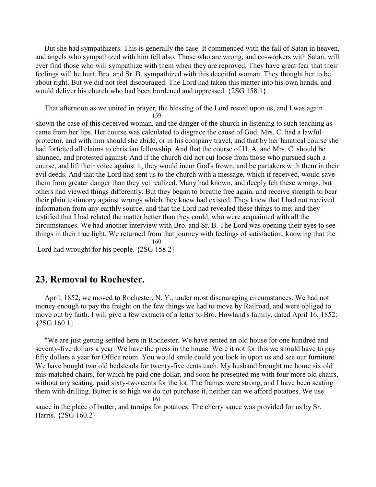But she had sympathizers. This is generally the case. It commenced with the fall of Satan in heaven, and angels who sympathized with him fell also. Those who are wrong, and co-workers with Satan, will ever find those who will sympathize with them when they are reproved. They have great fear that their feelings will be hurt. Bro. and Sr. B. sympathized with this deceitful woman. They thought her to be about right. But we did not feel discouraged. The Lord had taken this matter into his own hands, and would deliver his church who had been burdened and oppressed. {2SG 158.1}

 That afternoon as we united in prayer, the blessing of the Lord rested upon us, and I was again 159

shown the case of this deceived woman, and the danger of the church in listening to such teaching as came from her lips. Her course was calculated to disgrace the cause of God. Mrs. C. had a lawful protector, and with him should she abide, or in his company travel, and that by her fanatical course she had forfeited all claims to christian fellowship. And that the course of H. A. and Mrs. C. should be shunned, and protested against. And if the church did not cut loose from those who pursued such a course, and lift their voice against it, they would incur God's frown, and be partakers with them in their evil deeds. And that the Lord had sent us to the church with a message, which if received, would save them from greater danger than they yet realized. Many had known, and deeply felt these wrongs, but others had viewed things differently. But they began to breathe free again, and receive strength to bear their plain testimony against wrongs which they knew had existed. They knew that I had not received information from any earthly source, and that the Lord had revealed these things to me; and they testified that I had related the matter better than they could, who were acquainted with all the circumstances. We had another interview with Bro. and Sr. B. The Lord was opening their eyes to see things in their true light. We returned from that journey with feelings of satisfaction, knowing that the 160

Lord had wrought for his people.  ${2SG 158.2}$ 

### **23. Removal to Rochester.**

 April, 1852, we moved to Rochester, N. Y., under most discouraging circumstances. We had not money enough to pay the freight on the few things we had to move by Railroad, and were obliged to move out by faith. I will give a few extracts of a letter to Bro. Howland's family, dated April 16, 1852:  ${2SG 160.1}$ 

 "We are just getting settled here in Rochester. We have rented an old house for one hundred and seventy-five dollars a year. We have the press in the house. Were it not for this we should have to pay fifty dollars a year for Office room. You would smile could you look in upon us and see our furniture. We have bought two old bedsteads for twenty-five cents each. My husband brought me home six old mis-matched chairs, for which he paid one dollar, and soon he presented me with four more old chairs, without any seating, paid sixty-two cents for the lot. The frames were strong, and I have been seating them with drilling. Butter is so high we do not purchase it, neither can we afford potatoes. We use 161

sauce in the place of butter, and turnips for potatoes. The cherry sauce was provided for us by Sr. Harris. {2SG 160.2}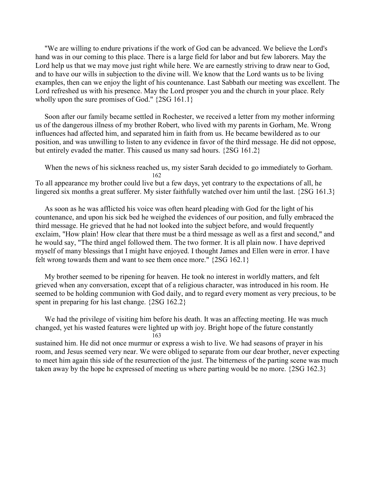"We are willing to endure privations if the work of God can be advanced. We believe the Lord's hand was in our coming to this place. There is a large field for labor and but few laborers. May the Lord help us that we may move just right while here. We are earnestly striving to draw near to God, and to have our wills in subjection to the divine will. We know that the Lord wants us to be living examples, then can we enjoy the light of his countenance. Last Sabbath our meeting was excellent. The Lord refreshed us with his presence. May the Lord prosper you and the church in your place. Rely wholly upon the sure promises of God." {2SG 161.1}

 Soon after our family became settled in Rochester, we received a letter from my mother informing us of the dangerous illness of my brother Robert, who lived with my parents in Gorham, Me. Wrong influences had affected him, and separated him in faith from us. He became bewildered as to our position, and was unwilling to listen to any evidence in favor of the third message. He did not oppose, but entirely evaded the matter. This caused us many sad hours. {2SG 161.2}

When the news of his sickness reached us, my sister Sarah decided to go immediately to Gorham. 162 To all appearance my brother could live but a few days, yet contrary to the expectations of all, he lingered six months a great sufferer. My sister faithfully watched over him until the last. {2SG 161.3}

 As soon as he was afflicted his voice was often heard pleading with God for the light of his countenance, and upon his sick bed he weighed the evidences of our position, and fully embraced the third message. He grieved that he had not looked into the subject before, and would frequently exclaim, "How plain! How clear that there must be a third message as well as a first and second," and he would say, "The third angel followed them. The two former. It is all plain now. I have deprived myself of many blessings that I might have enjoyed. I thought James and Ellen were in error. I have felt wrong towards them and want to see them once more." {2SG 162.1}

 My brother seemed to be ripening for heaven. He took no interest in worldly matters, and felt grieved when any conversation, except that of a religious character, was introduced in his room. He seemed to be holding communion with God daily, and to regard every moment as very precious, to be spent in preparing for his last change. {2SG 162.2}

We had the privilege of visiting him before his death. It was an affecting meeting. He was much changed, yet his wasted features were lighted up with joy. Bright hope of the future constantly 163

sustained him. He did not once murmur or express a wish to live. We had seasons of prayer in his room, and Jesus seemed very near. We were obliged to separate from our dear brother, never expecting to meet him again this side of the resurrection of the just. The bitterness of the parting scene was much taken away by the hope he expressed of meeting us where parting would be no more. {2SG 162.3}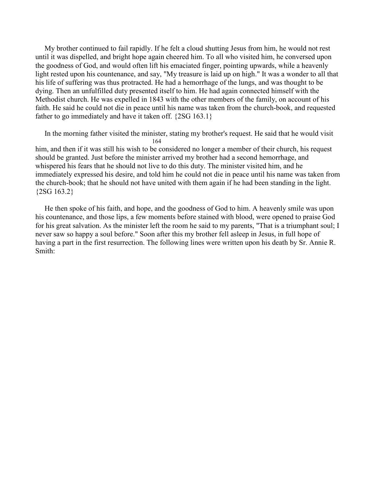My brother continued to fail rapidly. If he felt a cloud shutting Jesus from him, he would not rest until it was dispelled, and bright hope again cheered him. To all who visited him, he conversed upon the goodness of God, and would often lift his emaciated finger, pointing upwards, while a heavenly light rested upon his countenance, and say, "My treasure is laid up on high." It was a wonder to all that his life of suffering was thus protracted. He had a hemorrhage of the lungs, and was thought to be dying. Then an unfulfilled duty presented itself to him. He had again connected himself with the Methodist church. He was expelled in 1843 with the other members of the family, on account of his faith. He said he could not die in peace until his name was taken from the church-book, and requested father to go immediately and have it taken off. {2SG 163.1}

In the morning father visited the minister, stating my brother's request. He said that he would visit

 164 him, and then if it was still his wish to be considered no longer a member of their church, his request should be granted. Just before the minister arrived my brother had a second hemorrhage, and whispered his fears that he should not live to do this duty. The minister visited him, and he immediately expressed his desire, and told him he could not die in peace until his name was taken from the church-book; that he should not have united with them again if he had been standing in the light. {2SG 163.2}

 He then spoke of his faith, and hope, and the goodness of God to him. A heavenly smile was upon his countenance, and those lips, a few moments before stained with blood, were opened to praise God for his great salvation. As the minister left the room he said to my parents, "That is a triumphant soul; I never saw so happy a soul before." Soon after this my brother fell asleep in Jesus, in full hope of having a part in the first resurrection. The following lines were written upon his death by Sr. Annie R. Smith: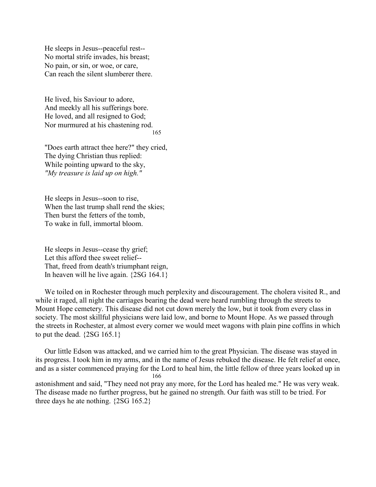He sleeps in Jesus--peaceful rest-- No mortal strife invades, his breast; No pain, or sin, or woe, or care, Can reach the silent slumberer there.

 He lived, his Saviour to adore, And meekly all his sufferings bore. He loved, and all resigned to God; Nor murmured at his chastening rod. 165

 "Does earth attract thee here?" they cried, The dying Christian thus replied: While pointing upward to the sky, *"My treasure is laid up on high."*

 He sleeps in Jesus--soon to rise, When the last trump shall rend the skies; Then burst the fetters of the tomb, To wake in full, immortal bloom.

 He sleeps in Jesus--cease thy grief; Let this afford thee sweet relief-- That, freed from death's triumphant reign, In heaven will he live again. {2SG 164.1}

We toiled on in Rochester through much perplexity and discouragement. The cholera visited R., and while it raged, all night the carriages bearing the dead were heard rumbling through the streets to Mount Hope cemetery. This disease did not cut down merely the low, but it took from every class in society. The most skillful physicians were laid low, and borne to Mount Hope. As we passed through the streets in Rochester, at almost every corner we would meet wagons with plain pine coffins in which to put the dead.  ${2SG 165.1}$ 

 Our little Edson was attacked, and we carried him to the great Physician. The disease was stayed in its progress. I took him in my arms, and in the name of Jesus rebuked the disease. He felt relief at once, and as a sister commenced praying for the Lord to heal him, the little fellow of three years looked up in 166 astonishment and said, "They need not pray any more, for the Lord has healed me." He was very weak.

The disease made no further progress, but he gained no strength. Our faith was still to be tried. For three days he ate nothing. {2SG 165.2}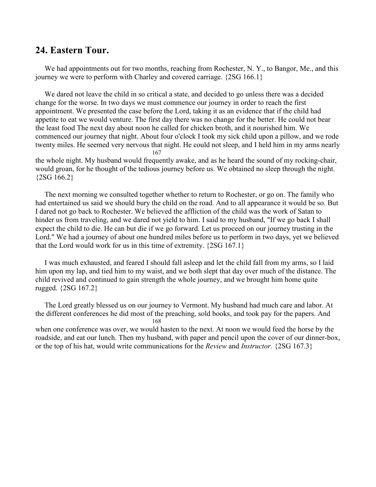### **24. Eastern Tour.**

We had appointments out for two months, reaching from Rochester, N. Y., to Bangor, Me., and this journey we were to perform with Charley and covered carriage. {2SG 166.1}

 We dared not leave the child in so critical a state, and decided to go unless there was a decided change for the worse. In two days we must commence our journey in order to reach the first appointment. We presented the case before the Lord, taking it as an evidence that if the child had appetite to eat we would venture. The first day there was no change for the better. He could not bear the least food The next day about noon he called for chicken broth, and it nourished him. We commenced our journey that night. About four o'clock I took my sick child upon a pillow, and we rode twenty miles. He seemed very nervous that night. He could not sleep, and I held him in my arms nearly 167 the whole night. My husband would frequently awake, and as he heard the sound of my rocking-chair,

would groan, for he thought of the tedious journey before us. We obtained no sleep through the night.  ${2SG 166.2}$ 

 The next morning we consulted together whether to return to Rochester, or go on. The family who had entertained us said we should bury the child on the road. And to all appearance it would be so. But I dared not go back to Rochester. We believed the affliction of the child was the work of Satan to hinder us from traveling, and we dared not yield to him. I said to my husband, "If we go back I shall expect the child to die. He can but die if we go forward. Let us proceed on our journey trusting in the Lord." We had a journey of about one hundred miles before us to perform in two days, yet we believed that the Lord would work for us in this time of extremity. {2SG 167.1}

 I was much exhausted, and feared I should fall asleep and let the child fall from my arms, so I laid him upon my lap, and tied him to my waist, and we both slept that day over much of the distance. The child revived and continued to gain strength the whole journey, and we brought him home quite rugged. {2SG 167.2}

 The Lord greatly blessed us on our journey to Vermont. My husband had much care and labor. At the different conferences he did most of the preaching, sold books, and took pay for the papers. And 168

when one conference was over, we would hasten to the next. At noon we would feed the horse by the roadside, and eat our lunch. Then my husband, with paper and pencil upon the cover of our dinner-box, or the top of his hat, would write communications for the *Review* and *Instructor.* {2SG 167.3}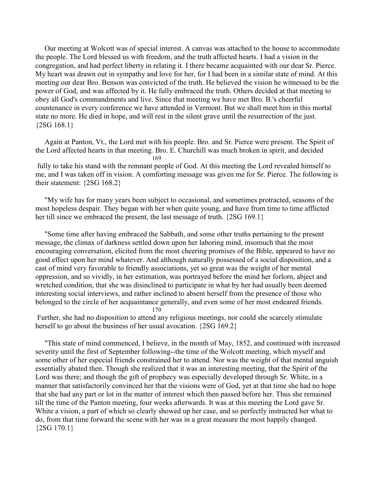Our meeting at Wolcott was of special interest. A canvas was attached to the house to accommodate the people. The Lord blessed us with freedom, and the truth affected hearts. I had a vision in the congregation, and had perfect liberty in relating it. I there became acquainted with our dear Sr. Pierce. My heart was drawn out in sympathy and love for her, for I had been in a similar state of mind. At this meeting our dear Bro. Benson was convicted of the truth. He believed the vision he witnessed to be the power of God, and was affected by it. He fully embraced the truth. Others decided at that meeting to obey all God's commandments and live. Since that meeting we have met Bro. B.'s cheerful countenance in every conference we have attended in Vermont. But we shall meet him in this mortal state no more. He died in hope, and will rest in the silent grave until the resurrection of the just.  ${2SG 168.1}$ 

 Again at Panton, Vt., the Lord met with his people. Bro. and Sr. Pierce were present. The Spirit of the Lord affected hearts in that meeting. Bro. E. Churchill was much broken in spirit, and decided 169

 fully to take his stand with the remnant people of God. At this meeting the Lord revealed himself to me, and I was taken off in vision. A comforting message was given me for Sr. Pierce. The following is their statement: {2SG 168.2}

 "My wife has for many years been subject to occasional, and sometimes protracted, seasons of the most hopeless despair. They began with her when quite young, and have from time to time afflicted her till since we embraced the present, the last message of truth. {2SG 169.1}

 "Some time after having embraced the Sabbath, and some other truths pertaining to the present message, the climax of darkness settled down upon her laboring mind, insomuch that the most encouraging conversation, elicited from the most cheering promises of the Bible, appeared to have no good effect upon her mind whatever. And although naturally possessed of a social disposition, and a cast of mind very favorable to friendly associations, yet so great was the weight of her mental oppression, and so vividly, in her estimation, was portrayed before the mind her forlorn, abject and wretched condition, that she was disinclined to participate in what by her had usually been deemed interesting social interviews, and rather inclined to absent herself from the presence of those who belonged to the circle of her acquaintance generally, and even some of her most endeared friends. 170

 Further, she had no disposition to attend any religious meetings, nor could she scarcely stimulate herself to go about the business of her usual avocation. {2SG 169.2}

 "This state of mind commenced, I believe, in the month of May, 1852, and continued with increased severity until the first of September following--the time of the Wolcott meeting, which myself and some other of her especial friends constrained her to attend. Nor was the weight of that mental anguish essentially abated then. Though she realized that it was an interesting meeting, that the Spirit of the Lord was there; and though the gift of prophecy was especially developed through Sr. White, in a manner that satisfactorily convinced her that the visions were of God, yet at that time she had no hope that she had any part or lot in the matter of interest which then passed before her. Thus she remained till the time of the Panton meeting, four weeks afterwards. It was at this meeting the Lord gave Sr. White a vision, a part of which so clearly showed up her case, and so perfectly instructed her what to do, from that time forward the scene with her was in a great measure the most happily changed. {2SG 170.1}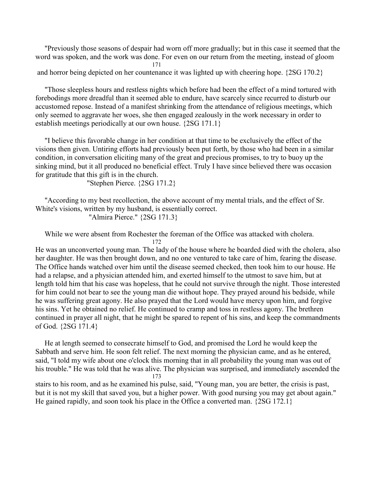"Previously those seasons of despair had worn off more gradually; but in this case it seemed that the word was spoken, and the work was done. For even on our return from the meeting, instead of gloom 171

and horror being depicted on her countenance it was lighted up with cheering hope. {2SG 170.2}

 "Those sleepless hours and restless nights which before had been the effect of a mind tortured with forebodings more dreadful than it seemed able to endure, have scarcely since recurred to disturb our accustomed repose. Instead of a manifest shrinking from the attendance of religious meetings, which only seemed to aggravate her woes, she then engaged zealously in the work necessary in order to establish meetings periodically at our own house. {2SG 171.1}

 "I believe this favorable change in her condition at that time to be exclusively the effect of the visions then given. Untiring efforts had previously been put forth, by those who had been in a similar condition, in conversation eliciting many of the great and precious promises, to try to buoy up the sinking mind, but it all produced no beneficial effect. Truly I have since believed there was occasion for gratitude that this gift is in the church.

"Stephen Pierce. {2SG 171.2}

 "According to my best recollection, the above account of my mental trials, and the effect of Sr. White's visions, written by my husband, is essentially correct.

"Almira Pierce." {2SG 171.3}

 While we were absent from Rochester the foreman of the Office was attacked with cholera. 172

He was an unconverted young man. The lady of the house where he boarded died with the cholera, also her daughter. He was then brought down, and no one ventured to take care of him, fearing the disease. The Office hands watched over him until the disease seemed checked, then took him to our house. He had a relapse, and a physician attended him, and exerted himself to the utmost to save him, but at length told him that his case was hopeless, that he could not survive through the night. Those interested for him could not bear to see the young man die without hope. They prayed around his bedside, while he was suffering great agony. He also prayed that the Lord would have mercy upon him, and forgive his sins. Yet he obtained no relief. He continued to cramp and toss in restless agony. The brethren continued in prayer all night, that he might be spared to repent of his sins, and keep the commandments of God. {2SG 171.4}

 He at length seemed to consecrate himself to God, and promised the Lord he would keep the Sabbath and serve him. He soon felt relief. The next morning the physician came, and as he entered, said, "I told my wife about one o'clock this morning that in all probability the young man was out of his trouble." He was told that he was alive. The physician was surprised, and immediately ascended the 173 stairs to his room, and as he examined his pulse, said, "Young man, you are better, the crisis is past, but it is not my skill that saved you, but a higher power. With good nursing you may get about again." He gained rapidly, and soon took his place in the Office a converted man. {2SG 172.1}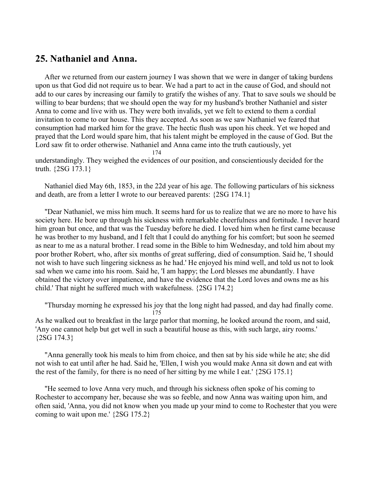## **25. Nathaniel and Anna.**

 After we returned from our eastern journey I was shown that we were in danger of taking burdens upon us that God did not require us to bear. We had a part to act in the cause of God, and should not add to our cares by increasing our family to gratify the wishes of any. That to save souls we should be willing to bear burdens; that we should open the way for my husband's brother Nathaniel and sister Anna to come and live with us. They were both invalids, yet we felt to extend to them a cordial invitation to come to our house. This they accepted. As soon as we saw Nathaniel we feared that consumption had marked him for the grave. The hectic flush was upon his cheek. Yet we hoped and prayed that the Lord would spare him, that his talent might be employed in the cause of God. But the Lord saw fit to order otherwise. Nathaniel and Anna came into the truth cautiously, yet

 174 understandingly. They weighed the evidences of our position, and conscientiously decided for the truth. {2SG 173.1}

 Nathaniel died May 6th, 1853, in the 22d year of his age. The following particulars of his sickness and death, are from a letter I wrote to our bereaved parents: {2SG 174.1}

 "Dear Nathaniel, we miss him much. It seems hard for us to realize that we are no more to have his society here. He bore up through his sickness with remarkable cheerfulness and fortitude. I never heard him groan but once, and that was the Tuesday before he died. I loved him when he first came because he was brother to my husband, and I felt that I could do anything for his comfort; but soon he seemed as near to me as a natural brother. I read some in the Bible to him Wednesday, and told him about my poor brother Robert, who, after six months of great suffering, died of consumption. Said he, 'I should not wish to have such lingering sickness as he had.' He enjoyed his mind well, and told us not to look sad when we came into his room. Said he, 'I am happy; the Lord blesses me abundantly. I have obtained the victory over impatience, and have the evidence that the Lord loves and owns me as his child.' That night he suffered much with wakefulness. {2SG 174.2}

 "Thursday morning he expressed his joy that the long night had passed, and day had finally come. 175

As he walked out to breakfast in the large parlor that morning, he looked around the room, and said, 'Any one cannot help but get well in such a beautiful house as this, with such large, airy rooms.' {2SG 174.3}

 "Anna generally took his meals to him from choice, and then sat by his side while he ate; she did not wish to eat until after he had. Said he, 'Ellen, I wish you would make Anna sit down and eat with the rest of the family, for there is no need of her sitting by me while I eat.' {2SG 175.1}

 "He seemed to love Anna very much, and through his sickness often spoke of his coming to Rochester to accompany her, because she was so feeble, and now Anna was waiting upon him, and often said, 'Anna, you did not know when you made up your mind to come to Rochester that you were coming to wait upon me.' {2SG 175.2}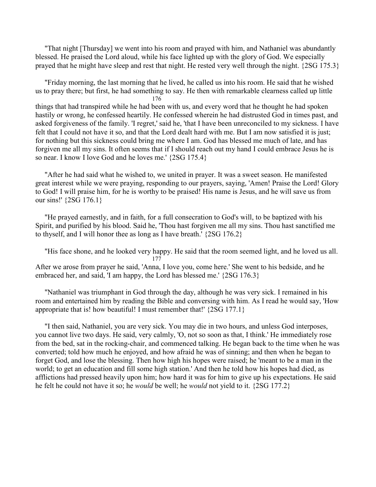"That night [Thursday] we went into his room and prayed with him, and Nathaniel was abundantly blessed. He praised the Lord aloud, while his face lighted up with the glory of God. We especially prayed that he might have sleep and rest that night. He rested very well through the night. {2SG 175.3}

 "Friday morning, the last morning that he lived, he called us into his room. He said that he wished us to pray there; but first, he had something to say. He then with remarkable clearness called up little 176

things that had transpired while he had been with us, and every word that he thought he had spoken hastily or wrong, he confessed heartily. He confessed wherein he had distrusted God in times past, and asked forgiveness of the family. 'I regret,' said he, 'that I have been unreconciled to my sickness. I have felt that I could not have it so, and that the Lord dealt hard with me. But I am now satisfied it is just; for nothing but this sickness could bring me where I am. God has blessed me much of late, and has forgiven me all my sins. It often seems that if I should reach out my hand I could embrace Jesus he is so near. I know I love God and he loves me.' {2SG 175.4}

 "After he had said what he wished to, we united in prayer. It was a sweet season. He manifested great interest while we were praying, responding to our prayers, saying, 'Amen! Praise the Lord! Glory to God! I will praise him, for he is worthy to be praised! His name is Jesus, and he will save us from our sins!' {2SG 176.1}

 "He prayed earnestly, and in faith, for a full consecration to God's will, to be baptized with his Spirit, and purified by his blood. Said he, 'Thou hast forgiven me all my sins. Thou hast sanctified me to thyself, and I will honor thee as long as I have breath.' {2SG 176.2}

 "His face shone, and he looked very happy. He said that the room seemed light, and he loved us all. 177

After we arose from prayer he said, 'Anna, I love you, come here.' She went to his bedside, and he embraced her, and said, 'I am happy, the Lord has blessed me.' {2SG 176.3}

 "Nathaniel was triumphant in God through the day, although he was very sick. I remained in his room and entertained him by reading the Bible and conversing with him. As I read he would say, 'How appropriate that is! how beautiful! I must remember that!' {2SG 177.1}

 "I then said, Nathaniel, you are very sick. You may die in two hours, and unless God interposes, you cannot live two days. He said, very calmly, 'O, not so soon as that, I think.' He immediately rose from the bed, sat in the rocking-chair, and commenced talking. He began back to the time when he was converted; told how much he enjoyed, and how afraid he was of sinning; and then when he began to forget God, and lose the blessing. Then how high his hopes were raised; he 'meant to be a man in the world; to get an education and fill some high station.' And then he told how his hopes had died, as afflictions had pressed heavily upon him; how hard it was for him to give up his expectations. He said he felt he could not have it so; he *would* be well; he *would* not yield to it. {2SG 177.2}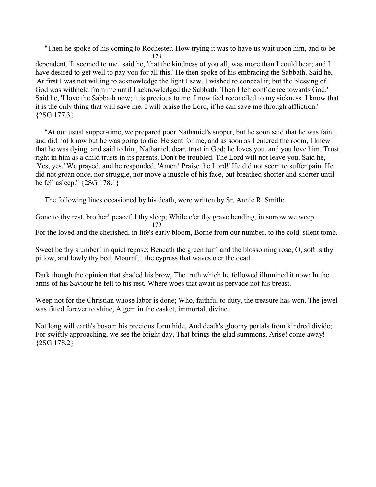"Then he spoke of his coming to Rochester. How trying it was to have us wait upon him, and to be 178

dependent. 'It seemed to me,' said he, 'that the kindness of you all, was more than I could bear; and I have desired to get well to pay you for all this.' He then spoke of his embracing the Sabbath. Said he, 'At first I was not willing to acknowledge the light I saw. I wished to conceal it; but the blessing of God was withheld from me until I acknowledged the Sabbath. Then I felt confidence towards God.' Said he, 'I love the Sabbath now; it is precious to me. I now feel reconciled to my sickness. I know that it is the only thing that will save me. I will praise the Lord, if he can save me through affliction.' {2SG 177.3}

 "At our usual supper-time, we prepared poor Nathaniel's supper, but he soon said that he was faint, and did not know but he was going to die. He sent for me, and as soon as I entered the room, I knew that he was dying, and said to him, Nathaniel, dear, trust in God; he loves you, and you love him. Trust right in him as a child trusts in its parents. Don't be troubled. The Lord will not leave you. Said he, 'Yes, yes.' We prayed, and he responded, 'Amen! Praise the Lord!' He did not seem to suffer pain. He did not groan once, nor struggle, nor move a muscle of his face, but breathed shorter and shorter until he fell asleep." {2SG 178.1}

The following lines occasioned by his death, were written by Sr. Annie R. Smith:

Gone to thy rest, brother! peaceful thy sleep; While o'er thy grave bending, in sorrow we weep,

 179 For the loved and the cherished, in life's early bloom, Borne from our number, to the cold, silent tomb.

Sweet be thy slumber! in quiet repose; Beneath the green turf, and the blossoming rose; O, soft is thy pillow, and lowly thy bed; Mournful the cypress that waves o'er the dead.

Dark though the opinion that shaded his brow, The truth which he followed illumined it now; In the arms of his Saviour he fell to his rest, Where woes that await us pervade not his breast.

Weep not for the Christian whose labor is done; Who, faithful to duty, the treasure has won. The jewel was fitted forever to shine, A gem in the casket, immortal, divine.

Not long will earth's bosom his precious form hide, And death's gloomy portals from kindred divide; For swiftly approaching, we see the bright day, That brings the glad summons, Arise! come away! {2SG 178.2}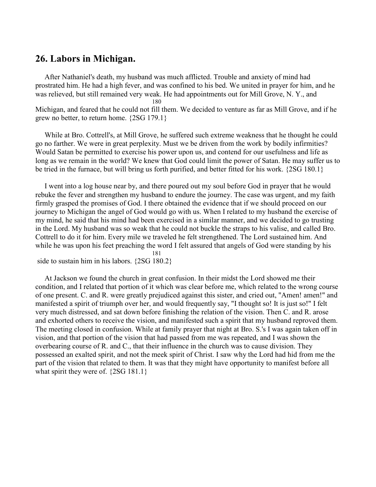# **26. Labors in Michigan.**

 After Nathaniel's death, my husband was much afflicted. Trouble and anxiety of mind had prostrated him. He had a high fever, and was confined to his bed. We united in prayer for him, and he was relieved, but still remained very weak. He had appointments out for Mill Grove, N. Y., and 180 Michigan, and feared that he could not fill them. We decided to venture as far as Mill Grove, and if he grew no better, to return home. {2SG 179.1}

 While at Bro. Cottrell's, at Mill Grove, he suffered such extreme weakness that he thought he could go no farther. We were in great perplexity. Must we be driven from the work by bodily infirmities? Would Satan be permitted to exercise his power upon us, and contend for our usefulness and life as long as we remain in the world? We knew that God could limit the power of Satan. He may suffer us to be tried in the furnace, but will bring us forth purified, and better fitted for his work. {2SG 180.1}

 I went into a log house near by, and there poured out my soul before God in prayer that he would rebuke the fever and strengthen my husband to endure the journey. The case was urgent, and my faith firmly grasped the promises of God. I there obtained the evidence that if we should proceed on our journey to Michigan the angel of God would go with us. When I related to my husband the exercise of my mind, he said that his mind had been exercised in a similar manner, and we decided to go trusting in the Lord. My husband was so weak that he could not buckle the straps to his valise, and called Bro. Cottrell to do it for him. Every mile we traveled he felt strengthened. The Lord sustained him. And while he was upon his feet preaching the word I felt assured that angels of God were standing by his

 181 side to sustain him in his labors. {2SG 180.2}

 At Jackson we found the church in great confusion. In their midst the Lord showed me their condition, and I related that portion of it which was clear before me, which related to the wrong course of one present. C. and R. were greatly prejudiced against this sister, and cried out, "Amen! amen!" and manifested a spirit of triumph over her, and would frequently say, "I thought so! It is just so!" I felt very much distressed, and sat down before finishing the relation of the vision. Then C. and R. arose and exhorted others to receive the vision, and manifested such a spirit that my husband reproved them. The meeting closed in confusion. While at family prayer that night at Bro. S.'s I was again taken off in vision, and that portion of the vision that had passed from me was repeated, and I was shown the overbearing course of R. and C., that their influence in the church was to cause division. They possessed an exalted spirit, and not the meek spirit of Christ. I saw why the Lord had hid from me the part of the vision that related to them. It was that they might have opportunity to manifest before all what spirit they were of.  ${2SG 181.1}$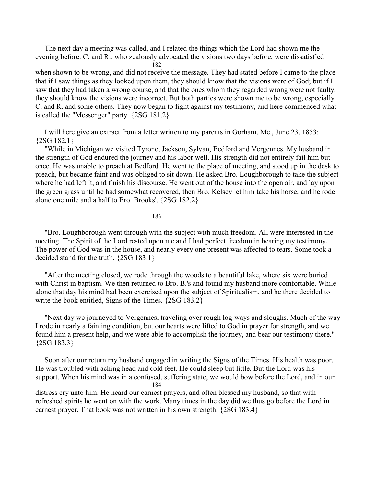The next day a meeting was called, and I related the things which the Lord had shown me the evening before. C. and R., who zealously advocated the visions two days before, were dissatisfied

182

when shown to be wrong, and did not receive the message. They had stated before I came to the place that if I saw things as they looked upon them, they should know that the visions were of God; but if I saw that they had taken a wrong course, and that the ones whom they regarded wrong were not faulty, they should know the visions were incorrect. But both parties were shown me to be wrong, especially C. and R. and some others. They now began to fight against my testimony, and here commenced what is called the "Messenger" party. {2SG 181.2}

 I will here give an extract from a letter written to my parents in Gorham, Me., June 23, 1853: {2SG 182.1}

 "While in Michigan we visited Tyrone, Jackson, Sylvan, Bedford and Vergennes. My husband in the strength of God endured the journey and his labor well. His strength did not entirely fail him but once. He was unable to preach at Bedford. He went to the place of meeting, and stood up in the desk to preach, but became faint and was obliged to sit down. He asked Bro. Loughborough to take the subject where he had left it, and finish his discourse. He went out of the house into the open air, and lay upon the green grass until he had somewhat recovered, then Bro. Kelsey let him take his horse, and he rode alone one mile and a half to Bro. Brooks'. {2SG 182.2}

183

 "Bro. Loughborough went through with the subject with much freedom. All were interested in the meeting. The Spirit of the Lord rested upon me and I had perfect freedom in bearing my testimony. The power of God was in the house, and nearly every one present was affected to tears. Some took a decided stand for the truth. {2SG 183.1}

 "After the meeting closed, we rode through the woods to a beautiful lake, where six were buried with Christ in baptism. We then returned to Bro. B.'s and found my husband more comfortable. While alone that day his mind had been exercised upon the subject of Spiritualism, and he there decided to write the book entitled, Signs of the Times. {2SG 183.2}

 "Next day we journeyed to Vergennes, traveling over rough log-ways and sloughs. Much of the way I rode in nearly a fainting condition, but our hearts were lifted to God in prayer for strength, and we found him a present help, and we were able to accomplish the journey, and bear our testimony there." {2SG 183.3}

 Soon after our return my husband engaged in writing the Signs of the Times. His health was poor. He was troubled with aching head and cold feet. He could sleep but little. But the Lord was his support. When his mind was in a confused, suffering state, we would bow before the Lord, and in our 184 distress cry unto him. He heard our earnest prayers, and often blessed my husband, so that with

refreshed spirits he went on with the work. Many times in the day did we thus go before the Lord in earnest prayer. That book was not written in his own strength. {2SG 183.4}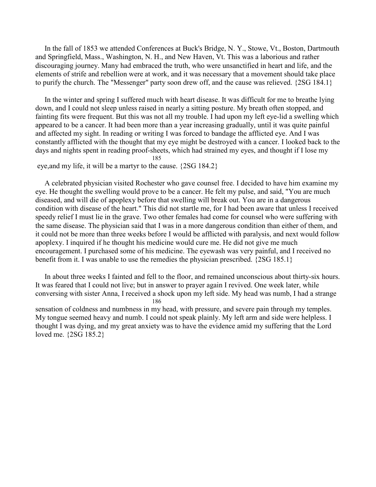In the fall of 1853 we attended Conferences at Buck's Bridge, N. Y., Stowe, Vt., Boston, Dartmouth and Springfield, Mass., Washington, N. H., and New Haven, Vt. This was a laborious and rather discouraging journey. Many had embraced the truth, who were unsanctified in heart and life, and the elements of strife and rebellion were at work, and it was necessary that a movement should take place to purify the church. The "Messenger" party soon drew off, and the cause was relieved. {2SG 184.1}

 In the winter and spring I suffered much with heart disease. It was difficult for me to breathe lying down, and I could not sleep unless raised in nearly a sitting posture. My breath often stopped, and fainting fits were frequent. But this was not all my trouble. I had upon my left eye-lid a swelling which appeared to be a cancer. It had been more than a year increasing gradually, until it was quite painful and affected my sight. In reading or writing I was forced to bandage the afflicted eye. And I was constantly afflicted with the thought that my eye might be destroyed with a cancer. I looked back to the days and nights spent in reading proof-sheets, which had strained my eyes, and thought if I lose my 185

eye,and my life, it will be a martyr to the cause. {2SG 184.2}

 A celebrated physician visited Rochester who gave counsel free. I decided to have him examine my eye. He thought the swelling would prove to be a cancer. He felt my pulse, and said, "You are much diseased, and will die of apoplexy before that swelling will break out. You are in a dangerous condition with disease of the heart." This did not startle me, for I had been aware that unless I received speedy relief I must lie in the grave. Two other females had come for counsel who were suffering with the same disease. The physician said that I was in a more dangerous condition than either of them, and it could not be more than three weeks before I would be afflicted with paralysis, and next would follow apoplexy. I inquired if he thought his medicine would cure me. He did not give me much encouragement. I purchased some of his medicine. The eyewash was very painful, and I received no benefit from it. I was unable to use the remedies the physician prescribed. {2SG 185.1}

 In about three weeks I fainted and fell to the floor, and remained unconscious about thirty-six hours. It was feared that I could not live; but in answer to prayer again I revived. One week later, while conversing with sister Anna, I received a shock upon my left side. My head was numb, I had a strange 186

sensation of coldness and numbness in my head, with pressure, and severe pain through my temples. My tongue seemed heavy and numb. I could not speak plainly. My left arm and side were helpless. I thought I was dying, and my great anxiety was to have the evidence amid my suffering that the Lord loved me. {2SG 185.2}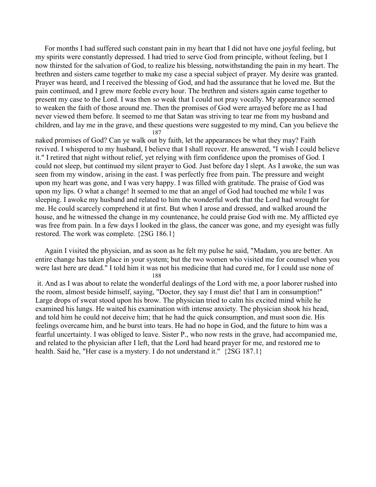For months I had suffered such constant pain in my heart that I did not have one joyful feeling, but my spirits were constantly depressed. I had tried to serve God from principle, without feeling, but I now thirsted for the salvation of God, to realize his blessing, notwithstanding the pain in my heart. The brethren and sisters came together to make my case a special subject of prayer. My desire was granted. Prayer was heard, and I received the blessing of God, and had the assurance that he loved me. But the pain continued, and I grew more feeble every hour. The brethren and sisters again came together to present my case to the Lord. I was then so weak that I could not pray vocally. My appearance seemed to weaken the faith of those around me. Then the promises of God were arrayed before me as I had never viewed them before. It seemed to me that Satan was striving to tear me from my husband and children, and lay me in the grave, and these questions were suggested to my mind, Can you believe the 187

naked promises of God? Can ye walk out by faith, let the appearances be what they may? Faith revived. I whispered to my husband, I believe that I shall recover. He answered, "I wish I could believe it." I retired that night without relief, yet relying with firm confidence upon the promises of God. I could not sleep, but continued my silent prayer to God. Just before day I slept. As I awoke, the sun was seen from my window, arising in the east. I was perfectly free from pain. The pressure and weight upon my heart was gone, and I was very happy. I was filled with gratitude. The praise of God was upon my lips. O what a change! It seemed to me that an angel of God had touched me while I was sleeping. I awoke my husband and related to him the wonderful work that the Lord had wrought for me. He could scarcely comprehend it at first. But when I arose and dressed, and walked around the house, and he witnessed the change in my countenance, he could praise God with me. My afflicted eye was free from pain. In a few days I looked in the glass, the cancer was gone, and my eyesight was fully restored. The work was complete. {2SG 186.1}

 Again I visited the physician, and as soon as he felt my pulse he said, "Madam, you are better. An entire change has taken place in your system; but the two women who visited me for counsel when you were last here are dead." I told him it was not his medicine that had cured me, for I could use none of 188

 it. And as I was about to relate the wonderful dealings of the Lord with me, a poor laborer rushed into the room, almost beside himself, saying, "Doctor, they say I must die! that I am in consumption!" Large drops of sweat stood upon his brow. The physician tried to calm his excited mind while he examined his lungs. He waited his examination with intense anxiety. The physician shook his head, and told him he could not deceive him; that he had the quick consumption, and must soon die. His feelings overcame him, and he burst into tears. He had no hope in God, and the future to him was a fearful uncertainty. I was obliged to leave. Sister P., who now rests in the grave, had accompanied me, and related to the physician after I left, that the Lord had heard prayer for me, and restored me to health. Said he, "Her case is a mystery. I do not understand it." {2SG 187.1}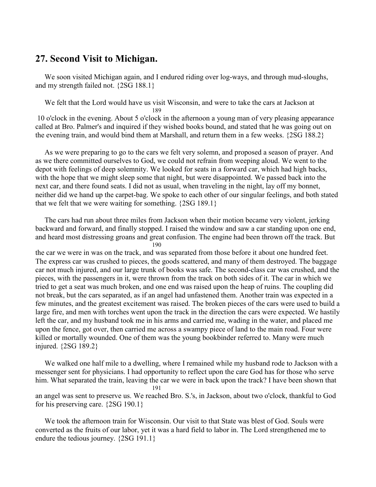## **27. Second Visit to Michigan.**

We soon visited Michigan again, and I endured riding over log-ways, and through mud-sloughs, and my strength failed not. {2SG 188.1}

We felt that the Lord would have us visit Wisconsin, and were to take the cars at Jackson at

 189 10 o'clock in the evening. About 5 o'clock in the afternoon a young man of very pleasing appearance called at Bro. Palmer's and inquired if they wished books bound, and stated that he was going out on the evening train, and would bind them at Marshall, and return them in a few weeks. {2SG 188.2}

 As we were preparing to go to the cars we felt very solemn, and proposed a season of prayer. And as we there committed ourselves to God, we could not refrain from weeping aloud. We went to the depot with feelings of deep solemnity. We looked for seats in a forward car, which had high backs, with the hope that we might sleep some that night, but were disappointed. We passed back into the next car, and there found seats. I did not as usual, when traveling in the night, lay off my bonnet, neither did we hand up the carpet-bag. We spoke to each other of our singular feelings, and both stated that we felt that we were waiting for something. {2SG 189.1}

 The cars had run about three miles from Jackson when their motion became very violent, jerking backward and forward, and finally stopped. I raised the window and saw a car standing upon one end, and heard most distressing groans and great confusion. The engine had been thrown off the track. But 190

the car we were in was on the track, and was separated from those before it about one hundred feet. The express car was crushed to pieces, the goods scattered, and many of them destroyed. The baggage car not much injured, and our large trunk of books was safe. The second-class car was crushed, and the pieces, with the passengers in it, were thrown from the track on both sides of it. The car in which we tried to get a seat was much broken, and one end was raised upon the heap of ruins. The coupling did not break, but the cars separated, as if an angel had unfastened them. Another train was expected in a few minutes, and the greatest excitement was raised. The broken pieces of the cars were used to build a large fire, and men with torches went upon the track in the direction the cars were expected. We hastily left the car, and my husband took me in his arms and carried me, wading in the water, and placed me upon the fence, got over, then carried me across a swampy piece of land to the main road. Four were killed or mortally wounded. One of them was the young bookbinder referred to. Many were much injured. {2SG 189.2}

 We walked one half mile to a dwelling, where I remained while my husband rode to Jackson with a messenger sent for physicians. I had opportunity to reflect upon the care God has for those who serve him. What separated the train, leaving the car we were in back upon the track? I have been shown that 191 an angel was sent to preserve us. We reached Bro. S.'s, in Jackson, about two o'clock, thankful to God for his preserving care. {2SG 190.1}

 We took the afternoon train for Wisconsin. Our visit to that State was blest of God. Souls were converted as the fruits of our labor, yet it was a hard field to labor in. The Lord strengthened me to endure the tedious journey. {2SG 191.1}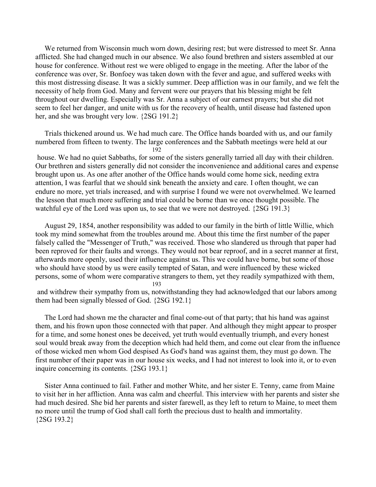We returned from Wisconsin much worn down, desiring rest; but were distressed to meet Sr. Anna afflicted. She had changed much in our absence. We also found brethren and sisters assembled at our house for conference. Without rest we were obliged to engage in the meeting. After the labor of the conference was over, Sr. Bonfoey was taken down with the fever and ague, and suffered weeks with this most distressing disease. It was a sickly summer. Deep affliction was in our family, and we felt the necessity of help from God. Many and fervent were our prayers that his blessing might be felt throughout our dwelling. Especially was Sr. Anna a subject of our earnest prayers; but she did not seem to feel her danger, and unite with us for the recovery of health, until disease had fastened upon her, and she was brought very low. {2SG 191.2}

 Trials thickened around us. We had much care. The Office hands boarded with us, and our family numbered from fifteen to twenty. The large conferences and the Sabbath meetings were held at our 192

 house. We had no quiet Sabbaths, for some of the sisters generally tarried all day with their children. Our brethren and sisters generally did not consider the inconvenience and additional cares and expense brought upon us. As one after another of the Office hands would come home sick, needing extra attention, I was fearful that we should sink beneath the anxiety and care. I often thought, we can endure no more, yet trials increased, and with surprise I found we were not overwhelmed. We learned the lesson that much more suffering and trial could be borne than we once thought possible. The watchful eye of the Lord was upon us, to see that we were not destroyed. {2SG 191.3}

 August 29, 1854, another responsibility was added to our family in the birth of little Willie, which took my mind somewhat from the troubles around me. About this time the first number of the paper falsely called the "Messenger of Truth," was received. Those who slandered us through that paper had been reproved for their faults and wrongs. They would not bear reproof, and in a secret manner at first, afterwards more openly, used their influence against us. This we could have borne, but some of those who should have stood by us were easily tempted of Satan, and were influenced by these wicked persons, some of whom were comparative strangers to them, yet they readily sympathized with them,

193

 and withdrew their sympathy from us, notwithstanding they had acknowledged that our labors among them had been signally blessed of God. {2SG 192.1}

 The Lord had shown me the character and final come-out of that party; that his hand was against them, and his frown upon those connected with that paper. And although they might appear to prosper for a time, and some honest ones be deceived, yet truth would eventually triumph, and every honest soul would break away from the deception which had held them, and come out clear from the influence of those wicked men whom God despised As God's hand was against them, they must go down. The first number of their paper was in our house six weeks, and I had not interest to look into it, or to even inquire concerning its contents. {2SG 193.1}

 Sister Anna continued to fail. Father and mother White, and her sister E. Tenny, came from Maine to visit her in her affliction. Anna was calm and cheerful. This interview with her parents and sister she had much desired. She bid her parents and sister farewell, as they left to return to Maine, to meet them no more until the trump of God shall call forth the precious dust to health and immortality. {2SG 193.2}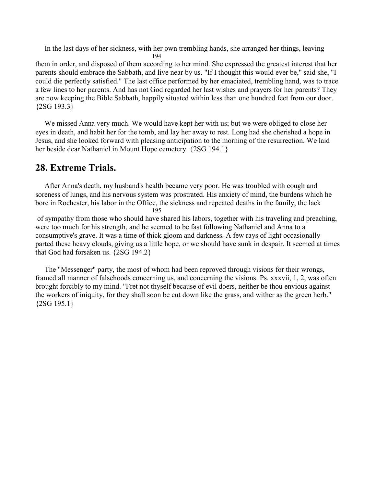In the last days of her sickness, with her own trembling hands, she arranged her things, leaving

 194 them in order, and disposed of them according to her mind. She expressed the greatest interest that her parents should embrace the Sabbath, and live near by us. "If I thought this would ever be," said she, "I could die perfectly satisfied." The last office performed by her emaciated, trembling hand, was to trace a few lines to her parents. And has not God regarded her last wishes and prayers for her parents? They are now keeping the Bible Sabbath, happily situated within less than one hundred feet from our door.  ${2SG 193.3}$ 

 We missed Anna very much. We would have kept her with us; but we were obliged to close her eyes in death, and habit her for the tomb, and lay her away to rest. Long had she cherished a hope in Jesus, and she looked forward with pleasing anticipation to the morning of the resurrection. We laid her beside dear Nathaniel in Mount Hope cemetery. {2SG 194.1}

### **28. Extreme Trials.**

 After Anna's death, my husband's health became very poor. He was troubled with cough and soreness of lungs, and his nervous system was prostrated. His anxiety of mind, the burdens which he bore in Rochester, his labor in the Office, the sickness and repeated deaths in the family, the lack 195

 of sympathy from those who should have shared his labors, together with his traveling and preaching, were too much for his strength, and he seemed to be fast following Nathaniel and Anna to a consumptive's grave. It was a time of thick gloom and darkness. A few rays of light occasionally parted these heavy clouds, giving us a little hope, or we should have sunk in despair. It seemed at times that God had forsaken us. {2SG 194.2}

 The "Messenger" party, the most of whom had been reproved through visions for their wrongs, framed all manner of falsehoods concerning us, and concerning the visions. Ps. xxxvii, 1, 2, was often brought forcibly to my mind. "Fret not thyself because of evil doers, neither be thou envious against the workers of iniquity, for they shall soon be cut down like the grass, and wither as the green herb." {2SG 195.1}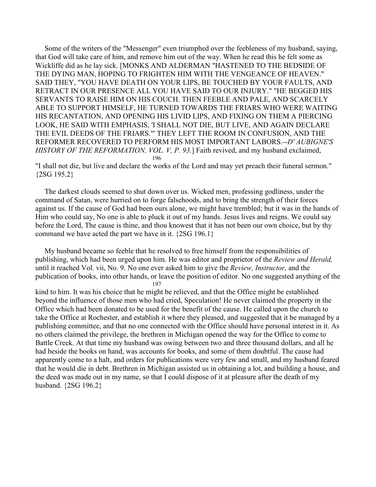Some of the writers of the "Messenger" even triumphed over the feebleness of my husband, saying, that God will take care of him, and remove him out of the way. When he read this he felt some as Wickliffe did as he lay sick. [MONKS AND ALDERMAN "HASTENED TO THE BEDSIDE OF THE DYING MAN, HOPING TO FRIGHTEN HIM WITH THE VENGEANCE OF HEAVEN." SAID THEY, "YOU HAVE DEATH ON YOUR LIPS, BE TOUCHED BY YOUR FAULTS, AND RETRACT IN OUR PRESENCE ALL YOU HAVE SAID TO OUR INJURY." "HE BEGGED HIS SERVANTS TO RAISE HIM ON HIS COUCH. THEN FEEBLE AND PALE, AND SCARCELY ABLE TO SUPPORT HIMSELF, HE TURNED TOWARDS THE FRIARS WHO WERE WAITING HIS RECANTATION, AND OPENING HIS LIVID LIPS, AND FIXING ON THEM A PIERCING LOOK, HE SAID WITH EMPHASIS, 'I SHALL NOT DIE, BUT LIVE, AND AGAIN DECLARE THE EVIL DEEDS OF THE FRIARS.'" THEY LEFT THE ROOM IN CONFUSION, AND THE REFORMER RECOVERED TO PERFORM HIS MOST IMPORTANT LABORS.--*D' AUBIGNE'S HISTORY OF THE REFORMATION, VOL. V, P. 93.*] Faith revived, and my husband exclaimed, 196

"I shall not die, but live and declare the works of the Lord and may yet preach their funeral sermon." {2SG 195.2}

 The darkest clouds seemed to shut down over us. Wicked men, professing godliness, under the command of Satan, were hurried on to forge falsehoods, and to bring the strength of their forces against us. If the cause of God had been ours alone, we might have trembled; but it was in the hands of Him who could say, No one is able to pluck it out of my hands. Jesus lives and reigns. We could say before the Lord, The cause is thine, and thou knowest that it has not been our own choice, but by thy command we have acted the part we have in it. {2SG 196.1}

 My husband became so feeble that he resolved to free himself from the responsibilities of publishing, which had been urged upon him. He was editor and proprietor of the *Review and Herald,* until it reached Vol. vii, No. 9. No one ever asked him to give the *Review, Instructor,* and the publication of books, into other hands, or leave the position of editor. No one suggested anything of the 197

kind to him. It was his choice that he might be relieved, and that the Office might be established beyond the influence of those men who had cried, Speculation! He never claimed the property in the Office which had been donated to be used for the benefit of the cause. He called upon the church to take the Office at Rochester, and establish it where they pleased, and suggested that it be managed by a publishing committee, and that no one connected with the Office should have personal interest in it. As no others claimed the privilege, the brethren in Michigan opened the way for the Office to come to Battle Creek. At that time my husband was owing between two and three thousand dollars, and all he had beside the books on hand, was accounts for books, and some of them doubtful. The cause had apparently come to a halt, and orders for publications were very few and small, and my husband feared that he would die in debt. Brethren in Michigan assisted us in obtaining a lot, and building a house, and the deed was made out in my name, so that I could dispose of it at pleasure after the death of my husband. {2SG 196.2}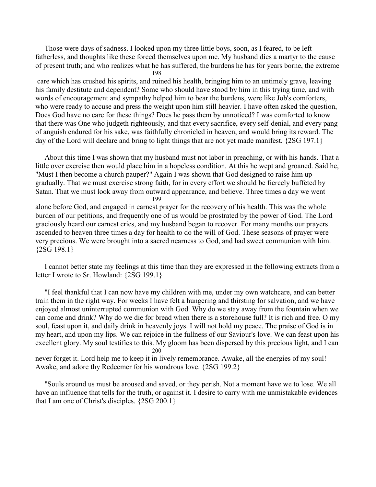Those were days of sadness. I looked upon my three little boys, soon, as I feared, to be left fatherless, and thoughts like these forced themselves upon me. My husband dies a martyr to the cause of present truth; and who realizes what he has suffered, the burdens he has for years borne, the extreme 198

 care which has crushed his spirits, and ruined his health, bringing him to an untimely grave, leaving his family destitute and dependent? Some who should have stood by him in this trying time, and with words of encouragement and sympathy helped him to bear the burdens, were like Job's comforters, who were ready to accuse and press the weight upon him still heavier. I have often asked the question, Does God have no care for these things? Does he pass them by unnoticed? I was comforted to know that there was One who judgeth righteously, and that every sacrifice, every self-denial, and every pang of anguish endured for his sake, was faithfully chronicled in heaven, and would bring its reward. The day of the Lord will declare and bring to light things that are not yet made manifest. {2SG 197.1}

 About this time I was shown that my husband must not labor in preaching, or with his hands. That a little over exercise then would place him in a hopeless condition. At this he wept and groaned. Said he, "Must I then become a church pauper?" Again I was shown that God designed to raise him up gradually. That we must exercise strong faith, for in every effort we should be fiercely buffeted by Satan. That we must look away from outward appearance, and believe. Three times a day we went 199

alone before God, and engaged in earnest prayer for the recovery of his health. This was the whole burden of our petitions, and frequently one of us would be prostrated by the power of God. The Lord graciously heard our earnest cries, and my husband began to recover. For many months our prayers ascended to heaven three times a day for health to do the will of God. These seasons of prayer were very precious. We were brought into a sacred nearness to God, and had sweet communion with him.  ${2SG 198.1}$ 

 I cannot better state my feelings at this time than they are expressed in the following extracts from a letter I wrote to Sr. Howland: {2SG 199.1}

 "I feel thankful that I can now have my children with me, under my own watchcare, and can better train them in the right way. For weeks I have felt a hungering and thirsting for salvation, and we have enjoyed almost uninterrupted communion with God. Why do we stay away from the fountain when we can come and drink? Why do we die for bread when there is a storehouse full? It is rich and free. O my soul, feast upon it, and daily drink in heavenly joys. I will not hold my peace. The praise of God is in my heart, and upon my lips. We can rejoice in the fullness of our Saviour's love. We can feast upon his excellent glory. My soul testifies to this. My gloom has been dispersed by this precious light, and I can 200

never forget it. Lord help me to keep it in lively remembrance. Awake, all the energies of my soul! Awake, and adore thy Redeemer for his wondrous love. {2SG 199.2}

 "Souls around us must be aroused and saved, or they perish. Not a moment have we to lose. We all have an influence that tells for the truth, or against it. I desire to carry with me unmistakable evidences that I am one of Christ's disciples. {2SG 200.1}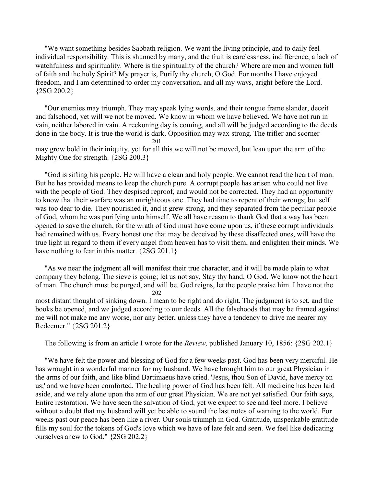"We want something besides Sabbath religion. We want the living principle, and to daily feel individual responsibility. This is shunned by many, and the fruit is carelessness, indifference, a lack of watchfulness and spirituality. Where is the spirituality of the church? Where are men and women full of faith and the holy Spirit? My prayer is, Purify thy church, O God. For months I have enjoyed freedom, and I am determined to order my conversation, and all my ways, aright before the Lord.  ${2SG\,200.2}$ 

 "Our enemies may triumph. They may speak lying words, and their tongue frame slander, deceit and falsehood, yet will we not be moved. We know in whom we have believed. We have not run in vain, neither labored in vain. A reckoning day is coming, and all will be judged according to the deeds done in the body. It is true the world is dark. Opposition may wax strong. The trifler and scorner 201

may grow bold in their iniquity, yet for all this we will not be moved, but lean upon the arm of the Mighty One for strength. {2SG 200.3}

 "God is sifting his people. He will have a clean and holy people. We cannot read the heart of man. But he has provided means to keep the church pure. A corrupt people has arisen who could not live with the people of God. They despised reproof, and would not be corrected. They had an opportunity to know that their warfare was an unrighteous one. They had time to repent of their wrongs; but self was too dear to die. They nourished it, and it grew strong, and they separated from the peculiar people of God, whom he was purifying unto himself. We all have reason to thank God that a way has been opened to save the church, for the wrath of God must have come upon us, if these corrupt individuals had remained with us. Every honest one that may be deceived by these disaffected ones, will have the true light in regard to them if every angel from heaven has to visit them, and enlighten their minds. We have nothing to fear in this matter.  ${2SG\,201.1}$ 

 "As we near the judgment all will manifest their true character, and it will be made plain to what company they belong. The sieve is going; let us not say, Stay thy hand, O God. We know not the heart of man. The church must be purged, and will be. God reigns, let the people praise him. I have not the 202 most distant thought of sinking down. I mean to be right and do right. The judgment is to set, and the

books be opened, and we judged according to our deeds. All the falsehoods that may be framed against me will not make me any worse, nor any better, unless they have a tendency to drive me nearer my Redeemer." {2SG 201.2}

The following is from an article I wrote for the *Review,* published January 10, 1856: {2SG 202.1}

 "We have felt the power and blessing of God for a few weeks past. God has been very merciful. He has wrought in a wonderful manner for my husband. We have brought him to our great Physician in the arms of our faith, and like blind Bartimaeus have cried. 'Jesus, thou Son of David, have mercy on us;' and we have been comforted. The healing power of God has been felt. All medicine has been laid aside, and we rely alone upon the arm of our great Physician. We are not yet satisfied. Our faith says, Entire restoration. We have seen the salvation of God, yet we expect to see and feel more. I believe without a doubt that my husband will yet be able to sound the last notes of warning to the world. For weeks past our peace has been like a river. Our souls triumph in God. Gratitude, unspeakable gratitude fills my soul for the tokens of God's love which we have of late felt and seen. We feel like dedicating ourselves anew to God." {2SG 202.2}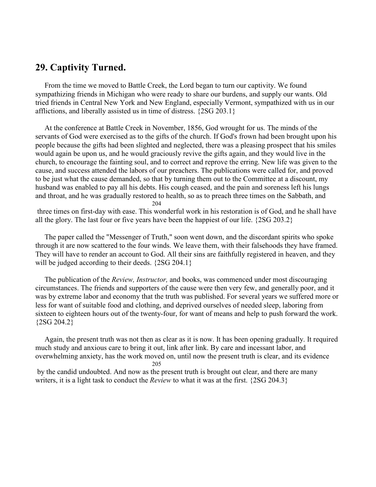#### **29. Captivity Turned.**

 From the time we moved to Battle Creek, the Lord began to turn our captivity. We found sympathizing friends in Michigan who were ready to share our burdens, and supply our wants. Old tried friends in Central New York and New England, especially Vermont, sympathized with us in our afflictions, and liberally assisted us in time of distress. {2SG 203.1}

 At the conference at Battle Creek in November, 1856, God wrought for us. The minds of the servants of God were exercised as to the gifts of the church. If God's frown had been brought upon his people because the gifts had been slighted and neglected, there was a pleasing prospect that his smiles would again be upon us, and he would graciously revive the gifts again, and they would live in the church, to encourage the fainting soul, and to correct and reprove the erring. New life was given to the cause, and success attended the labors of our preachers. The publications were called for, and proved to be just what the cause demanded, so that by turning them out to the Committee at a discount, my husband was enabled to pay all his debts. His cough ceased, and the pain and soreness left his lungs and throat, and he was gradually restored to health, so as to preach three times on the Sabbath, and 204

 three times on first-day with ease. This wonderful work in his restoration is of God, and he shall have all the glory. The last four or five years have been the happiest of our life. {2SG 203.2}

 The paper called the "Messenger of Truth," soon went down, and the discordant spirits who spoke through it are now scattered to the four winds. We leave them, with their falsehoods they have framed. They will have to render an account to God. All their sins are faithfully registered in heaven, and they will be judged according to their deeds. {2SG 204.1}

 The publication of the *Review, Instructor,* and books, was commenced under most discouraging circumstances. The friends and supporters of the cause were then very few, and generally poor, and it was by extreme labor and economy that the truth was published. For several years we suffered more or less for want of suitable food and clothing, and deprived ourselves of needed sleep, laboring from sixteen to eighteen hours out of the twenty-four, for want of means and help to push forward the work. {2SG 204.2}

 Again, the present truth was not then as clear as it is now. It has been opening gradually. It required much study and anxious care to bring it out, link after link. By care and incessant labor, and overwhelming anxiety, has the work moved on, until now the present truth is clear, and its evidence

205

 by the candid undoubted. And now as the present truth is brought out clear, and there are many writers, it is a light task to conduct the *Review* to what it was at the first. {2SG 204.3}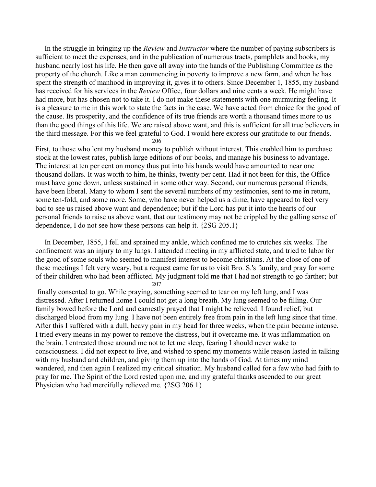In the struggle in bringing up the *Review* and *Instructor* where the number of paying subscribers is sufficient to meet the expenses, and in the publication of numerous tracts, pamphlets and books, my husband nearly lost his life. He then gave all away into the hands of the Publishing Committee as the property of the church. Like a man commencing in poverty to improve a new farm, and when he has spent the strength of manhood in improving it, gives it to others. Since December 1, 1855, my husband has received for his services in the *Review* Office, four dollars and nine cents a week. He might have had more, but has chosen not to take it. I do not make these statements with one murmuring feeling. It is a pleasure to me in this work to state the facts in the case. We have acted from choice for the good of the cause. Its prosperity, and the confidence of its true friends are worth a thousand times more to us than the good things of this life. We are raised above want, and this is sufficient for all true believers in the third message. For this we feel grateful to God. I would here express our gratitude to our friends. 206

First, to those who lent my husband money to publish without interest. This enabled him to purchase stock at the lowest rates, publish large editions of our books, and manage his business to advantage. The interest at ten per cent on money thus put into his hands would have amounted to near one thousand dollars. It was worth to him, he thinks, twenty per cent. Had it not been for this, the Office must have gone down, unless sustained in some other way. Second, our numerous personal friends, have been liberal. Many to whom I sent the several numbers of my testimonies, sent to me in return, some ten-fold, and some more. Some, who have never helped us a dime, have appeared to feel very bad to see us raised above want and dependence; but if the Lord has put it into the hearts of our personal friends to raise us above want, that our testimony may not be crippled by the galling sense of dependence, I do not see how these persons can help it. {2SG 205.1}

 In December, 1855, I fell and sprained my ankle, which confined me to crutches six weeks. The confinement was an injury to my lungs. I attended meeting in my afflicted state, and tried to labor for the good of some souls who seemed to manifest interest to become christians. At the close of one of these meetings I felt very weary, but a request came for us to visit Bro. S.'s family, and pray for some of their children who had been afflicted. My judgment told me that I had not strength to go farther; but 207

 finally consented to go. While praying, something seemed to tear on my left lung, and I was distressed. After I returned home I could not get a long breath. My lung seemed to be filling. Our family bowed before the Lord and earnestly prayed that I might be relieved. I found relief, but discharged blood from my lung. I have not been entirely free from pain in the left lung since that time. After this I suffered with a dull, heavy pain in my head for three weeks, when the pain became intense. I tried every means in my power to remove the distress, but it overcame me. It was inflammation on the brain. I entreated those around me not to let me sleep, fearing I should never wake to consciousness. I did not expect to live, and wished to spend my moments while reason lasted in talking with my husband and children, and giving them up into the hands of God. At times my mind wandered, and then again I realized my critical situation. My husband called for a few who had faith to pray for me. The Spirit of the Lord rested upon me, and my grateful thanks ascended to our great Physician who had mercifully relieved me. {2SG 206.1}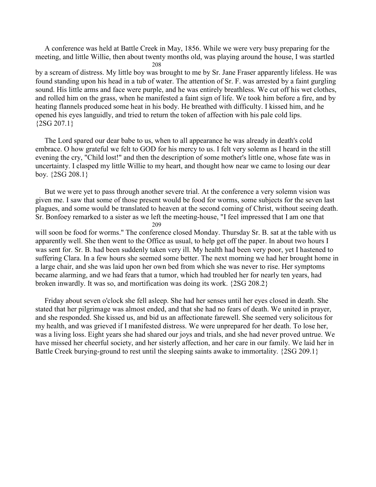A conference was held at Battle Creek in May, 1856. While we were very busy preparing for the meeting, and little Willie, then about twenty months old, was playing around the house, I was startled 208

by a scream of distress. My little boy was brought to me by Sr. Jane Fraser apparently lifeless. He was found standing upon his head in a tub of water. The attention of Sr. F. was arrested by a faint gurgling sound. His little arms and face were purple, and he was entirely breathless. We cut off his wet clothes, and rolled him on the grass, when he manifested a faint sign of life. We took him before a fire, and by heating flannels produced some heat in his body. He breathed with difficulty. I kissed him, and he opened his eyes languidly, and tried to return the token of affection with his pale cold lips.  ${2SG\,207.1}$ 

 The Lord spared our dear babe to us, when to all appearance he was already in death's cold embrace. O how grateful we felt to GOD for his mercy to us. I felt very solemn as I heard in the still evening the cry, "Child lost!" and then the description of some mother's little one, whose fate was in uncertainty. I clasped my little Willie to my heart, and thought how near we came to losing our dear boy. {2SG 208.1}

 But we were yet to pass through another severe trial. At the conference a very solemn vision was given me. I saw that some of those present would be food for worms, some subjects for the seven last plagues, and some would be translated to heaven at the second coming of Christ, without seeing death. Sr. Bonfoey remarked to a sister as we left the meeting-house, "I feel impressed that I am one that 209

will soon be food for worms." The conference closed Monday. Thursday Sr. B. sat at the table with us apparently well. She then went to the Office as usual, to help get off the paper. In about two hours I was sent for. Sr. B. had been suddenly taken very ill. My health had been very poor, yet I hastened to suffering Clara. In a few hours she seemed some better. The next morning we had her brought home in a large chair, and she was laid upon her own bed from which she was never to rise. Her symptoms became alarming, and we had fears that a tumor, which had troubled her for nearly ten years, had broken inwardly. It was so, and mortification was doing its work. {2SG 208.2}

 Friday about seven o'clock she fell asleep. She had her senses until her eyes closed in death. She stated that her pilgrimage was almost ended, and that she had no fears of death. We united in prayer, and she responded. She kissed us, and bid us an affectionate farewell. She seemed very solicitous for my health, and was grieved if I manifested distress. We were unprepared for her death. To lose her, was a living loss. Eight years she had shared our joys and trials, and she had never proved untrue. We have missed her cheerful society, and her sisterly affection, and her care in our family. We laid her in Battle Creek burying-ground to rest until the sleeping saints awake to immortality. {2SG 209.1}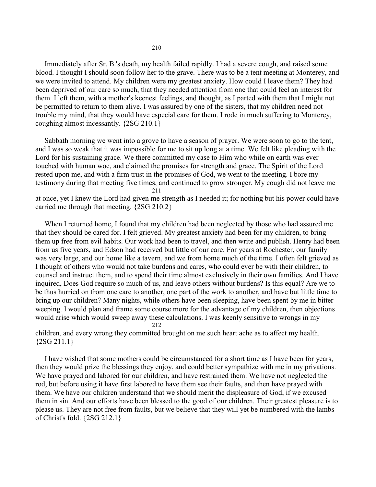Immediately after Sr. B.'s death, my health failed rapidly. I had a severe cough, and raised some blood. I thought I should soon follow her to the grave. There was to be a tent meeting at Monterey, and we were invited to attend. My children were my greatest anxiety. How could I leave them? They had been deprived of our care so much, that they needed attention from one that could feel an interest for them. I left them, with a mother's keenest feelings, and thought, as I parted with them that I might not be permitted to return to them alive. I was assured by one of the sisters, that my children need not trouble my mind, that they would have especial care for them. I rode in much suffering to Monterey, coughing almost incessantly. {2SG 210.1}

 Sabbath morning we went into a grove to have a season of prayer. We were soon to go to the tent, and I was so weak that it was impossible for me to sit up long at a time. We felt like pleading with the Lord for his sustaining grace. We there committed my case to Him who while on earth was ever touched with human woe, and claimed the promises for strength and grace. The Spirit of the Lord rested upon me, and with a firm trust in the promises of God, we went to the meeting. I bore my testimony during that meeting five times, and continued to grow stronger. My cough did not leave me 211

at once, yet I knew the Lord had given me strength as I needed it; for nothing but his power could have carried me through that meeting. {2SG 210.2}

 When I returned home, I found that my children had been neglected by those who had assured me that they should be cared for. I felt grieved. My greatest anxiety had been for my children, to bring them up free from evil habits. Our work had been to travel, and then write and publish. Henry had been from us five years, and Edson had received but little of our care. For years at Rochester, our family was very large, and our home like a tavern, and we from home much of the time. I often felt grieved as I thought of others who would not take burdens and cares, who could ever be with their children, to counsel and instruct them, and to spend their time almost exclusively in their own families. And I have inquired, Does God require so much of us, and leave others without burdens? Is this equal? Are we to be thus hurried on from one care to another, one part of the work to another, and have but little time to bring up our children? Many nights, while others have been sleeping, have been spent by me in bitter weeping. I would plan and frame some course more for the advantage of my children, then objections would arise which would sweep away these calculations. I was keenly sensitive to wrongs in my 212

children, and every wrong they committed brought on me such heart ache as to affect my health. {2SG 211.1}

 I have wished that some mothers could be circumstanced for a short time as I have been for years, then they would prize the blessings they enjoy, and could better sympathize with me in my privations. We have prayed and labored for our children, and have restrained them. We have not neglected the rod, but before using it have first labored to have them see their faults, and then have prayed with them. We have our children understand that we should merit the displeasure of God, if we excused them in sin. And our efforts have been blessed to the good of our children. Their greatest pleasure is to please us. They are not free from faults, but we believe that they will yet be numbered with the lambs of Christ's fold. {2SG 212.1}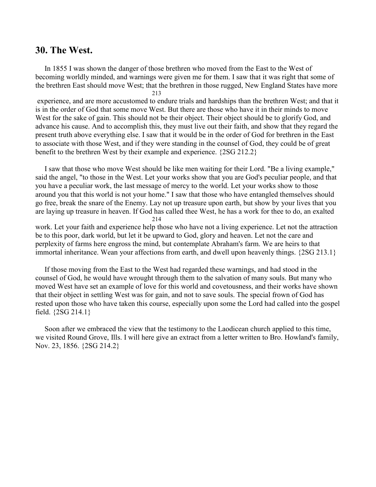#### **30. The West.**

 In 1855 I was shown the danger of those brethren who moved from the East to the West of becoming worldly minded, and warnings were given me for them. I saw that it was right that some of the brethren East should move West; that the brethren in those rugged, New England States have more 213

 experience, and are more accustomed to endure trials and hardships than the brethren West; and that it is in the order of God that some move West. But there are those who have it in their minds to move West for the sake of gain. This should not be their object. Their object should be to glorify God, and advance his cause. And to accomplish this, they must live out their faith, and show that they regard the present truth above everything else. I saw that it would be in the order of God for brethren in the East to associate with those West, and if they were standing in the counsel of God, they could be of great benefit to the brethren West by their example and experience. {2SG 212.2}

 I saw that those who move West should be like men waiting for their Lord. "Be a living example," said the angel, "to those in the West. Let your works show that you are God's peculiar people, and that you have a peculiar work, the last message of mercy to the world. Let your works show to those around you that this world is not your home." I saw that those who have entangled themselves should go free, break the snare of the Enemy. Lay not up treasure upon earth, but show by your lives that you are laying up treasure in heaven. If God has called thee West, he has a work for thee to do, an exalted 214

work. Let your faith and experience help those who have not a living experience. Let not the attraction be to this poor, dark world, but let it be upward to God, glory and heaven. Let not the care and perplexity of farms here engross the mind, but contemplate Abraham's farm. We are heirs to that immortal inheritance. Wean your affections from earth, and dwell upon heavenly things. {2SG 213.1}

 If those moving from the East to the West had regarded these warnings, and had stood in the counsel of God, he would have wrought through them to the salvation of many souls. But many who moved West have set an example of love for this world and covetousness, and their works have shown that their object in settling West was for gain, and not to save souls. The special frown of God has rested upon those who have taken this course, especially upon some the Lord had called into the gospel field. {2SG 214.1}

 Soon after we embraced the view that the testimony to the Laodicean church applied to this time, we visited Round Grove, Ills. I will here give an extract from a letter written to Bro. Howland's family, Nov. 23, 1856. {2SG 214.2}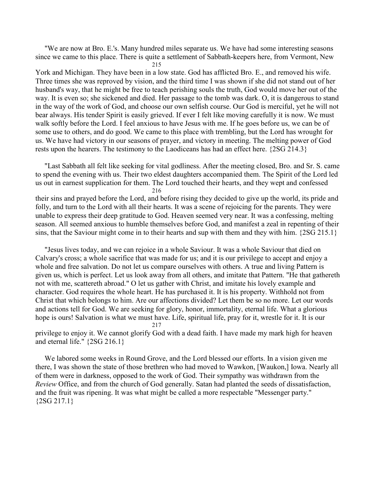"We are now at Bro. E.'s. Many hundred miles separate us. We have had some interesting seasons since we came to this place. There is quite a settlement of Sabbath-keepers here, from Vermont, New 215

215

York and Michigan. They have been in a low state. God has afflicted Bro. E., and removed his wife. Three times she was reproved by vision, and the third time I was shown if she did not stand out of her husband's way, that he might be free to teach perishing souls the truth, God would move her out of the way. It is even so; she sickened and died. Her passage to the tomb was dark. O, it is dangerous to stand in the way of the work of God, and choose our own selfish course. Our God is merciful, yet he will not bear always. His tender Spirit is easily grieved. If ever I felt like moving carefully it is now. We must walk softly before the Lord. I feel anxious to have Jesus with me. If he goes before us, we can be of some use to others, and do good. We came to this place with trembling, but the Lord has wrought for us. We have had victory in our seasons of prayer, and victory in meeting. The melting power of God rests upon the hearers. The testimony to the Laodiceans has had an effect here. {2SG 214.3}

 "Last Sabbath all felt like seeking for vital godliness. After the meeting closed, Bro. and Sr. S. came to spend the evening with us. Their two eldest daughters accompanied them. The Spirit of the Lord led us out in earnest supplication for them. The Lord touched their hearts, and they wept and confessed 216

their sins and prayed before the Lord, and before rising they decided to give up the world, its pride and folly, and turn to the Lord with all their hearts. It was a scene of rejoicing for the parents. They were unable to express their deep gratitude to God. Heaven seemed very near. It was a confessing, melting season. All seemed anxious to humble themselves before God, and manifest a zeal in repenting of their sins, that the Saviour might come in to their hearts and sup with them and they with him. {2SG 215.1}

 "Jesus lives today, and we can rejoice in a whole Saviour. It was a whole Saviour that died on Calvary's cross; a whole sacrifice that was made for us; and it is our privilege to accept and enjoy a whole and free salvation. Do not let us compare ourselves with others. A true and living Pattern is given us, which is perfect. Let us look away from all others, and imitate that Pattern. "He that gathereth not with me, scattereth abroad." O let us gather with Christ, and imitate his lovely example and character. God requires the whole heart. He has purchased it. It is his property. Withhold not from Christ that which belongs to him. Are our affections divided? Let them be so no more. Let our words and actions tell for God. We are seeking for glory, honor, immortality, eternal life. What a glorious hope is ours! Salvation is what we must have. Life, spiritual life, pray for it, wrestle for it. It is our 217

privilege to enjoy it. We cannot glorify God with a dead faith. I have made my mark high for heaven and eternal life." {2SG 216.1}

 We labored some weeks in Round Grove, and the Lord blessed our efforts. In a vision given me there, I was shown the state of those brethren who had moved to Wawkon, [Waukon,] Iowa. Nearly all of them were in darkness, opposed to the work of God. Their sympathy was withdrawn from the *Review* Office, and from the church of God generally. Satan had planted the seeds of dissatisfaction, and the fruit was ripening. It was what might be called a more respectable "Messenger party."  ${2SG } 217.1$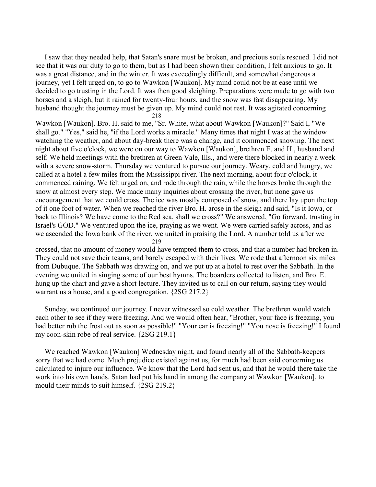I saw that they needed help, that Satan's snare must be broken, and precious souls rescued. I did not see that it was our duty to go to them, but as I had been shown their condition, I felt anxious to go. It was a great distance, and in the winter. It was exceedingly difficult, and somewhat dangerous a journey, yet I felt urged on, to go to Wawkon [Waukon]. My mind could not be at ease until we decided to go trusting in the Lord. It was then good sleighing. Preparations were made to go with two horses and a sleigh, but it rained for twenty-four hours, and the snow was fast disappearing. My husband thought the journey must be given up. My mind could not rest. It was agitated concerning

 218 Wawkon [Waukon]. Bro. H. said to me, "Sr. White, what about Wawkon [Waukon]?" Said I, "We shall go." "Yes," said he, "if the Lord works a miracle." Many times that night I was at the window watching the weather, and about day-break there was a change, and it commenced snowing. The next night about five o'clock, we were on our way to Wawkon [Waukon], brethren E. and H., husband and self. We held meetings with the brethren at Green Vale, Ills., and were there blocked in nearly a week with a severe snow-storm. Thursday we ventured to pursue our journey. Weary, cold and hungry, we called at a hotel a few miles from the Mississippi river. The next morning, about four o'clock, it commenced raining. We felt urged on, and rode through the rain, while the horses broke through the snow at almost every step. We made many inquiries about crossing the river, but none gave us encouragement that we could cross. The ice was mostly composed of snow, and there lay upon the top of it one foot of water. When we reached the river Bro. H. arose in the sleigh and said, "Is it Iowa, or back to Illinois? We have come to the Red sea, shall we cross?" We answered, "Go forward, trusting in Israel's GOD." We ventured upon the ice, praying as we went. We were carried safely across, and as we ascended the Iowa bank of the river, we united in praising the Lord. A number told us after we 219

crossed, that no amount of money would have tempted them to cross, and that a number had broken in. They could not save their teams, and barely escaped with their lives. We rode that afternoon six miles from Dubuque. The Sabbath was drawing on, and we put up at a hotel to rest over the Sabbath. In the evening we united in singing some of our best hymns. The boarders collected to listen, and Bro. E. hung up the chart and gave a short lecture. They invited us to call on our return, saying they would warrant us a house, and a good congregation. {2SG 217.2}

 Sunday, we continued our journey. I never witnessed so cold weather. The brethren would watch each other to see if they were freezing. And we would often hear, "Brother, your face is freezing, you had better rub the frost out as soon as possible!" "Your ear is freezing!" "You nose is freezing!" I found my coon-skin robe of real service. {2SG 219.1}

 We reached Wawkon [Waukon] Wednesday night, and found nearly all of the Sabbath-keepers sorry that we had come. Much prejudice existed against us, for much had been said concerning us calculated to injure our influence. We know that the Lord had sent us, and that he would there take the work into his own hands. Satan had put his hand in among the company at Wawkon [Waukon], to mould their minds to suit himself. {2SG 219.2}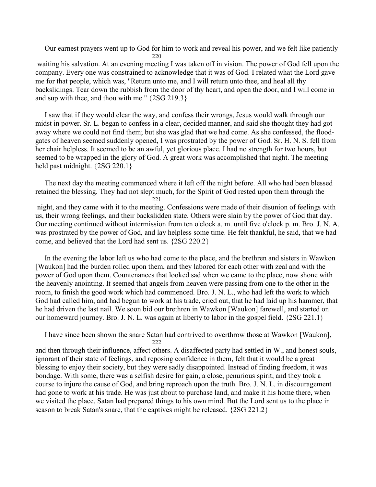Our earnest prayers went up to God for him to work and reveal his power, and we felt like patiently 220

 waiting his salvation. At an evening meeting I was taken off in vision. The power of God fell upon the company. Every one was constrained to acknowledge that it was of God. I related what the Lord gave me for that people, which was, "Return unto me, and I will return unto thee, and heal all thy backslidings. Tear down the rubbish from the door of thy heart, and open the door, and I will come in and sup with thee, and thou with me." {2SG 219.3}

 I saw that if they would clear the way, and confess their wrongs, Jesus would walk through our midst in power. Sr. L. began to confess in a clear, decided manner, and said she thought they had got away where we could not find them; but she was glad that we had come. As she confessed, the floodgates of heaven seemed suddenly opened, I was prostrated by the power of God. Sr. H. N. S. fell from her chair helpless. It seemed to be an awful, yet glorious place. I had no strength for two hours, but seemed to be wrapped in the glory of God. A great work was accomplished that night. The meeting held past midnight. {2SG 220.1}

 The next day the meeting commenced where it left off the night before. All who had been blessed retained the blessing. They had not slept much, for the Spirit of God rested upon them through the 221

 night, and they came with it to the meeting. Confessions were made of their disunion of feelings with us, their wrong feelings, and their backslidden state. Others were slain by the power of God that day. Our meeting continued without intermission from ten o'clock a. m. until five o'clock p. m. Bro. J. N. A. was prostrated by the power of God, and lay helpless some time. He felt thankful, he said, that we had come, and believed that the Lord had sent us. {2SG 220.2}

 In the evening the labor left us who had come to the place, and the brethren and sisters in Wawkon [Waukon] had the burden rolled upon them, and they labored for each other with zeal and with the power of God upon them. Countenances that looked sad when we came to the place, now shone with the heavenly anointing. It seemed that angels from heaven were passing from one to the other in the room, to finish the good work which had commenced. Bro. J. N. L., who had left the work to which God had called him, and had begun to work at his trade, cried out, that he had laid up his hammer, that he had driven the last nail. We soon bid our brethren in Wawkon [Waukon] farewell, and started on our homeward journey. Bro. J. N. L. was again at liberty to labor in the gospel field.  $\{2SG\ 221.1\}$ 

 I have since been shown the snare Satan had contrived to overthrow those at Wawkon [Waukon], 222

and then through their influence, affect others. A disaffected party had settled in W., and honest souls, ignorant of their state of feelings, and reposing confidence in them, felt that it would be a great blessing to enjoy their society, but they were sadly disappointed. Instead of finding freedom, it was bondage. With some, there was a selfish desire for gain, a close, penurious spirit, and they took a course to injure the cause of God, and bring reproach upon the truth. Bro. J. N. L. in discouragement had gone to work at his trade. He was just about to purchase land, and make it his home there, when we visited the place. Satan had prepared things to his own mind. But the Lord sent us to the place in season to break Satan's snare, that the captives might be released. {2SG 221.2}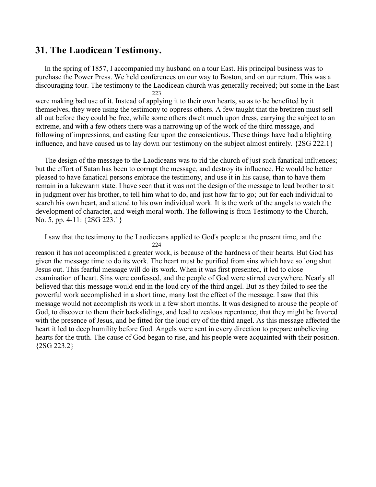## **31. The Laodicean Testimony.**

 In the spring of 1857, I accompanied my husband on a tour East. His principal business was to purchase the Power Press. We held conferences on our way to Boston, and on our return. This was a discouraging tour. The testimony to the Laodicean church was generally received; but some in the East 223

were making bad use of it. Instead of applying it to their own hearts, so as to be benefited by it themselves, they were using the testimony to oppress others. A few taught that the brethren must sell all out before they could be free, while some others dwelt much upon dress, carrying the subject to an extreme, and with a few others there was a narrowing up of the work of the third message, and following of impressions, and casting fear upon the conscientious. These things have had a blighting influence, and have caused us to lay down our testimony on the subject almost entirely. {2SG 222.1}

 The design of the message to the Laodiceans was to rid the church of just such fanatical influences; but the effort of Satan has been to corrupt the message, and destroy its influence. He would be better pleased to have fanatical persons embrace the testimony, and use it in his cause, than to have them remain in a lukewarm state. I have seen that it was not the design of the message to lead brother to sit in judgment over his brother, to tell him what to do, and just how far to go; but for each individual to search his own heart, and attend to his own individual work. It is the work of the angels to watch the development of character, and weigh moral worth. The following is from Testimony to the Church, No. 5, pp. 4-11: {2SG 223.1}

 I saw that the testimony to the Laodiceans applied to God's people at the present time, and the 224

reason it has not accomplished a greater work, is because of the hardness of their hearts. But God has given the message time to do its work. The heart must be purified from sins which have so long shut Jesus out. This fearful message will do its work. When it was first presented, it led to close examination of heart. Sins were confessed, and the people of God were stirred everywhere. Nearly all believed that this message would end in the loud cry of the third angel. But as they failed to see the powerful work accomplished in a short time, many lost the effect of the message. I saw that this message would not accomplish its work in a few short months. It was designed to arouse the people of God, to discover to them their backslidings, and lead to zealous repentance, that they might be favored with the presence of Jesus, and be fitted for the loud cry of the third angel. As this message affected the heart it led to deep humility before God. Angels were sent in every direction to prepare unbelieving hearts for the truth. The cause of God began to rise, and his people were acquainted with their position. {2SG 223.2}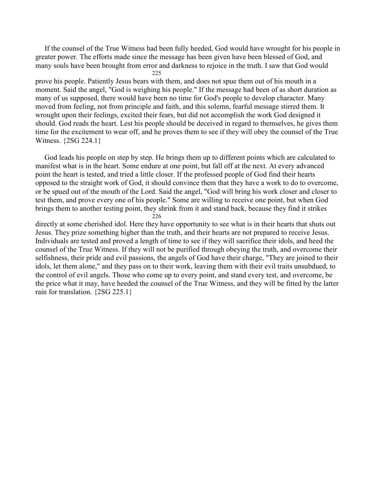If the counsel of the True Witness had been fully heeded, God would have wrought for his people in greater power. The efforts made since the message has been given have been blessed of God, and many souls have been brought from error and darkness to rejoice in the truth. I saw that God would 225

prove his people. Patiently Jesus bears with them, and does not spue them out of his mouth in a moment. Said the angel, "God is weighing his people." If the message had been of as short duration as many of us supposed, there would have been no time for God's people to develop character. Many moved from feeling, not from principle and faith, and this solemn, fearful message stirred them. It wrought upon their feelings, excited their fears, but did not accomplish the work God designed it should. God reads the heart. Lest his people should be deceived in regard to themselves, he gives them time for the excitement to wear off, and he proves them to see if they will obey the counsel of the True Witness. {2SG 224.1}

 God leads his people on step by step. He brings them up to different points which are calculated to manifest what is in the heart. Some endure at one point, but fall off at the next. At every advanced point the heart is tested, and tried a little closer. If the professed people of God find their hearts opposed to the straight work of God, it should convince them that they have a work to do to overcome, or be spued out of the mouth of the Lord. Said the angel, "God will bring his work closer and closer to test them, and prove every one of his people." Some are willing to receive one point, but when God brings them to another testing point, they shrink from it and stand back, because they find it strikes 226

directly at some cherished idol. Here they have opportunity to see what is in their hearts that shuts out Jesus. They prize something higher than the truth, and their hearts are not prepared to receive Jesus. Individuals are tested and proved a length of time to see if they will sacrifice their idols, and heed the counsel of the True Witness. If they will not be purified through obeying the truth, and overcome their selfishness, their pride and evil passions, the angels of God have their charge, "They are joined to their idols, let them alone," and they pass on to their work, leaving them with their evil traits unsubdued, to the control of evil angels. Those who come up to every point, and stand every test, and overcome, be the price what it may, have heeded the counsel of the True Witness, and they will be fitted by the latter rain for translation. {2SG 225.1}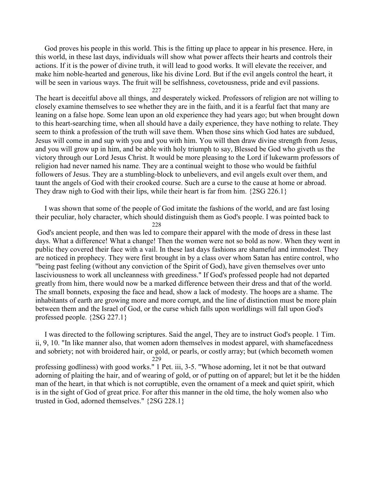God proves his people in this world. This is the fitting up place to appear in his presence. Here, in this world, in these last days, individuals will show what power affects their hearts and controls their actions. If it is the power of divine truth, it will lead to good works. It will elevate the receiver, and make him noble-hearted and generous, like his divine Lord. But if the evil angels control the heart, it will be seen in various ways. The fruit will be selfishness, covetousness, pride and evil passions. 227

The heart is deceitful above all things, and desperately wicked. Professors of religion are not willing to closely examine themselves to see whether they are in the faith, and it is a fearful fact that many are leaning on a false hope. Some lean upon an old experience they had years ago; but when brought down to this heart-searching time, when all should have a daily experience, they have nothing to relate. They seem to think a profession of the truth will save them. When those sins which God hates are subdued, Jesus will come in and sup with you and you with him. You will then draw divine strength from Jesus, and you will grow up in him, and be able with holy triumph to say, Blessed be God who giveth us the victory through our Lord Jesus Christ. It would be more pleasing to the Lord if lukewarm professors of religion had never named his name. They are a continual weight to those who would be faithful followers of Jesus. They are a stumbling-block to unbelievers, and evil angels exult over them, and taunt the angels of God with their crooked course. Such are a curse to the cause at home or abroad. They draw nigh to God with their lips, while their heart is far from him. {2SG 226.1}

 I was shown that some of the people of God imitate the fashions of the world, and are fast losing their peculiar, holy character, which should distinguish them as God's people. I was pointed back to 228

 God's ancient people, and then was led to compare their apparel with the mode of dress in these last days. What a difference! What a change! Then the women were not so bold as now. When they went in public they covered their face with a vail. In these last days fashions are shameful and immodest. They are noticed in prophecy. They were first brought in by a class over whom Satan has entire control, who "being past feeling (without any conviction of the Spirit of God), have given themselves over unto lasciviousness to work all uncleanness with greediness." If God's professed people had not departed greatly from him, there would now be a marked difference between their dress and that of the world. The small bonnets, exposing the face and head, show a lack of modesty. The hoops are a shame. The inhabitants of earth are growing more and more corrupt, and the line of distinction must be more plain between them and the Israel of God, or the curse which falls upon worldlings will fall upon God's professed people. {2SG 227.1}

 I was directed to the following scriptures. Said the angel, They are to instruct God's people. 1 Tim. ii, 9, 10. "In like manner also, that women adorn themselves in modest apparel, with shamefacedness and sobriety; not with broidered hair, or gold, or pearls, or costly array; but (which becometh women 229

professing godliness) with good works." 1 Pet. iii, 3-5. "Whose adorning, let it not be that outward adorning of plaiting the hair, and of wearing of gold, or of putting on of apparel; but let it be the hidden man of the heart, in that which is not corruptible, even the ornament of a meek and quiet spirit, which is in the sight of God of great price. For after this manner in the old time, the holy women also who trusted in God, adorned themselves." {2SG 228.1}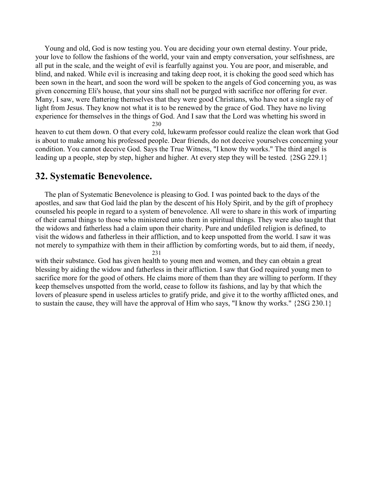Young and old, God is now testing you. You are deciding your own eternal destiny. Your pride, your love to follow the fashions of the world, your vain and empty conversation, your selfishness, are all put in the scale, and the weight of evil is fearfully against you. You are poor, and miserable, and blind, and naked. While evil is increasing and taking deep root, it is choking the good seed which has been sown in the heart, and soon the word will be spoken to the angels of God concerning you, as was given concerning Eli's house, that your sins shall not be purged with sacrifice nor offering for ever. Many, I saw, were flattering themselves that they were good Christians, who have not a single ray of light from Jesus. They know not what it is to be renewed by the grace of God. They have no living experience for themselves in the things of God. And I saw that the Lord was whetting his sword in 230

heaven to cut them down. O that every cold, lukewarm professor could realize the clean work that God is about to make among his professed people. Dear friends, do not deceive yourselves concerning your condition. You cannot deceive God. Says the True Witness, "I know thy works." The third angel is leading up a people, step by step, higher and higher. At every step they will be tested. {2SG 229.1}

#### **32. Systematic Benevolence.**

 The plan of Systematic Benevolence is pleasing to God. I was pointed back to the days of the apostles, and saw that God laid the plan by the descent of his Holy Spirit, and by the gift of prophecy counseled his people in regard to a system of benevolence. All were to share in this work of imparting of their carnal things to those who ministered unto them in spiritual things. They were also taught that the widows and fatherless had a claim upon their charity. Pure and undefiled religion is defined, to visit the widows and fatherless in their affliction, and to keep unspotted from the world. I saw it was not merely to sympathize with them in their affliction by comforting words, but to aid them, if needy, 231

with their substance. God has given health to young men and women, and they can obtain a great blessing by aiding the widow and fatherless in their affliction. I saw that God required young men to sacrifice more for the good of others. He claims more of them than they are willing to perform. If they keep themselves unspotted from the world, cease to follow its fashions, and lay by that which the lovers of pleasure spend in useless articles to gratify pride, and give it to the worthy afflicted ones, and to sustain the cause, they will have the approval of Him who says, "I know thy works." {2SG 230.1}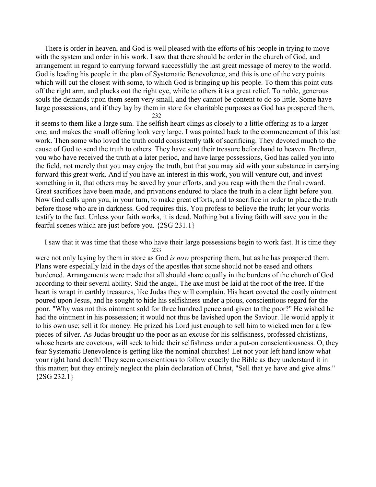There is order in heaven, and God is well pleased with the efforts of his people in trying to move with the system and order in his work. I saw that there should be order in the church of God, and arrangement in regard to carrying forward successfully the last great message of mercy to the world. God is leading his people in the plan of Systematic Benevolence, and this is one of the very points which will cut the closest with some, to which God is bringing up his people. To them this point cuts off the right arm, and plucks out the right eye, while to others it is a great relief. To noble, generous souls the demands upon them seem very small, and they cannot be content to do so little. Some have large possessions, and if they lay by them in store for charitable purposes as God has prospered them, 232

it seems to them like a large sum. The selfish heart clings as closely to a little offering as to a larger one, and makes the small offering look very large. I was pointed back to the commencement of this last work. Then some who loved the truth could consistently talk of sacrificing. They devoted much to the cause of God to send the truth to others. They have sent their treasure beforehand to heaven. Brethren, you who have received the truth at a later period, and have large possessions, God has called you into the field, not merely that you may enjoy the truth, but that you may aid with your substance in carrying forward this great work. And if you have an interest in this work, you will venture out, and invest something in it, that others may be saved by your efforts, and you reap with them the final reward. Great sacrifices have been made, and privations endured to place the truth in a clear light before you. Now God calls upon you, in your turn, to make great efforts, and to sacrifice in order to place the truth before those who are in darkness. God requires this. You profess to believe the truth; let your works testify to the fact. Unless your faith works, it is dead. Nothing but a living faith will save you in the fearful scenes which are just before you. {2SG 231.1}

 I saw that it was time that those who have their large possessions begin to work fast. It is time they 233

were not only laying by them in store as God *is now* prospering them, but as he has prospered them. Plans were especially laid in the days of the apostles that some should not be eased and others burdened. Arrangements were made that all should share equally in the burdens of the church of God according to their several ability. Said the angel, The axe must be laid at the root of the tree. If the heart is wrapt in earthly treasures, like Judas they will complain. His heart coveted the costly ointment poured upon Jesus, and he sought to hide his selfishness under a pious, conscientious regard for the poor. "Why was not this ointment sold for three hundred pence and given to the poor?" He wished he had the ointment in his possession; it would not thus be lavished upon the Saviour. He would apply it to his own use; sell it for money. He prized his Lord just enough to sell him to wicked men for a few pieces of silver. As Judas brought up the poor as an excuse for his selfishness, professed christians, whose hearts are covetous, will seek to hide their selfishness under a put-on conscientiousness. O, they fear Systematic Benevolence is getting like the nominal churches! Let not your left hand know what your right hand doeth! They seem conscientious to follow exactly the Bible as they understand it in this matter; but they entirely neglect the plain declaration of Christ, "Sell that ye have and give alms."  ${2SG\,232.1}$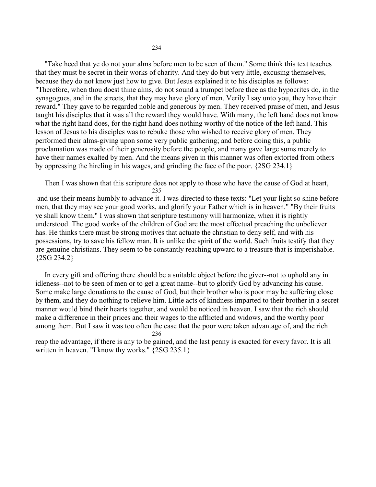"Take heed that ye do not your alms before men to be seen of them." Some think this text teaches that they must be secret in their works of charity. And they do but very little, excusing themselves, because they do not know just how to give. But Jesus explained it to his disciples as follows: "Therefore, when thou doest thine alms, do not sound a trumpet before thee as the hypocrites do, in the synagogues, and in the streets, that they may have glory of men. Verily I say unto you, they have their reward." They gave to be regarded noble and generous by men. They received praise of men, and Jesus taught his disciples that it was all the reward they would have. With many, the left hand does not know what the right hand does, for the right hand does nothing worthy of the notice of the left hand. This lesson of Jesus to his disciples was to rebuke those who wished to receive glory of men. They performed their alms-giving upon some very public gathering; and before doing this, a public proclamation was made of their generosity before the people, and many gave large sums merely to have their names exalted by men. And the means given in this manner was often extorted from others by oppressing the hireling in his wages, and grinding the face of the poor. {2SG 234.1}

 Then I was shown that this scripture does not apply to those who have the cause of God at heart, 235

 and use their means humbly to advance it. I was directed to these texts: "Let your light so shine before men, that they may see your good works, and glorify your Father which is in heaven." "By their fruits ye shall know them." I was shown that scripture testimony will harmonize, when it is rightly understood. The good works of the children of God are the most effectual preaching the unbeliever has. He thinks there must be strong motives that actuate the christian to deny self, and with his possessions, try to save his fellow man. It is unlike the spirit of the world. Such fruits testify that they are genuine christians. They seem to be constantly reaching upward to a treasure that is imperishable. {2SG 234.2}

 In every gift and offering there should be a suitable object before the giver--not to uphold any in idleness--not to be seen of men or to get a great name--but to glorify God by advancing his cause. Some make large donations to the cause of God, but their brother who is poor may be suffering close by them, and they do nothing to relieve him. Little acts of kindness imparted to their brother in a secret manner would bind their hearts together, and would be noticed in heaven. I saw that the rich should make a difference in their prices and their wages to the afflicted and widows, and the worthy poor among them. But I saw it was too often the case that the poor were taken advantage of, and the rich 236

reap the advantage, if there is any to be gained, and the last penny is exacted for every favor. It is all written in heaven. "I know thy works." {2SG 235.1}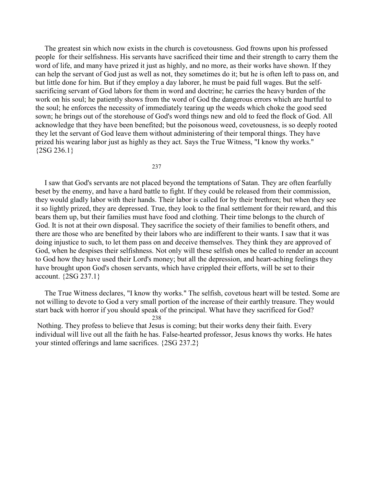The greatest sin which now exists in the church is covetousness. God frowns upon his professed people for their selfishness. His servants have sacrificed their time and their strength to carry them the word of life, and many have prized it just as highly, and no more, as their works have shown. If they can help the servant of God just as well as not, they sometimes do it; but he is often left to pass on, and but little done for him. But if they employ a day laborer, he must be paid full wages. But the selfsacrificing servant of God labors for them in word and doctrine; he carries the heavy burden of the work on his soul; he patiently shows from the word of God the dangerous errors which are hurtful to the soul; he enforces the necessity of immediately tearing up the weeds which choke the good seed sown; he brings out of the storehouse of God's word things new and old to feed the flock of God. All acknowledge that they have been benefited; but the poisonous weed, covetousness, is so deeply rooted they let the servant of God leave them without administering of their temporal things. They have prized his wearing labor just as highly as they act. Says the True Witness, "I know thy works."  ${2SG\,236.1}$ 

237

 I saw that God's servants are not placed beyond the temptations of Satan. They are often fearfully beset by the enemy, and have a hard battle to fight. If they could be released from their commission, they would gladly labor with their hands. Their labor is called for by their brethren; but when they see it so lightly prized, they are depressed. True, they look to the final settlement for their reward, and this bears them up, but their families must have food and clothing. Their time belongs to the church of God. It is not at their own disposal. They sacrifice the society of their families to benefit others, and there are those who are benefited by their labors who are indifferent to their wants. I saw that it was doing injustice to such, to let them pass on and deceive themselves. They think they are approved of God, when he despises their selfishness. Not only will these selfish ones be called to render an account to God how they have used their Lord's money; but all the depression, and heart-aching feelings they have brought upon God's chosen servants, which have crippled their efforts, will be set to their account. {2SG 237.1}

 The True Witness declares, "I know thy works." The selfish, covetous heart will be tested. Some are not willing to devote to God a very small portion of the increase of their earthly treasure. They would start back with horror if you should speak of the principal. What have they sacrificed for God? 238

 Nothing. They profess to believe that Jesus is coming; but their works deny their faith. Every individual will live out all the faith he has. False-hearted professor, Jesus knows thy works. He hates your stinted offerings and lame sacrifices. {2SG 237.2}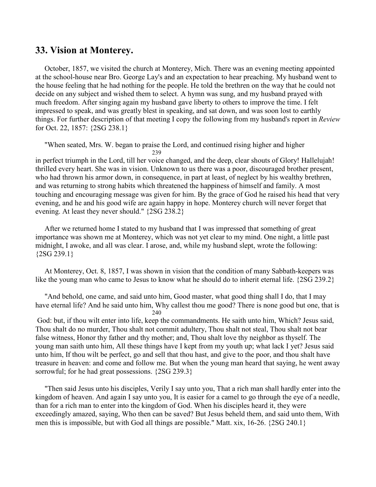#### **33. Vision at Monterey.**

 October, 1857, we visited the church at Monterey, Mich. There was an evening meeting appointed at the school-house near Bro. George Lay's and an expectation to hear preaching. My husband went to the house feeling that he had nothing for the people. He told the brethren on the way that he could not decide on any subject and wished them to select. A hymn was sung, and my husband prayed with much freedom. After singing again my husband gave liberty to others to improve the time. I felt impressed to speak, and was greatly blest in speaking, and sat down, and was soon lost to earthly things. For further description of that meeting I copy the following from my husband's report in *Review* for Oct. 22, 1857: {2SG 238.1}

 "When seated, Mrs. W. began to praise the Lord, and continued rising higher and higher 239

in perfect triumph in the Lord, till her voice changed, and the deep, clear shouts of Glory! Hallelujah! thrilled every heart. She was in vision. Unknown to us there was a poor, discouraged brother present, who had thrown his armor down, in consequence, in part at least, of neglect by his wealthy brethren, and was returning to strong habits which threatened the happiness of himself and family. A most touching and encouraging message was given for him. By the grace of God he raised his head that very evening, and he and his good wife are again happy in hope. Monterey church will never forget that evening. At least they never should." {2SG 238.2}

 After we returned home I stated to my husband that I was impressed that something of great importance was shown me at Monterey, which was not yet clear to my mind. One night, a little past midnight, I awoke, and all was clear. I arose, and, while my husband slept, wrote the following: {2SG 239.1}

 At Monterey, Oct. 8, 1857, I was shown in vision that the condition of many Sabbath-keepers was like the young man who came to Jesus to know what he should do to inherit eternal life. {2SG 239.2}

 "And behold, one came, and said unto him, Good master, what good thing shall I do, that I may have eternal life? And he said unto him, Why callest thou me good? There is none good but one, that is 240

 God: but, if thou wilt enter into life, keep the commandments. He saith unto him, Which? Jesus said, Thou shalt do no murder, Thou shalt not commit adultery, Thou shalt not steal, Thou shalt not bear false witness, Honor thy father and thy mother; and, Thou shalt love thy neighbor as thyself. The young man saith unto him, All these things have I kept from my youth up; what lack I yet? Jesus said unto him, If thou wilt be perfect, go and sell that thou hast, and give to the poor, and thou shalt have treasure in heaven: and come and follow me. But when the young man heard that saying, he went away sorrowful; for he had great possessions. {2SG 239.3}

 "Then said Jesus unto his disciples, Verily I say unto you, That a rich man shall hardly enter into the kingdom of heaven. And again I say unto you, It is easier for a camel to go through the eye of a needle, than for a rich man to enter into the kingdom of God. When his disciples heard it, they were exceedingly amazed, saying, Who then can be saved? But Jesus beheld them, and said unto them, With men this is impossible, but with God all things are possible." Matt. xix, 16-26. {2SG 240.1}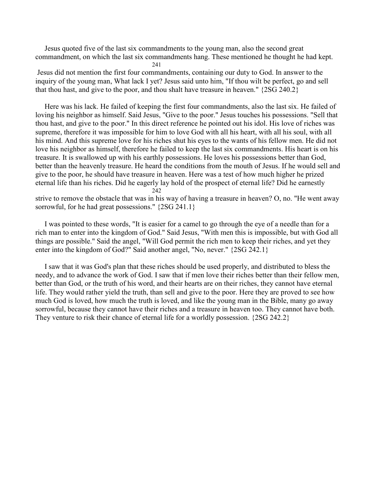Jesus quoted five of the last six commandments to the young man, also the second great commandment, on which the last six commandments hang. These mentioned he thought he had kept.

 241 Jesus did not mention the first four commandments, containing our duty to God. In answer to the inquiry of the young man, What lack I yet? Jesus said unto him, "If thou wilt be perfect, go and sell that thou hast, and give to the poor, and thou shalt have treasure in heaven." {2SG 240.2}

 Here was his lack. He failed of keeping the first four commandments, also the last six. He failed of loving his neighbor as himself. Said Jesus, "Give to the poor." Jesus touches his possessions. "Sell that thou hast, and give to the poor." In this direct reference he pointed out his idol. His love of riches was supreme, therefore it was impossible for him to love God with all his heart, with all his soul, with all his mind. And this supreme love for his riches shut his eyes to the wants of his fellow men. He did not love his neighbor as himself, therefore he failed to keep the last six commandments. His heart is on his treasure. It is swallowed up with his earthly possessions. He loves his possessions better than God, better than the heavenly treasure. He heard the conditions from the mouth of Jesus. If he would sell and give to the poor, he should have treasure in heaven. Here was a test of how much higher he prized eternal life than his riches. Did he eagerly lay hold of the prospect of eternal life? Did he earnestly 242

strive to remove the obstacle that was in his way of having a treasure in heaven? O, no. "He went away sorrowful, for he had great possessions." {2SG 241.1}

 I was pointed to these words, "It is easier for a camel to go through the eye of a needle than for a rich man to enter into the kingdom of God." Said Jesus, "With men this is impossible, but with God all things are possible." Said the angel, "Will God permit the rich men to keep their riches, and yet they enter into the kingdom of God?" Said another angel, "No, never." {2SG 242.1}

 I saw that it was God's plan that these riches should be used properly, and distributed to bless the needy, and to advance the work of God. I saw that if men love their riches better than their fellow men, better than God, or the truth of his word, and their hearts are on their riches, they cannot have eternal life. They would rather yield the truth, than sell and give to the poor. Here they are proved to see how much God is loved, how much the truth is loved, and like the young man in the Bible, many go away sorrowful, because they cannot have their riches and a treasure in heaven too. They cannot have both. They venture to risk their chance of eternal life for a worldly possession. {2SG 242.2}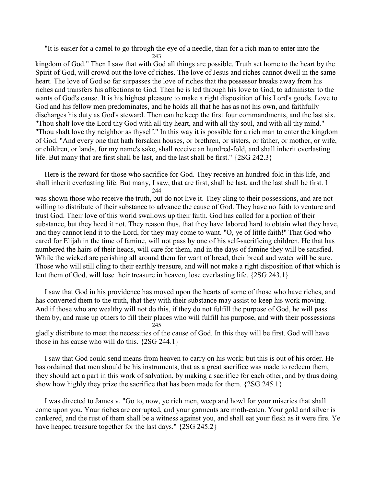"It is easier for a camel to go through the eye of a needle, than for a rich man to enter into the

243

kingdom of God." Then I saw that with God all things are possible. Truth set home to the heart by the Spirit of God, will crowd out the love of riches. The love of Jesus and riches cannot dwell in the same heart. The love of God so far surpasses the love of riches that the possessor breaks away from his riches and transfers his affections to God. Then he is led through his love to God, to administer to the wants of God's cause. It is his highest pleasure to make a right disposition of his Lord's goods. Love to God and his fellow men predominates, and he holds all that he has as not his own, and faithfully discharges his duty as God's steward. Then can he keep the first four commandments, and the last six. "Thou shalt love the Lord thy God with all thy heart, and with all thy soul, and with all thy mind." "Thou shalt love thy neighbor as thyself." In this way it is possible for a rich man to enter the kingdom of God. "And every one that hath forsaken houses, or brethren, or sisters, or father, or mother, or wife, or children, or lands, for my name's sake, shall receive an hundred-fold, and shall inherit everlasting life. But many that are first shall be last, and the last shall be first." {2SG 242.3}

 Here is the reward for those who sacrifice for God. They receive an hundred-fold in this life, and shall inherit everlasting life. But many, I saw, that are first, shall be last, and the last shall be first. I 244

was shown those who receive the truth, but do not live it. They cling to their possessions, and are not willing to distribute of their substance to advance the cause of God. They have no faith to venture and trust God. Their love of this world swallows up their faith. God has called for a portion of their substance, but they heed it not. They reason thus, that they have labored hard to obtain what they have, and they cannot lend it to the Lord, for they may come to want. "O, ye of little faith!" That God who cared for Elijah in the time of famine, will not pass by one of his self-sacrificing children. He that has numbered the hairs of their heads, will care for them, and in the days of famine they will be satisfied. While the wicked are perishing all around them for want of bread, their bread and water will be sure. Those who will still cling to their earthly treasure, and will not make a right disposition of that which is lent them of God, will lose their treasure in heaven, lose everlasting life. {2SG 243.1}

 I saw that God in his providence has moved upon the hearts of some of those who have riches, and has converted them to the truth, that they with their substance may assist to keep his work moving. And if those who are wealthy will not do this, if they do not fulfill the purpose of God, he will pass them by, and raise up others to fill their places who will fulfill his purpose, and with their possessions 245 gladly distribute to meet the necessities of the cause of God. In this they will be first. God will have those in his cause who will do this. {2SG 244.1}

 I saw that God could send means from heaven to carry on his work; but this is out of his order. He has ordained that men should be his instruments, that as a great sacrifice was made to redeem them, they should act a part in this work of salvation, by making a sacrifice for each other, and by thus doing show how highly they prize the sacrifice that has been made for them. {2SG 245.1}

 I was directed to James v. "Go to, now, ye rich men, weep and howl for your miseries that shall come upon you. Your riches are corrupted, and your garments are moth-eaten. Your gold and silver is cankered, and the rust of them shall be a witness against you, and shall eat your flesh as it were fire. Ye have heaped treasure together for the last days." {2SG 245.2}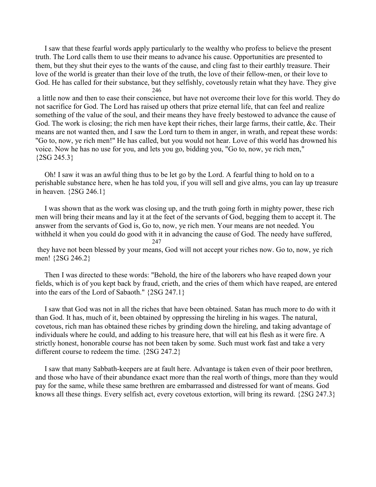I saw that these fearful words apply particularly to the wealthy who profess to believe the present truth. The Lord calls them to use their means to advance his cause. Opportunities are presented to them, but they shut their eyes to the wants of the cause, and cling fast to their earthly treasure. Their love of the world is greater than their love of the truth, the love of their fellow-men, or their love to God. He has called for their substance, but they selfishly, covetously retain what they have. They give

246

 a little now and then to ease their conscience, but have not overcome their love for this world. They do not sacrifice for God. The Lord has raised up others that prize eternal life, that can feel and realize something of the value of the soul, and their means they have freely bestowed to advance the cause of God. The work is closing; the rich men have kept their riches, their large farms, their cattle, &c. Their means are not wanted then, and I saw the Lord turn to them in anger, in wrath, and repeat these words: "Go to, now, ye rich men!" He has called, but you would not hear. Love of this world has drowned his voice. Now he has no use for you, and lets you go, bidding you, "Go to, now, ye rich men,"  ${2SG\,245.3}$ 

 Oh! I saw it was an awful thing thus to be let go by the Lord. A fearful thing to hold on to a perishable substance here, when he has told you, if you will sell and give alms, you can lay up treasure in heaven. {2SG 246.1}

 I was shown that as the work was closing up, and the truth going forth in mighty power, these rich men will bring their means and lay it at the feet of the servants of God, begging them to accept it. The answer from the servants of God is, Go to, now, ye rich men. Your means are not needed. You withheld it when you could do good with it in advancing the cause of God. The needy have suffered, 247

 they have not been blessed by your means, God will not accept your riches now. Go to, now, ye rich men! {2SG 246.2}

 Then I was directed to these words: "Behold, the hire of the laborers who have reaped down your fields, which is of you kept back by fraud, crieth, and the cries of them which have reaped, are entered into the ears of the Lord of Sabaoth." {2SG 247.1}

 I saw that God was not in all the riches that have been obtained. Satan has much more to do with it than God. It has, much of it, been obtained by oppressing the hireling in his wages. The natural, covetous, rich man has obtained these riches by grinding down the hireling, and taking advantage of individuals where he could, and adding to his treasure here, that will eat his flesh as it were fire. A strictly honest, honorable course has not been taken by some. Such must work fast and take a very different course to redeem the time.  ${2SG\,247.2}$ 

 I saw that many Sabbath-keepers are at fault here. Advantage is taken even of their poor brethren, and those who have of their abundance exact more than the real worth of things, more than they would pay for the same, while these same brethren are embarrassed and distressed for want of means. God knows all these things. Every selfish act, every covetous extortion, will bring its reward. {2SG 247.3}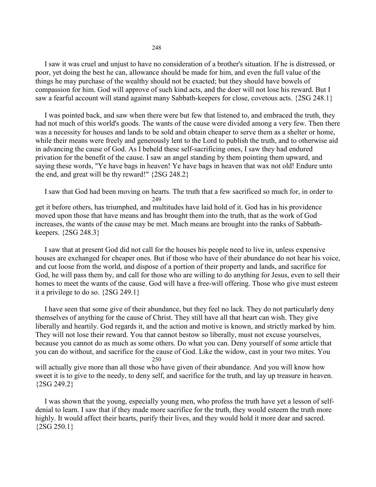I saw it was cruel and unjust to have no consideration of a brother's situation. If he is distressed, or poor, yet doing the best he can, allowance should be made for him, and even the full value of the things he may purchase of the wealthy should not be exacted; but they should have bowels of compassion for him. God will approve of such kind acts, and the doer will not lose his reward. But I saw a fearful account will stand against many Sabbath-keepers for close, covetous acts. {2SG 248.1}

 I was pointed back, and saw when there were but few that listened to, and embraced the truth, they had not much of this world's goods. The wants of the cause were divided among a very few. Then there was a necessity for houses and lands to be sold and obtain cheaper to serve them as a shelter or home, while their means were freely and generously lent to the Lord to publish the truth, and to otherwise aid in advancing the cause of God. As I beheld these self-sacrificing ones, I saw they had endured privation for the benefit of the cause. I saw an angel standing by them pointing them upward, and saying these words, "Ye have bags in heaven! Ye have bags in heaven that wax not old! Endure unto the end, and great will be thy reward!" {2SG 248.2}

 I saw that God had been moving on hearts. The truth that a few sacrificed so much for, in order to 249 get it before others, has triumphed, and multitudes have laid hold of it. God has in his providence moved upon those that have means and has brought them into the truth, that as the work of God increases, the wants of the cause may be met. Much means are brought into the ranks of Sabbathkeepers. {2SG 248.3}

 I saw that at present God did not call for the houses his people need to live in, unless expensive houses are exchanged for cheaper ones. But if those who have of their abundance do not hear his voice, and cut loose from the world, and dispose of a portion of their property and lands, and sacrifice for God, he will pass them by, and call for those who are willing to do anything for Jesus, even to sell their homes to meet the wants of the cause. God will have a free-will offering. Those who give must esteem it a privilege to do so. {2SG 249.1}

 I have seen that some give of their abundance, but they feel no lack. They do not particularly deny themselves of anything for the cause of Christ. They still have all that heart can wish. They give liberally and heartily. God regards it, and the action and motive is known, and strictly marked by him. They will not lose their reward. You that cannot bestow so liberally, must not excuse yourselves, because you cannot do as much as some others. Do what you can. Deny yourself of some article that you can do without, and sacrifice for the cause of God. Like the widow, cast in your two mites. You 250

will actually give more than all those who have given of their abundance. And you will know how sweet it is to give to the needy, to deny self, and sacrifice for the truth, and lay up treasure in heaven.  ${2SG\,249.2}$ 

 I was shown that the young, especially young men, who profess the truth have yet a lesson of selfdenial to learn. I saw that if they made more sacrifice for the truth, they would esteem the truth more highly. It would affect their hearts, purify their lives, and they would hold it more dear and sacred.  ${2SG 250.1}$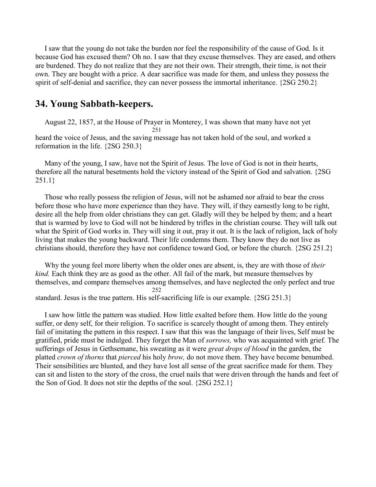I saw that the young do not take the burden nor feel the responsibility of the cause of God. Is it because God has excused them? Oh no. I saw that they excuse themselves. They are eased, and others are burdened. They do not realize that they are not their own. Their strength, their time, is not their own. They are bought with a price. A dear sacrifice was made for them, and unless they possess the spirit of self-denial and sacrifice, they can never possess the immortal inheritance. {2SG 250.2}

### **34. Young Sabbath-keepers.**

 August 22, 1857, at the House of Prayer in Monterey, I was shown that many have not yet 251 heard the voice of Jesus, and the saving message has not taken hold of the soul, and worked a reformation in the life. {2SG 250.3}

 Many of the young, I saw, have not the Spirit of Jesus. The love of God is not in their hearts, therefore all the natural besetments hold the victory instead of the Spirit of God and salvation. {2SG 251.1}

 Those who really possess the religion of Jesus, will not be ashamed nor afraid to bear the cross before those who have more experience than they have. They will, if they earnestly long to be right, desire all the help from older christians they can get. Gladly will they be helped by them; and a heart that is warmed by love to God will not be hindered by trifles in the christian course. They will talk out what the Spirit of God works in. They will sing it out, pray it out. It is the lack of religion, lack of holy living that makes the young backward. Their life condemns them. They know they do not live as christians should, therefore they have not confidence toward God, or before the church. {2SG 251.2}

 Why the young feel more liberty when the older ones are absent, is, they are with those of *their kind.* Each think they are as good as the other. All fail of the mark, but measure themselves by themselves, and compare themselves among themselves, and have neglected the only perfect and true 252

standard. Jesus is the true pattern. His self-sacrificing life is our example. {2SG 251.3}

 I saw how little the pattern was studied. How little exalted before them. How little do the young suffer, or deny self, for their religion. To sacrifice is scarcely thought of among them. They entirely fail of imitating the pattern in this respect. I saw that this was the language of their lives, Self must be gratified, pride must be indulged. They forget the Man of *sorrows,* who was acquainted with grief. The sufferings of Jesus in Gethsemane, his sweating as it were *great drops of blood* in the garden, the platted *crown of thorns* that *pierced* his holy *brow,* do not move them. They have become benumbed. Their sensibilities are blunted, and they have lost all sense of the great sacrifice made for them. They can sit and listen to the story of the cross, the cruel nails that were driven through the hands and feet of the Son of God. It does not stir the depths of the soul. {2SG 252.1}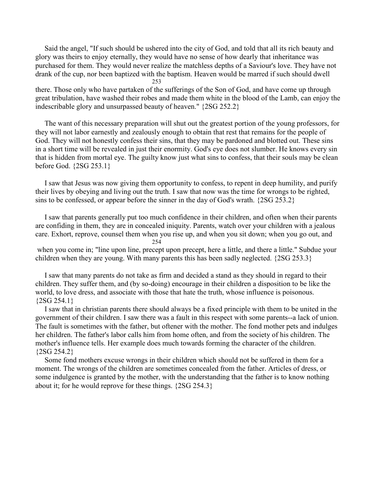Said the angel, "If such should be ushered into the city of God, and told that all its rich beauty and glory was theirs to enjoy eternally, they would have no sense of how dearly that inheritance was purchased for them. They would never realize the matchless depths of a Saviour's love. They have not drank of the cup, nor been baptized with the baptism. Heaven would be marred if such should dwell 253

there. Those only who have partaken of the sufferings of the Son of God, and have come up through great tribulation, have washed their robes and made them white in the blood of the Lamb, can enjoy the indescribable glory and unsurpassed beauty of heaven." {2SG 252.2}

 The want of this necessary preparation will shut out the greatest portion of the young professors, for they will not labor earnestly and zealously enough to obtain that rest that remains for the people of God. They will not honestly confess their sins, that they may be pardoned and blotted out. These sins in a short time will be revealed in just their enormity. God's eye does not slumber. He knows every sin that is hidden from mortal eye. The guilty know just what sins to confess, that their souls may be clean before God. {2SG 253.1}

 I saw that Jesus was now giving them opportunity to confess, to repent in deep humility, and purify their lives by obeying and living out the truth. I saw that now was the time for wrongs to be righted, sins to be confessed, or appear before the sinner in the day of God's wrath. {2SG 253.2}

 I saw that parents generally put too much confidence in their children, and often when their parents are confiding in them, they are in concealed iniquity. Parents, watch over your children with a jealous care. Exhort, reprove, counsel them when you rise up, and when you sit down; when you go out, and 254

 when you come in; "line upon line, precept upon precept, here a little, and there a little." Subdue your children when they are young. With many parents this has been sadly neglected. {2SG 253.3}

 I saw that many parents do not take as firm and decided a stand as they should in regard to their children. They suffer them, and (by so-doing) encourage in their children a disposition to be like the world, to love dress, and associate with those that hate the truth, whose influence is poisonous.  ${2SG 254.1}$ 

 I saw that in christian parents there should always be a fixed principle with them to be united in the government of their children. I saw there was a fault in this respect with some parents--a lack of union. The fault is sometimes with the father, but oftener with the mother. The fond mother pets and indulges her children. The father's labor calls him from home often, and from the society of his children. The mother's influence tells. Her example does much towards forming the character of the children. {2SG 254.2}

 Some fond mothers excuse wrongs in their children which should not be suffered in them for a moment. The wrongs of the children are sometimes concealed from the father. Articles of dress, or some indulgence is granted by the mother, with the understanding that the father is to know nothing about it; for he would reprove for these things. {2SG 254.3}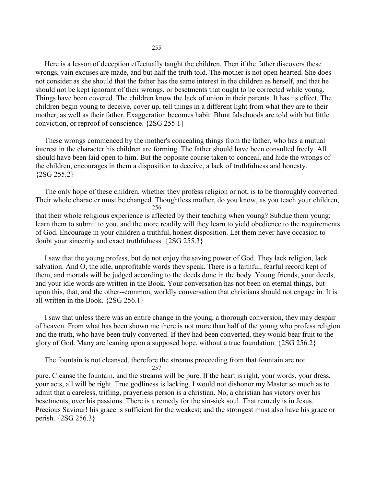Here is a lesson of deception effectually taught the children. Then if the father discovers these wrongs, vain excuses are made, and but half the truth told. The mother is not open hearted. She does not consider as she should that the father has the same interest in the children as herself, and that he should not be kept ignorant of their wrongs, or besetments that ought to be corrected while young. Things have been covered. The children know the lack of union in their parents. It has its effect. The children begin young to deceive, cover up, tell things in a different light from what they are to their mother, as well as their father. Exaggeration becomes habit. Blunt falsehoods are told with but little conviction, or reproof of conscience. {2SG 255.1}

 These wrongs commenced by the mother's concealing things from the father, who has a mutual interest in the character his children are forming. The father should have been consulted freely. All should have been laid open to him. But the opposite course taken to conceal, and hide the wrongs of the children, encourages in them a disposition to deceive, a lack of truthfulness and honesty. {2SG 255.2}

 The only hope of these children, whether they profess religion or not, is to be thoroughly converted. Their whole character must be changed. Thoughtless mother, do you know, as you teach your children, 256 that their whole religious experience is affected by their teaching when young? Subdue them young; learn them to submit to you, and the more readily will they learn to yield obedience to the requirements of God. Encourage in your children a truthful, honest disposition. Let them never have occasion to doubt your sincerity and exact truthfulness. {2SG 255.3}

 I saw that the young profess, but do not enjoy the saving power of God. They lack religion, lack salvation. And O, the idle, unprofitable words they speak. There is a faithful, fearful record kept of them, and mortals will be judged according to the deeds done in the body. Young friends, your deeds, and your idle words are written in the Book. Your conversation has not been on eternal things, but upon this, that, and the other--common, worldly conversation that christians should not engage in. It is all written in the Book. {2SG 256.1}

 I saw that unless there was an entire change in the young, a thorough conversion, they may despair of heaven. From what has been shown me there is not more than half of the young who profess religion and the truth, who have been truly converted. If they had been converted, they would bear fruit to the glory of God. Many are leaning upon a supposed hope, without a true foundation. {2SG 256.2}

The fountain is not cleansed, therefore the streams proceeding from that fountain are not

257

pure. Cleanse the fountain, and the streams will be pure. If the heart is right, your words, your dress, your acts, all will be right. True godliness is lacking. I would not dishonor my Master so much as to admit that a careless, trifling, prayerless person is a christian. No, a christian has victory over his besetments, over his passions. There is a remedy for the sin-sick soul. That remedy is in Jesus. Precious Saviour! his grace is sufficient for the weakest; and the strongest must also have his grace or perish. {2SG 256.3}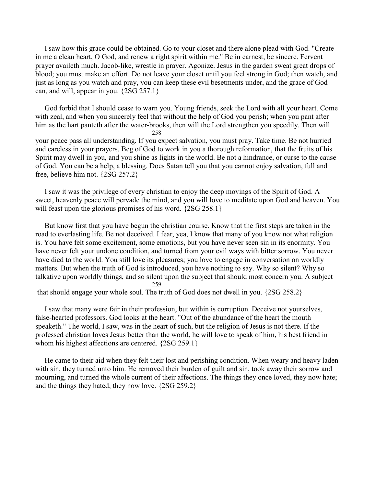I saw how this grace could be obtained. Go to your closet and there alone plead with God. "Create in me a clean heart, O God, and renew a right spirit within me." Be in earnest, be sincere. Fervent prayer availeth much. Jacob-like, wrestle in prayer. Agonize. Jesus in the garden sweat great drops of blood; you must make an effort. Do not leave your closet until you feel strong in God; then watch, and just as long as you watch and pray, you can keep these evil besetments under, and the grace of God can, and will, appear in you. {2SG 257.1}

 God forbid that I should cease to warn you. Young friends, seek the Lord with all your heart. Come with zeal, and when you sincerely feel that without the help of God you perish; when you pant after him as the hart panteth after the water-brooks, then will the Lord strengthen you speedily. Then will  $^{258}$  258 your peace pass all understanding. If you expect salvation, you must pray. Take time. Be not hurried and careless in your prayers. Beg of God to work in you a thorough reformation, that the fruits of his Spirit may dwell in you, and you shine as lights in the world. Be not a hindrance, or curse to the cause of God. You can be a help, a blessing. Does Satan tell you that you cannot enjoy salvation, full and

 I saw it was the privilege of every christian to enjoy the deep movings of the Spirit of God. A sweet, heavenly peace will pervade the mind, and you will love to meditate upon God and heaven. You will feast upon the glorious promises of his word.  ${2SG\ 258.1}$ 

 But know first that you have begun the christian course. Know that the first steps are taken in the road to everlasting life. Be not deceived. I fear, yea, I know that many of you know not what religion is. You have felt some excitement, some emotions, but you have never seen sin in its enormity. You have never felt your undone condition, and turned from your evil ways with bitter sorrow. You never have died to the world. You still love its pleasures; you love to engage in conversation on worldly matters. But when the truth of God is introduced, you have nothing to say. Why so silent? Why so talkative upon worldly things, and so silent upon the subject that should most concern you. A subject 259

that should engage your whole soul. The truth of God does not dwell in you. {2SG 258.2}

free, believe him not. {2SG 257.2}

 I saw that many were fair in their profession, but within is corruption. Deceive not yourselves, false-hearted professors. God looks at the heart. "Out of the abundance of the heart the mouth speaketh." The world, I saw, was in the heart of such, but the religion of Jesus is not there. If the professed christian loves Jesus better than the world, he will love to speak of him, his best friend in whom his highest affections are centered.  ${2SG\,259.1}$ 

 He came to their aid when they felt their lost and perishing condition. When weary and heavy laden with sin, they turned unto him. He removed their burden of guilt and sin, took away their sorrow and mourning, and turned the whole current of their affections. The things they once loved, they now hate; and the things they hated, they now love. {2SG 259.2}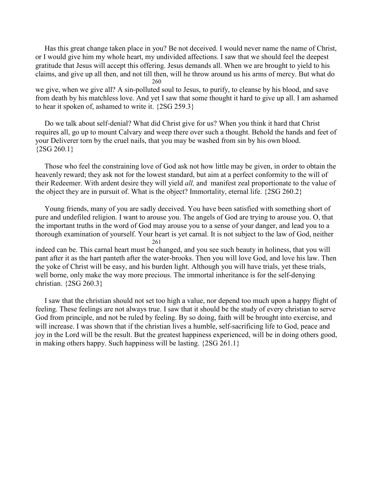Has this great change taken place in you? Be not deceived. I would never name the name of Christ, or I would give him my whole heart, my undivided affections. I saw that we should feel the deepest gratitude that Jesus will accept this offering. Jesus demands all. When we are brought to yield to his claims, and give up all then, and not till then, will he throw around us his arms of mercy. But what do 260

we give, when we give all? A sin-polluted soul to Jesus, to purify, to cleanse by his blood, and save from death by his matchless love. And yet I saw that some thought it hard to give up all. I am ashamed to hear it spoken of, ashamed to write it. {2SG 259.3}

 Do we talk about self-denial? What did Christ give for us? When you think it hard that Christ requires all, go up to mount Calvary and weep there over such a thought. Behold the hands and feet of your Deliverer torn by the cruel nails, that you may be washed from sin by his own blood.  ${2SG 260.1}$ 

 Those who feel the constraining love of God ask not how little may be given, in order to obtain the heavenly reward; they ask not for the lowest standard, but aim at a perfect conformity to the will of their Redeemer. With ardent desire they will yield *all,* and manifest zeal proportionate to the value of the object they are in pursuit of. What is the object? Immortality, eternal life. {2SG 260.2}

 Young friends, many of you are sadly deceived. You have been satisfied with something short of pure and undefiled religion. I want to arouse you. The angels of God are trying to arouse you. O, that the important truths in the word of God may arouse you to a sense of your danger, and lead you to a thorough examination of yourself. Your heart is yet carnal. It is not subject to the law of God, neither 261

indeed can be. This carnal heart must be changed, and you see such beauty in holiness, that you will pant after it as the hart panteth after the water-brooks. Then you will love God, and love his law. Then the yoke of Christ will be easy, and his burden light. Although you will have trials, yet these trials, well borne, only make the way more precious. The immortal inheritance is for the self-denying christian. {2SG 260.3}

 I saw that the christian should not set too high a value, nor depend too much upon a happy flight of feeling. These feelings are not always true. I saw that it should be the study of every christian to serve God from principle, and not be ruled by feeling. By so doing, faith will be brought into exercise, and will increase. I was shown that if the christian lives a humble, self-sacrificing life to God, peace and joy in the Lord will be the result. But the greatest happiness experienced, will be in doing others good, in making others happy. Such happiness will be lasting. {2SG 261.1}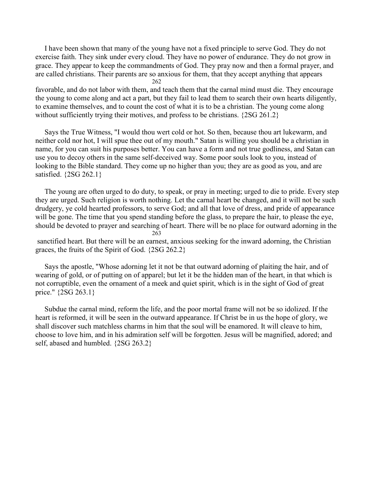I have been shown that many of the young have not a fixed principle to serve God. They do not exercise faith. They sink under every cloud. They have no power of endurance. They do not grow in grace. They appear to keep the commandments of God. They pray now and then a formal prayer, and are called christians. Their parents are so anxious for them, that they accept anything that appears 262

favorable, and do not labor with them, and teach them that the carnal mind must die. They encourage the young to come along and act a part, but they fail to lead them to search their own hearts diligently, to examine themselves, and to count the cost of what it is to be a christian. The young come along without sufficiently trying their motives, and profess to be christians. {2SG 261.2}

 Says the True Witness, "I would thou wert cold or hot. So then, because thou art lukewarm, and neither cold nor hot, I will spue thee out of my mouth." Satan is willing you should be a christian in name, for you can suit his purposes better. You can have a form and not true godliness, and Satan can use you to decoy others in the same self-deceived way. Some poor souls look to you, instead of looking to the Bible standard. They come up no higher than you; they are as good as you, and are satisfied. {2SG 262.1}

 The young are often urged to do duty, to speak, or pray in meeting; urged to die to pride. Every step they are urged. Such religion is worth nothing. Let the carnal heart be changed, and it will not be such drudgery, ye cold hearted professors, to serve God; and all that love of dress, and pride of appearance will be gone. The time that you spend standing before the glass, to prepare the hair, to please the eye, should be devoted to prayer and searching of heart. There will be no place for outward adorning in the 263

 sanctified heart. But there will be an earnest, anxious seeking for the inward adorning, the Christian graces, the fruits of the Spirit of God. {2SG 262.2}

 Says the apostle, "Whose adorning let it not be that outward adorning of plaiting the hair, and of wearing of gold, or of putting on of apparel; but let it be the hidden man of the heart, in that which is not corruptible, even the ornament of a meek and quiet spirit, which is in the sight of God of great price." {2SG 263.1}

 Subdue the carnal mind, reform the life, and the poor mortal frame will not be so idolized. If the heart is reformed, it will be seen in the outward appearance. If Christ be in us the hope of glory, we shall discover such matchless charms in him that the soul will be enamored. It will cleave to him, choose to love him, and in his admiration self will be forgotten. Jesus will be magnified, adored; and self, abased and humbled. {2SG 263.2}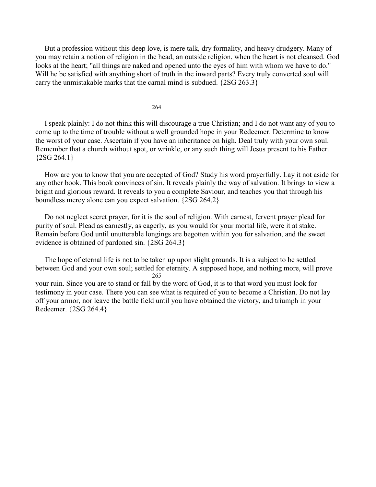But a profession without this deep love, is mere talk, dry formality, and heavy drudgery. Many of you may retain a notion of religion in the head, an outside religion, when the heart is not cleansed. God looks at the heart; "all things are naked and opened unto the eyes of him with whom we have to do." Will he be satisfied with anything short of truth in the inward parts? Every truly converted soul will carry the unmistakable marks that the carnal mind is subdued. {2SG 263.3}

264

 I speak plainly: I do not think this will discourage a true Christian; and I do not want any of you to come up to the time of trouble without a well grounded hope in your Redeemer. Determine to know the worst of your case. Ascertain if you have an inheritance on high. Deal truly with your own soul. Remember that a church without spot, or wrinkle, or any such thing will Jesus present to his Father.  ${2SG\,264.1}$ 

 How are you to know that you are accepted of God? Study his word prayerfully. Lay it not aside for any other book. This book convinces of sin. It reveals plainly the way of salvation. It brings to view a bright and glorious reward. It reveals to you a complete Saviour, and teaches you that through his boundless mercy alone can you expect salvation. {2SG 264.2}

 Do not neglect secret prayer, for it is the soul of religion. With earnest, fervent prayer plead for purity of soul. Plead as earnestly, as eagerly, as you would for your mortal life, were it at stake. Remain before God until unutterable longings are begotten within you for salvation, and the sweet evidence is obtained of pardoned sin. {2SG 264.3}

 The hope of eternal life is not to be taken up upon slight grounds. It is a subject to be settled between God and your own soul; settled for eternity. A supposed hope, and nothing more, will prove 265 your ruin. Since you are to stand or fall by the word of God, it is to that word you must look for testimony in your case. There you can see what is required of you to become a Christian. Do not lay off your armor, nor leave the battle field until you have obtained the victory, and triumph in your Redeemer. {2SG 264.4}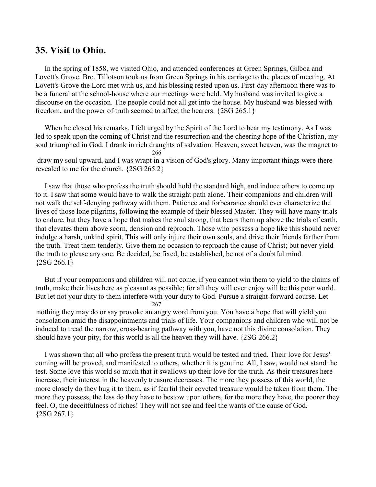### **35. Visit to Ohio.**

 In the spring of 1858, we visited Ohio, and attended conferences at Green Springs, Gilboa and Lovett's Grove. Bro. Tillotson took us from Green Springs in his carriage to the places of meeting. At Lovett's Grove the Lord met with us, and his blessing rested upon us. First-day afternoon there was to be a funeral at the school-house where our meetings were held. My husband was invited to give a discourse on the occasion. The people could not all get into the house. My husband was blessed with freedom, and the power of truth seemed to affect the hearers. {2SG 265.1}

 When he closed his remarks, I felt urged by the Spirit of the Lord to bear my testimony. As I was led to speak upon the coming of Christ and the resurrection and the cheering hope of the Christian, my soul triumphed in God. I drank in rich draughts of salvation. Heaven, sweet heaven, was the magnet to 266 draw my soul upward, and I was wrapt in a vision of God's glory. Many important things were there revealed to me for the church. {2SG 265.2}

 I saw that those who profess the truth should hold the standard high, and induce others to come up to it. I saw that some would have to walk the straight path alone. Their companions and children will not walk the self-denying pathway with them. Patience and forbearance should ever characterize the lives of those lone pilgrims, following the example of their blessed Master. They will have many trials to endure, but they have a hope that makes the soul strong, that bears them up above the trials of earth, that elevates them above scorn, derision and reproach. Those who possess a hope like this should never indulge a harsh, unkind spirit. This will only injure their own souls, and drive their friends farther from the truth. Treat them tenderly. Give them no occasion to reproach the cause of Christ; but never yield the truth to please any one. Be decided, be fixed, be established, be not of a doubtful mind.  ${2SG\,266.1}$ 

 But if your companions and children will not come, if you cannot win them to yield to the claims of truth, make their lives here as pleasant as possible; for all they will ever enjoy will be this poor world. But let not your duty to them interfere with your duty to God. Pursue a straight-forward course. Let 267

 nothing they may do or say provoke an angry word from you. You have a hope that will yield you consolation amid the disappointments and trials of life. Your companions and children who will not be induced to tread the narrow, cross-bearing pathway with you, have not this divine consolation. They should have your pity, for this world is all the heaven they will have. {2SG 266.2}

 I was shown that all who profess the present truth would be tested and tried. Their love for Jesus' coming will be proved, and manifested to others, whether it is genuine. All, I saw, would not stand the test. Some love this world so much that it swallows up their love for the truth. As their treasures here increase, their interest in the heavenly treasure decreases. The more they possess of this world, the more closely do they hug it to them, as if fearful their coveted treasure would be taken from them. The more they possess, the less do they have to bestow upon others, for the more they have, the poorer they feel. O, the deceitfulness of riches! They will not see and feel the wants of the cause of God.  ${2SG 267.1}$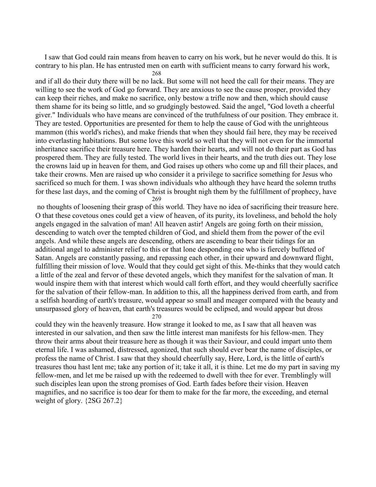I saw that God could rain means from heaven to carry on his work, but he never would do this. It is contrary to his plan. He has entrusted men on earth with sufficient means to carry forward his work,

#### 268

and if all do their duty there will be no lack. But some will not heed the call for their means. They are willing to see the work of God go forward. They are anxious to see the cause prosper, provided they can keep their riches, and make no sacrifice, only bestow a trifle now and then, which should cause them shame for its being so little, and so grudgingly bestowed. Said the angel, "God loveth a cheerful giver." Individuals who have means are convinced of the truthfulness of our position. They embrace it. They are tested. Opportunities are presented for them to help the cause of God with the unrighteous mammon (this world's riches), and make friends that when they should fail here, they may be received into everlasting habitations. But some love this world so well that they will not even for the immortal inheritance sacrifice their treasure here. They harden their hearts, and will not do their part as God has prospered them. They are fully tested. The world lives in their hearts, and the truth dies out. They lose the crowns laid up in heaven for them, and God raises up others who come up and fill their places, and take their crowns. Men are raised up who consider it a privilege to sacrifice something for Jesus who sacrificed so much for them. I was shown individuals who although they have heard the solemn truths for these last days, and the coming of Christ is brought nigh them by the fulfillment of prophecy, have 269

 no thoughts of loosening their grasp of this world. They have no idea of sacrificing their treasure here. O that these covetous ones could get a view of heaven, of its purity, its loveliness, and behold the holy angels engaged in the salvation of man! All heaven astir! Angels are going forth on their mission, descending to watch over the tempted children of God, and shield them from the power of the evil angels. And while these angels are descending, others are ascending to bear their tidings for an additional angel to administer relief to this or that lone desponding one who is fiercely buffeted of Satan. Angels are constantly passing, and repassing each other, in their upward and downward flight, fulfilling their mission of love. Would that they could get sight of this. Me-thinks that they would catch a little of the zeal and fervor of these devoted angels, which they manifest for the salvation of man. It would inspire them with that interest which would call forth effort, and they would cheerfully sacrifice for the salvation of their fellow-man. In addition to this, all the happiness derived from earth, and from a selfish hoarding of earth's treasure, would appear so small and meager compared with the beauty and unsurpassed glory of heaven, that earth's treasures would be eclipsed, and would appear but dross 270

could they win the heavenly treasure. How strange it looked to me, as I saw that all heaven was interested in our salvation, and then saw the little interest man manifests for his fellow-men. They throw their arms about their treasure here as though it was their Saviour, and could impart unto them eternal life. I was ashamed, distressed, agonized, that such should ever bear the name of disciples, or profess the name of Christ. I saw that they should cheerfully say, Here, Lord, is the little of earth's treasures thou hast lent me; take any portion of it; take it all, it is thine. Let me do my part in saving my fellow-men, and let me be raised up with the redeemed to dwell with thee for ever. Tremblingly will such disciples lean upon the strong promises of God. Earth fades before their vision. Heaven magnifies, and no sacrifice is too dear for them to make for the far more, the exceeding, and eternal weight of glory. {2SG 267.2}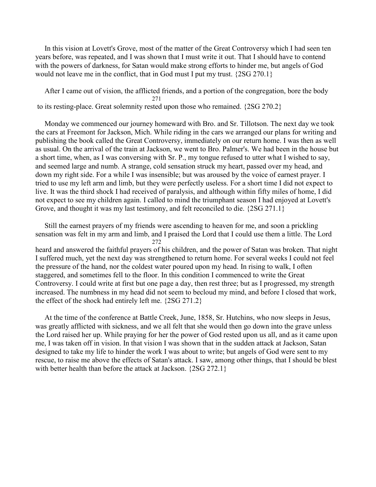In this vision at Lovett's Grove, most of the matter of the Great Controversy which I had seen ten years before, was repeated, and I was shown that I must write it out. That I should have to contend with the powers of darkness, for Satan would make strong efforts to hinder me, but angels of God would not leave me in the conflict, that in God must I put my trust. {2SG 270.1}

 After I came out of vision, the afflicted friends, and a portion of the congregation, bore the body 271 to its resting-place. Great solemnity rested upon those who remained. {2SG 270.2}

 Monday we commenced our journey homeward with Bro. and Sr. Tillotson. The next day we took the cars at Freemont for Jackson, Mich. While riding in the cars we arranged our plans for writing and publishing the book called the Great Controversy, immediately on our return home. I was then as well as usual. On the arrival of the train at Jackson, we went to Bro. Palmer's. We had been in the house but a short time, when, as I was conversing with Sr. P., my tongue refused to utter what I wished to say, and seemed large and numb. A strange, cold sensation struck my heart, passed over my head, and down my right side. For a while I was insensible; but was aroused by the voice of earnest prayer. I tried to use my left arm and limb, but they were perfectly useless. For a short time I did not expect to live. It was the third shock I had received of paralysis, and although within fifty miles of home, I did not expect to see my children again. I called to mind the triumphant season I had enjoyed at Lovett's Grove, and thought it was my last testimony, and felt reconciled to die. {2SG 271.1}

 Still the earnest prayers of my friends were ascending to heaven for me, and soon a prickling sensation was felt in my arm and limb, and I praised the Lord that I could use them a little. The Lord 272

heard and answered the faithful prayers of his children, and the power of Satan was broken. That night I suffered much, yet the next day was strengthened to return home. For several weeks I could not feel the pressure of the hand, nor the coldest water poured upon my head. In rising to walk, I often staggered, and sometimes fell to the floor. In this condition I commenced to write the Great Controversy. I could write at first but one page a day, then rest three; but as I progressed, my strength increased. The numbness in my head did not seem to becloud my mind, and before I closed that work, the effect of the shock had entirely left me. {2SG 271.2}

 At the time of the conference at Battle Creek, June, 1858, Sr. Hutchins, who now sleeps in Jesus, was greatly afflicted with sickness, and we all felt that she would then go down into the grave unless the Lord raised her up. While praying for her the power of God rested upon us all, and as it came upon me, I was taken off in vision. In that vision I was shown that in the sudden attack at Jackson, Satan designed to take my life to hinder the work I was about to write; but angels of God were sent to my rescue, to raise me above the effects of Satan's attack. I saw, among other things, that I should be blest with better health than before the attack at Jackson. {2SG 272.1}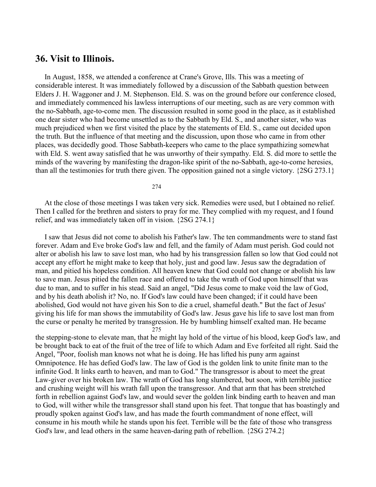## **36. Visit to Illinois.**

 In August, 1858, we attended a conference at Crane's Grove, Ills. This was a meeting of considerable interest. It was immediately followed by a discussion of the Sabbath question between Elders J. H. Waggoner and J. M. Stephenson. Eld. S. was on the ground before our conference closed, and immediately commenced his lawless interruptions of our meeting, such as are very common with the no-Sabbath, age-to-come men. The discussion resulted in some good in the place, as it established one dear sister who had become unsettled as to the Sabbath by Eld. S., and another sister, who was much prejudiced when we first visited the place by the statements of Eld. S., came out decided upon the truth. But the influence of that meeting and the discussion, upon those who came in from other places, was decidedly good. Those Sabbath-keepers who came to the place sympathizing somewhat with Eld. S. went away satisfied that he was unworthy of their sympathy. Eld. S. did more to settle the minds of the wavering by manifesting the dragon-like spirit of the no-Sabbath, age-to-come heresies, than all the testimonies for truth there given. The opposition gained not a single victory. {2SG 273.1}

274

 At the close of those meetings I was taken very sick. Remedies were used, but I obtained no relief. Then I called for the brethren and sisters to pray for me. They complied with my request, and I found relief, and was immediately taken off in vision. {2SG 274.1}

 I saw that Jesus did not come to abolish his Father's law. The ten commandments were to stand fast forever. Adam and Eve broke God's law and fell, and the family of Adam must perish. God could not alter or abolish his law to save lost man, who had by his transgression fallen so low that God could not accept any effort he might make to keep that holy, just and good law. Jesus saw the degradation of man, and pitied his hopeless condition. All heaven knew that God could not change or abolish his law to save man. Jesus pitied the fallen race and offered to take the wrath of God upon himself that was due to man, and to suffer in his stead. Said an angel, "Did Jesus come to make void the law of God, and by his death abolish it? No, no. If God's law could have been changed; if it could have been abolished, God would not have given his Son to die a cruel, shameful death." But the fact of Jesus' giving his life for man shows the immutability of God's law. Jesus gave his life to save lost man from the curse or penalty he merited by transgression. He by humbling himself exalted man. He became 275

the stepping-stone to elevate man, that he might lay hold of the virtue of his blood, keep God's law, and be brought back to eat of the fruit of the tree of life to which Adam and Eve forfeited all right. Said the Angel, "Poor, foolish man knows not what he is doing. He has lifted his puny arm against Omnipotence. He has defied God's law. The law of God is the golden link to unite finite man to the infinite God. It links earth to heaven, and man to God." The transgressor is about to meet the great Law-giver over his broken law. The wrath of God has long slumbered, but soon, with terrible justice and crushing weight will his wrath fall upon the transgressor. And that arm that has been stretched forth in rebellion against God's law, and would sever the golden link binding earth to heaven and man to God, will wither while the transgressor shall stand upon his feet. That tongue that has boastingly and proudly spoken against God's law, and has made the fourth commandment of none effect, will consume in his mouth while he stands upon his feet. Terrible will be the fate of those who transgress God's law, and lead others in the same heaven-daring path of rebellion. {2SG 274.2}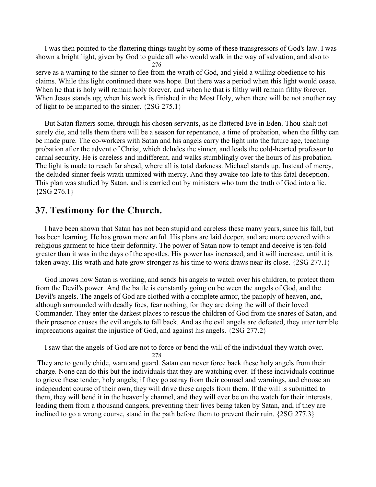I was then pointed to the flattering things taught by some of these transgressors of God's law. I was shown a bright light, given by God to guide all who would walk in the way of salvation, and also to 276 serve as a warning to the sinner to flee from the wrath of God, and yield a willing obedience to his claims. While this light continued there was hope. But there was a period when this light would cease. When he that is holy will remain holy forever, and when he that is filthy will remain filthy forever. When Jesus stands up; when his work is finished in the Most Holy, when there will be not another ray of light to be imparted to the sinner. {2SG 275.1}

 But Satan flatters some, through his chosen servants, as he flattered Eve in Eden. Thou shalt not surely die, and tells them there will be a season for repentance, a time of probation, when the filthy can be made pure. The co-workers with Satan and his angels carry the light into the future age, teaching probation after the advent of Christ, which deludes the sinner, and leads the cold-hearted professor to carnal security. He is careless and indifferent, and walks stumblingly over the hours of his probation. The light is made to reach far ahead, where all is total darkness. Michael stands up. Instead of mercy, the deluded sinner feels wrath unmixed with mercy. And they awake too late to this fatal deception. This plan was studied by Satan, and is carried out by ministers who turn the truth of God into a lie.  ${2SG\,276.1}$ 

# **37. Testimony for the Church.**

 I have been shown that Satan has not been stupid and careless these many years, since his fall, but has been learning. He has grown more artful. His plans are laid deeper, and are more covered with a religious garment to hide their deformity. The power of Satan now to tempt and deceive is ten-fold greater than it was in the days of the apostles. His power has increased, and it will increase, until it is taken away. His wrath and hate grow stronger as his time to work draws near its close. {2SG 277.1}

 God knows how Satan is working, and sends his angels to watch over his children, to protect them from the Devil's power. And the battle is constantly going on between the angels of God, and the Devil's angels. The angels of God are clothed with a complete armor, the panoply of heaven, and, although surrounded with deadly foes, fear nothing, for they are doing the will of their loved Commander. They enter the darkest places to rescue the children of God from the snares of Satan, and their presence causes the evil angels to fall back. And as the evil angels are defeated, they utter terrible imprecations against the injustice of God, and against his angels. {2SG 277.2}

 I saw that the angels of God are not to force or bend the will of the individual they watch over. 278

 They are to gently chide, warn and guard. Satan can never force back these holy angels from their charge. None can do this but the individuals that they are watching over. If these individuals continue to grieve these tender, holy angels; if they go astray from their counsel and warnings, and choose an independent course of their own, they will drive these angels from them. If the will is submitted to them, they will bend it in the heavenly channel, and they will ever be on the watch for their interests, leading them from a thousand dangers, preventing their lives being taken by Satan, and, if they are inclined to go a wrong course, stand in the path before them to prevent their ruin. {2SG 277.3}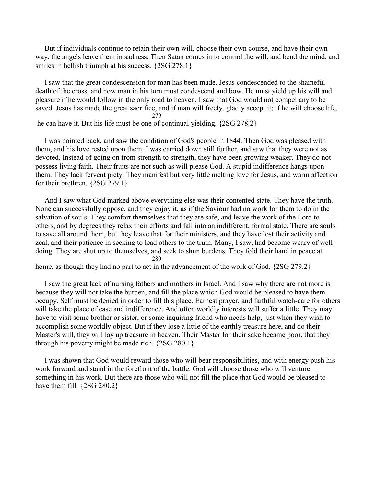But if individuals continue to retain their own will, choose their own course, and have their own way, the angels leave them in sadness. Then Satan comes in to control the will, and bend the mind, and smiles in hellish triumph at his success.  ${2SG\,278.1}$ 

 I saw that the great condescension for man has been made. Jesus condescended to the shameful death of the cross, and now man in his turn must condescend and bow. He must yield up his will and pleasure if he would follow in the only road to heaven. I saw that God would not compel any to be saved. Jesus has made the great sacrifice, and if man will freely, gladly accept it; if he will choose life, 279 he can have it. But his life must be one of continual yielding. {2SG 278.2}

 I was pointed back, and saw the condition of God's people in 1844. Then God was pleased with them, and his love rested upon them. I was carried down still further, and saw that they were not as devoted. Instead of going on from strength to strength, they have been growing weaker. They do not possess living faith. Their fruits are not such as will please God. A stupid indifference hangs upon them. They lack fervent piety. They manifest but very little melting love for Jesus, and warm affection for their brethren. {2SG 279.1}

 And I saw what God marked above everything else was their contented state. They have the truth. None can successfully oppose, and they enjoy it, as if the Saviour had no work for them to do in the salvation of souls. They comfort themselves that they are safe, and leave the work of the Lord to others, and by degrees they relax their efforts and fall into an indifferent, formal state. There are souls to save all around them, but they leave that for their ministers, and they have lost their activity and zeal, and their patience in seeking to lead others to the truth. Many, I saw, had become weary of well doing. They are shut up to themselves, and seek to shun burdens. They fold their hand in peace at 280

home, as though they had no part to act in the advancement of the work of God.  $\{2SG\ 279.2\}$ 

 I saw the great lack of nursing fathers and mothers in Israel. And I saw why there are not more is because they will not take the burden, and fill the place which God would be pleased to have them occupy. Self must be denied in order to fill this place. Earnest prayer, and faithful watch-care for others will take the place of ease and indifference. And often worldly interests will suffer a little. They may have to visit some brother or sister, or some inquiring friend who needs help, just when they wish to accomplish some worldly object. But if they lose a little of the earthly treasure here, and do their Master's will, they will lay up treasure in heaven. Their Master for their sake became poor, that they through his poverty might be made rich. {2SG 280.1}

 I was shown that God would reward those who will bear responsibilities, and with energy push his work forward and stand in the forefront of the battle. God will choose those who will venture something in his work. But there are those who will not fill the place that God would be pleased to have them fill.  ${2SG\,280.2}$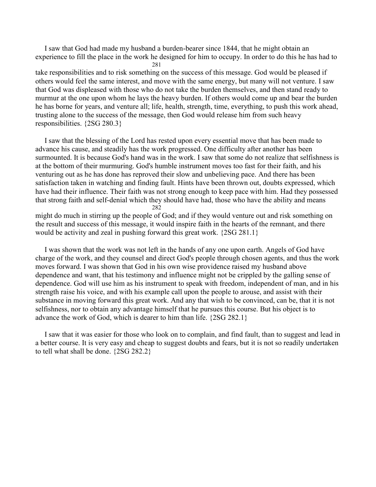I saw that God had made my husband a burden-bearer since 1844, that he might obtain an experience to fill the place in the work he designed for him to occupy. In order to do this he has had to

 281 take responsibilities and to risk something on the success of this message. God would be pleased if others would feel the same interest, and move with the same energy, but many will not venture. I saw that God was displeased with those who do not take the burden themselves, and then stand ready to murmur at the one upon whom he lays the heavy burden. If others would come up and bear the burden he has borne for years, and venture all; life, health, strength, time, everything, to push this work ahead, trusting alone to the success of the message, then God would release him from such heavy responsibilities. {2SG 280.3}

 I saw that the blessing of the Lord has rested upon every essential move that has been made to advance his cause, and steadily has the work progressed. One difficulty after another has been surmounted. It is because God's hand was in the work. I saw that some do not realize that selfishness is at the bottom of their murmuring. God's humble instrument moves too fast for their faith, and his venturing out as he has done has reproved their slow and unbelieving pace. And there has been satisfaction taken in watching and finding fault. Hints have been thrown out, doubts expressed, which have had their influence. Their faith was not strong enough to keep pace with him. Had they possessed that strong faith and self-denial which they should have had, those who have the ability and means 282

might do much in stirring up the people of God; and if they would venture out and risk something on the result and success of this message, it would inspire faith in the hearts of the remnant, and there would be activity and zeal in pushing forward this great work. {2SG 281.1}

 I was shown that the work was not left in the hands of any one upon earth. Angels of God have charge of the work, and they counsel and direct God's people through chosen agents, and thus the work moves forward. I was shown that God in his own wise providence raised my husband above dependence and want, that his testimony and influence might not be crippled by the galling sense of dependence. God will use him as his instrument to speak with freedom, independent of man, and in his strength raise his voice, and with his example call upon the people to arouse, and assist with their substance in moving forward this great work. And any that wish to be convinced, can be, that it is not selfishness, nor to obtain any advantage himself that he pursues this course. But his object is to advance the work of God, which is dearer to him than life. {2SG 282.1}

 I saw that it was easier for those who look on to complain, and find fault, than to suggest and lead in a better course. It is very easy and cheap to suggest doubts and fears, but it is not so readily undertaken to tell what shall be done. {2SG 282.2}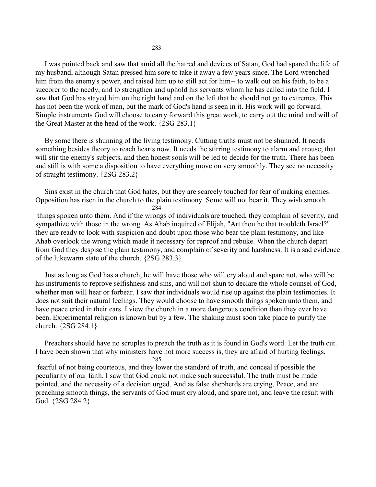I was pointed back and saw that amid all the hatred and devices of Satan, God had spared the life of my husband, although Satan pressed him sore to take it away a few years since. The Lord wrenched him from the enemy's power, and raised him up to still act for him-- to walk out on his faith, to be a succorer to the needy, and to strengthen and uphold his servants whom he has called into the field. I saw that God has stayed him on the right hand and on the left that he should not go to extremes. This has not been the work of man, but the mark of God's hand is seen in it. His work will go forward. Simple instruments God will choose to carry forward this great work, to carry out the mind and will of the Great Master at the head of the work. {2SG 283.1}

 By some there is shunning of the living testimony. Cutting truths must not be shunned. It needs something besides theory to reach hearts now. It needs the stirring testimony to alarm and arouse; that will stir the enemy's subjects, and then honest souls will be led to decide for the truth. There has been and still is with some a disposition to have everything move on very smoothly. They see no necessity of straight testimony. {2SG 283.2}

 Sins exist in the church that God hates, but they are scarcely touched for fear of making enemies. Opposition has risen in the church to the plain testimony. Some will not bear it. They wish smooth 284 things spoken unto them. And if the wrongs of individuals are touched, they complain of severity, and sympathize with those in the wrong. As Ahab inquired of Elijah, "Art thou he that troubleth Israel?" they are ready to look with suspicion and doubt upon those who bear the plain testimony, and like Ahab overlook the wrong which made it necessary for reproof and rebuke. When the church depart from God they despise the plain testimony, and complain of severity and harshness. It is a sad evidence of the lukewarm state of the church. {2SG 283.3}

 Just as long as God has a church, he will have those who will cry aloud and spare not, who will be his instruments to reprove selfishness and sins, and will not shun to declare the whole counsel of God, whether men will hear or forbear. I saw that individuals would rise up against the plain testimonies. It does not suit their natural feelings. They would choose to have smooth things spoken unto them, and have peace cried in their ears. I view the church in a more dangerous condition than they ever have been. Experimental religion is known but by a few. The shaking must soon take place to purify the church. {2SG 284.1}

 Preachers should have no scruples to preach the truth as it is found in God's word. Let the truth cut. I have been shown that why ministers have not more success is, they are afraid of hurting feelings,

285

 fearful of not being courteous, and they lower the standard of truth, and conceal if possible the peculiarity of our faith. I saw that God could not make such successful. The truth must be made pointed, and the necessity of a decision urged. And as false shepherds are crying, Peace, and are preaching smooth things, the servants of God must cry aloud, and spare not, and leave the result with God. {2SG 284.2}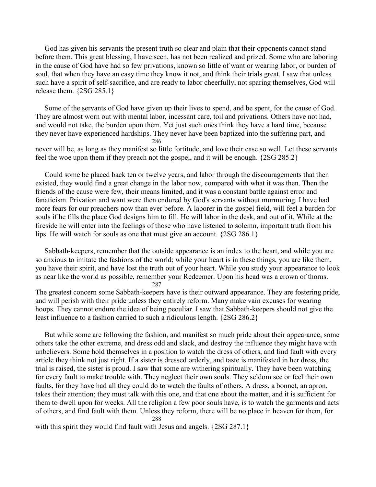God has given his servants the present truth so clear and plain that their opponents cannot stand before them. This great blessing, I have seen, has not been realized and prized. Some who are laboring in the cause of God have had so few privations, known so little of want or wearing labor, or burden of soul, that when they have an easy time they know it not, and think their trials great. I saw that unless such have a spirit of self-sacrifice, and are ready to labor cheerfully, not sparing themselves, God will release them. {2SG 285.1}

 Some of the servants of God have given up their lives to spend, and be spent, for the cause of God. They are almost worn out with mental labor, incessant care, toil and privations. Others have not had, and would not take, the burden upon them. Yet just such ones think they have a hard time, because they never have experienced hardships. They never have been baptized into the suffering part, and 286 never will be, as long as they manifest so little fortitude, and love their ease so well. Let these servants feel the woe upon them if they preach not the gospel, and it will be enough. {2SG 285.2}

 Could some be placed back ten or twelve years, and labor through the discouragements that then existed, they would find a great change in the labor now, compared with what it was then. Then the friends of the cause were few, their means limited, and it was a constant battle against error and fanaticism. Privation and want were then endured by God's servants without murmuring. I have had more fears for our preachers now than ever before. A laborer in the gospel field, will feel a burden for souls if he fills the place God designs him to fill. He will labor in the desk, and out of it. While at the fireside he will enter into the feelings of those who have listened to solemn, important truth from his lips. He will watch for souls as one that must give an account. {2SG 286.1}

 Sabbath-keepers, remember that the outside appearance is an index to the heart, and while you are so anxious to imitate the fashions of the world; while your heart is in these things, you are like them, you have their spirit, and have lost the truth out of your heart. While you study your appearance to look as near like the world as possible, remember your Redeemer. Upon his head was a crown of thorns. 287

The greatest concern some Sabbath-keepers have is their outward appearance. They are fostering pride, and will perish with their pride unless they entirely reform. Many make vain excuses for wearing hoops. They cannot endure the idea of being peculiar. I saw that Sabbath-keepers should not give the least influence to a fashion carried to such a ridiculous length. {2SG 286.2}

 But while some are following the fashion, and manifest so much pride about their appearance, some others take the other extreme, and dress odd and slack, and destroy the influence they might have with unbelievers. Some hold themselves in a position to watch the dress of others, and find fault with every article they think not just right. If a sister is dressed orderly, and taste is manifested in her dress, the trial is raised, the sister is proud. I saw that some are withering spiritually. They have been watching for every fault to make trouble with. They neglect their own souls. They seldom see or feel their own faults, for they have had all they could do to watch the faults of others. A dress, a bonnet, an apron, takes their attention; they must talk with this one, and that one about the matter, and it is sufficient for them to dwell upon for weeks. All the religion a few poor souls have, is to watch the garments and acts of others, and find fault with them. Unless they reform, there will be no place in heaven for them, for 288

with this spirit they would find fault with Jesus and angels.  ${2SG 287.1}$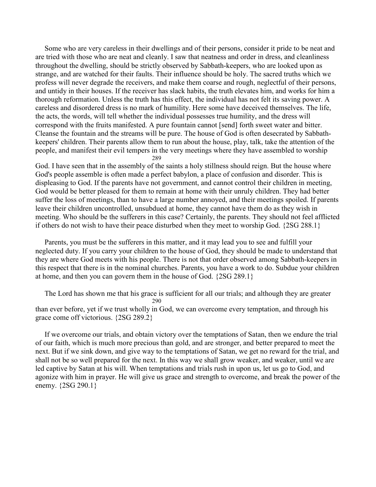Some who are very careless in their dwellings and of their persons, consider it pride to be neat and are tried with those who are neat and cleanly. I saw that neatness and order in dress, and cleanliness throughout the dwelling, should be strictly observed by Sabbath-keepers, who are looked upon as strange, and are watched for their faults. Their influence should be holy. The sacred truths which we profess will never degrade the receivers, and make them coarse and rough, neglectful of their persons, and untidy in their houses. If the receiver has slack habits, the truth elevates him, and works for him a thorough reformation. Unless the truth has this effect, the individual has not felt its saving power. A careless and disordered dress is no mark of humility. Here some have deceived themselves. The life, the acts, the words, will tell whether the individual possesses true humility, and the dress will correspond with the fruits manifested. A pure fountain cannot [send] forth sweet water and bitter. Cleanse the fountain and the streams will be pure. The house of God is often desecrated by Sabbathkeepers' children. Their parents allow them to run about the house, play, talk, take the attention of the people, and manifest their evil tempers in the very meetings where they have assembled to worship 289

God. I have seen that in the assembly of the saints a holy stillness should reign. But the house where God's people assemble is often made a perfect babylon, a place of confusion and disorder. This is displeasing to God. If the parents have not government, and cannot control their children in meeting, God would be better pleased for them to remain at home with their unruly children. They had better suffer the loss of meetings, than to have a large number annoyed, and their meetings spoiled. If parents leave their children uncontrolled, unsubdued at home, they cannot have them do as they wish in meeting. Who should be the sufferers in this case? Certainly, the parents. They should not feel afflicted if others do not wish to have their peace disturbed when they meet to worship God. {2SG 288.1}

 Parents, you must be the sufferers in this matter, and it may lead you to see and fulfill your neglected duty. If you carry your children to the house of God, they should be made to understand that they are where God meets with his people. There is not that order observed among Sabbath-keepers in this respect that there is in the nominal churches. Parents, you have a work to do. Subdue your children at home, and then you can govern them in the house of God. {2SG 289.1}

The Lord has shown me that his grace is sufficient for all our trials; and although they are greater  $\frac{290}{ }$ 290

than ever before, yet if we trust wholly in God, we can overcome every temptation, and through his grace come off victorious. {2SG 289.2}

 If we overcome our trials, and obtain victory over the temptations of Satan, then we endure the trial of our faith, which is much more precious than gold, and are stronger, and better prepared to meet the next. But if we sink down, and give way to the temptations of Satan, we get no reward for the trial, and shall not be so well prepared for the next. In this way we shall grow weaker, and weaker, until we are led captive by Satan at his will. When temptations and trials rush in upon us, let us go to God, and agonize with him in prayer. He will give us grace and strength to overcome, and break the power of the enemy. {2SG 290.1}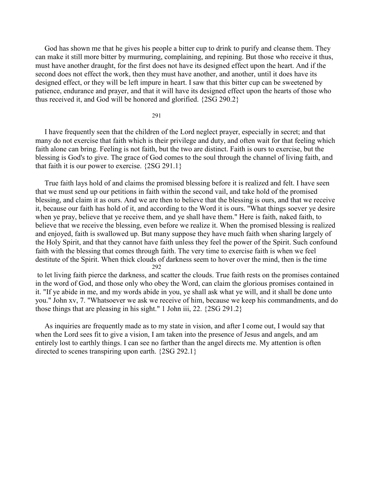God has shown me that he gives his people a bitter cup to drink to purify and cleanse them. They can make it still more bitter by murmuring, complaining, and repining. But those who receive it thus, must have another draught, for the first does not have its designed effect upon the heart. And if the second does not effect the work, then they must have another, and another, until it does have its designed effect, or they will be left impure in heart. I saw that this bitter cup can be sweetened by patience, endurance and prayer, and that it will have its designed effect upon the hearts of those who thus received it, and God will be honored and glorified. {2SG 290.2}

291

 I have frequently seen that the children of the Lord neglect prayer, especially in secret; and that many do not exercise that faith which is their privilege and duty, and often wait for that feeling which faith alone can bring. Feeling is not faith, but the two are distinct. Faith is ours to exercise, but the blessing is God's to give. The grace of God comes to the soul through the channel of living faith, and that faith it is our power to exercise.  ${2SG\ 291.1}$ 

 True faith lays hold of and claims the promised blessing before it is realized and felt. I have seen that we must send up our petitions in faith within the second vail, and take hold of the promised blessing, and claim it as ours. And we are then to believe that the blessing is ours, and that we receive it, because our faith has hold of it, and according to the Word it is ours. "What things soever ye desire when ye pray, believe that ye receive them, and ye shall have them." Here is faith, naked faith, to believe that we receive the blessing, even before we realize it. When the promised blessing is realized and enjoyed, faith is swallowed up. But many suppose they have much faith when sharing largely of the Holy Spirit, and that they cannot have faith unless they feel the power of the Spirit. Such confound faith with the blessing that comes through faith. The very time to exercise faith is when we feel destitute of the Spirit. When thick clouds of darkness seem to hover over the mind, then is the time 292

 to let living faith pierce the darkness, and scatter the clouds. True faith rests on the promises contained in the word of God, and those only who obey the Word, can claim the glorious promises contained in it. "If ye abide in me, and my words abide in you, ye shall ask what ye will, and it shall be done unto you." John xv, 7. "Whatsoever we ask we receive of him, because we keep his commandments, and do those things that are pleasing in his sight." 1 John iii, 22. {2SG 291.2}

 As inquiries are frequently made as to my state in vision, and after I come out, I would say that when the Lord sees fit to give a vision, I am taken into the presence of Jesus and angels, and am entirely lost to earthly things. I can see no farther than the angel directs me. My attention is often directed to scenes transpiring upon earth. {2SG 292.1}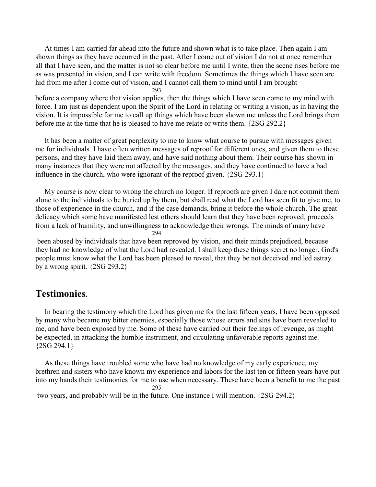At times I am carried far ahead into the future and shown what is to take place. Then again I am shown things as they have occurred in the past. After I come out of vision I do not at once remember all that I have seen, and the matter is not so clear before me until I write, then the scene rises before me as was presented in vision, and I can write with freedom. Sometimes the things which I have seen are hid from me after I come out of vision, and I cannot call them to mind until I am brought

293

before a company where that vision applies, then the things which I have seen come to my mind with force. I am just as dependent upon the Spirit of the Lord in relating or writing a vision, as in having the vision. It is impossible for me to call up things which have been shown me unless the Lord brings them before me at the time that he is pleased to have me relate or write them. {2SG 292.2}

 It has been a matter of great perplexity to me to know what course to pursue with messages given me for individuals. I have often written messages of reproof for different ones, and given them to these persons, and they have laid them away, and have said nothing about them. Their course has shown in many instances that they were not affected by the messages, and they have continued to have a bad influence in the church, who were ignorant of the reproof given. {2SG 293.1}

 My course is now clear to wrong the church no longer. If reproofs are given I dare not commit them alone to the individuals to be buried up by them, but shall read what the Lord has seen fit to give me, to those of experience in the church, and if the case demands, bring it before the whole church. The great delicacy which some have manifested lest others should learn that they have been reproved, proceeds from a lack of humility, and unwillingness to acknowledge their wrongs. The minds of many have 294

 been abused by individuals that have been reproved by vision, and their minds prejudiced, because they had no knowledge of what the Lord had revealed. I shall keep these things secret no longer. God's people must know what the Lord has been pleased to reveal, that they be not deceived and led astray by a wrong spirit. {2SG 293.2}

# **Testimonies.**

 In bearing the testimony which the Lord has given me for the last fifteen years, I have been opposed by many who became my bitter enemies, especially those whose errors and sins have been revealed to me, and have been exposed by me. Some of these have carried out their feelings of revenge, as might be expected, in attacking the humble instrument, and circulating unfavorable reports against me. {2SG 294.1}

 As these things have troubled some who have had no knowledge of my early experience, my brethren and sisters who have known my experience and labors for the last ten or fifteen years have put into my hands their testimonies for me to use when necessary. These have been a benefit to me the past 295 two years, and probably will be in the future. One instance I will mention. {2SG 294.2}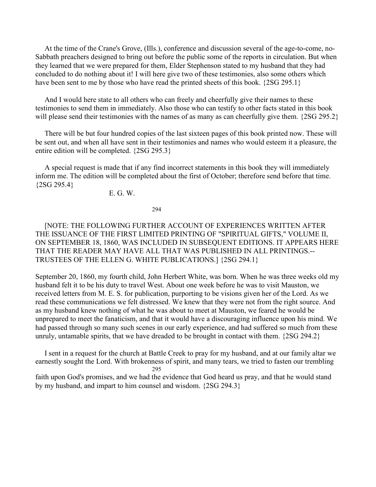At the time of the Crane's Grove, (Ills.), conference and discussion several of the age-to-come, no-Sabbath preachers designed to bring out before the public some of the reports in circulation. But when they learned that we were prepared for them, Elder Stephenson stated to my husband that they had concluded to do nothing about it! I will here give two of these testimonies, also some others which have been sent to me by those who have read the printed sheets of this book. {2SG 295.1}

 And I would here state to all others who can freely and cheerfully give their names to these testimonies to send them in immediately. Also those who can testify to other facts stated in this book will please send their testimonies with the names of as many as can cheerfully give them. {2SG 295.2}

 There will be but four hundred copies of the last sixteen pages of this book printed now. These will be sent out, and when all have sent in their testimonies and names who would esteem it a pleasure, the entire edition will be completed. {2SG 295.3}

 A special request is made that if any find incorrect statements in this book they will immediately inform me. The edition will be completed about the first of October; therefore send before that time.  ${2SG 295.4}$ 

E. G. W.

294

 [NOTE: THE FOLLOWING FURTHER ACCOUNT OF EXPERIENCES WRITTEN AFTER THE ISSUANCE OF THE FIRST LIMITED PRINTING OF "SPIRITUAL GIFTS," VOLUME II, ON SEPTEMBER 18, 1860, WAS INCLUDED IN SUBSEQUENT EDITIONS. IT APPEARS HERE THAT THE READER MAY HAVE ALL THAT WAS PUBLISHED IN ALL PRINTINGS.-- TRUSTEES OF THE ELLEN G. WHITE PUBLICATIONS.] {2SG 294.1}

September 20, 1860, my fourth child, John Herbert White, was born. When he was three weeks old my husband felt it to be his duty to travel West. About one week before he was to visit Mauston, we received letters from M. E. S. for publication, purporting to be visions given her of the Lord. As we read these communications we felt distressed. We knew that they were not from the right source. And as my husband knew nothing of what he was about to meet at Mauston, we feared he would be unprepared to meet the fanaticism, and that it would have a discouraging influence upon his mind. We had passed through so many such scenes in our early experience, and had suffered so much from these unruly, untamable spirits, that we have dreaded to be brought in contact with them. {2SG 294.2}

 I sent in a request for the church at Battle Creek to pray for my husband, and at our family altar we earnestly sought the Lord. With brokenness of spirit, and many tears, we tried to fasten our trembling 295

faith upon God's promises, and we had the evidence that God heard us pray, and that he would stand by my husband, and impart to him counsel and wisdom. {2SG 294.3}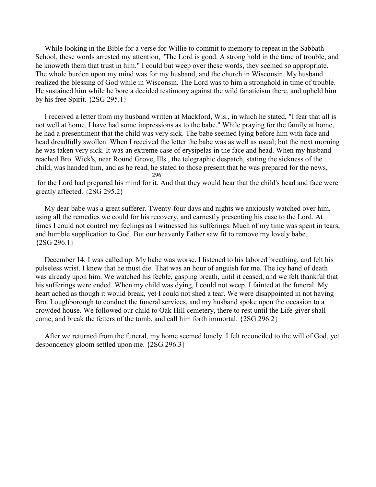While looking in the Bible for a verse for Willie to commit to memory to repeat in the Sabbath School, these words arrested my attention, "The Lord is good. A strong hold in the time of trouble, and he knoweth them that trust in him." I could but weep over these words, they seemed so appropriate. The whole burden upon my mind was for my husband, and the church in Wisconsin. My husband realized the blessing of God while in Wisconsin. The Lord was to him a stronghold in time of trouble. He sustained him while he bore a decided testimony against the wild fanaticism there, and upheld him by his free Spirit. {2SG 295.1}

 I received a letter from my husband written at Mackford, Wis., in which he stated, "I fear that all is not well at home. I have had some impressions as to the babe." While praying for the family at home, he had a presentiment that the child was very sick. The babe seemed lying before him with face and head dreadfully swollen. When I received the letter the babe was as well as usual; but the next morning he was taken very sick. It was an extreme case of erysipelas in the face and head. When my husband reached Bro. Wick's, near Round Grove, Ills., the telegraphic despatch, stating the sickness of the child, was handed him, and as he read, he stated to those present that he was prepared for the news, 296

 for the Lord had prepared his mind for it. And that they would hear that the child's head and face were greatly affected. {2SG 295.2}

 My dear babe was a great sufferer. Twenty-four days and nights we anxiously watched over him, using all the remedies we could for his recovery, and earnestly presenting his case to the Lord. At times I could not control my feelings as I witnessed his sufferings. Much of my time was spent in tears, and humble supplication to God. But our heavenly Father saw fit to remove my lovely babe.  ${2SG\,296.1}$ 

 December 14, I was called up. My babe was worse. I listened to his labored breathing, and felt his pulseless wrist. I knew that he must die. That was an hour of anguish for me. The icy hand of death was already upon him. We watched his feeble, gasping breath, until it ceased, and we felt thankful that his sufferings were ended. When my child was dying, I could not weep. I fainted at the funeral. My heart ached as though it would break, yet I could not shed a tear. We were disappointed in not having Bro. Loughborough to conduct the funeral services, and my husband spoke upon the occasion to a crowded house. We followed our child to Oak Hill cemetery, there to rest until the Life-giver shall come, and break the fetters of the tomb, and call him forth immortal. {2SG 296.2}

 After we returned from the funeral, my home seemed lonely. I felt reconciled to the will of God, yet despondency gloom settled upon me. {2SG 296.3}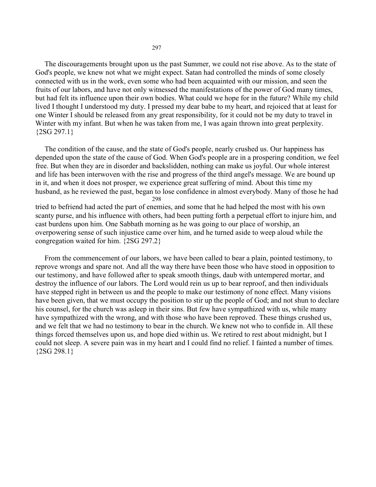The discouragements brought upon us the past Summer, we could not rise above. As to the state of God's people, we knew not what we might expect. Satan had controlled the minds of some closely connected with us in the work, even some who had been acquainted with our mission, and seen the fruits of our labors, and have not only witnessed the manifestations of the power of God many times, but had felt its influence upon their own bodies. What could we hope for in the future? While my child lived I thought I understood my duty. I pressed my dear babe to my heart, and rejoiced that at least for one Winter I should be released from any great responsibility, for it could not be my duty to travel in Winter with my infant. But when he was taken from me, I was again thrown into great perplexity.  ${2SG 297.1}$ 

 The condition of the cause, and the state of God's people, nearly crushed us. Our happiness has depended upon the state of the cause of God. When God's people are in a prospering condition, we feel free. But when they are in disorder and backslidden, nothing can make us joyful. Our whole interest and life has been interwoven with the rise and progress of the third angel's message. We are bound up in it, and when it does not prosper, we experience great suffering of mind. About this time my husband, as he reviewed the past, began to lose confidence in almost everybody. Many of those he had 298

tried to befriend had acted the part of enemies, and some that he had helped the most with his own scanty purse, and his influence with others, had been putting forth a perpetual effort to injure him, and cast burdens upon him. One Sabbath morning as he was going to our place of worship, an overpowering sense of such injustice came over him, and he turned aside to weep aloud while the congregation waited for him. {2SG 297.2}

 From the commencement of our labors, we have been called to bear a plain, pointed testimony, to reprove wrongs and spare not. And all the way there have been those who have stood in opposition to our testimony, and have followed after to speak smooth things, daub with untempered mortar, and destroy the influence of our labors. The Lord would rein us up to bear reproof, and then individuals have stepped right in between us and the people to make our testimony of none effect. Many visions have been given, that we must occupy the position to stir up the people of God; and not shun to declare his counsel, for the church was asleep in their sins. But few have sympathized with us, while many have sympathized with the wrong, and with those who have been reproved. These things crushed us, and we felt that we had no testimony to bear in the church. We knew not who to confide in. All these things forced themselves upon us, and hope died within us. We retired to rest about midnight, but I could not sleep. A severe pain was in my heart and I could find no relief. I fainted a number of times.  ${2SG 298.1}$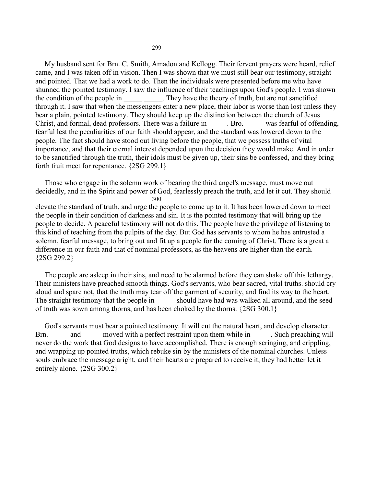My husband sent for Brn. C. Smith, Amadon and Kellogg. Their fervent prayers were heard, relief came, and I was taken off in vision. Then I was shown that we must still bear our testimony, straight and pointed. That we had a work to do. Then the individuals were presented before me who have shunned the pointed testimony. I saw the influence of their teachings upon God's people. I was shown the condition of the people in They have the theory of truth, but are not sanctified through it. I saw that when the messengers enter a new place, their labor is worse than lost unless they bear a plain, pointed testimony. They should keep up the distinction between the church of Jesus Christ, and formal, dead professors. There was a failure in Bro. was fearful of offending, fearful lest the peculiarities of our faith should appear, and the standard was lowered down to the people. The fact should have stood out living before the people, that we possess truths of vital importance, and that their eternal interest depended upon the decision they would make. And in order to be sanctified through the truth, their idols must be given up, their sins be confessed, and they bring forth fruit meet for repentance. {2SG 299.1}

 Those who engage in the solemn work of bearing the third angel's message, must move out decidedly, and in the Spirit and power of God, fearlessly preach the truth, and let it cut. They should 300

elevate the standard of truth, and urge the people to come up to it. It has been lowered down to meet the people in their condition of darkness and sin. It is the pointed testimony that will bring up the people to decide. A peaceful testimony will not do this. The people have the privilege of listening to this kind of teaching from the pulpits of the day. But God has servants to whom he has entrusted a solemn, fearful message, to bring out and fit up a people for the coming of Christ. There is a great a difference in our faith and that of nominal professors, as the heavens are higher than the earth. {2SG 299.2}

 The people are asleep in their sins, and need to be alarmed before they can shake off this lethargy. Their ministers have preached smooth things. God's servants, who bear sacred, vital truths. should cry aloud and spare not, that the truth may tear off the garment of security, and find its way to the heart. The straight testimony that the people in should have had was walked all around, and the seed of truth was sown among thorns, and has been choked by the thorns. {2SG 300.1}

 God's servants must bear a pointed testimony. It will cut the natural heart, and develop character. Brn. and moved with a perfect restraint upon them while in Such preaching will never do the work that God designs to have accomplished. There is enough scringing, and crippling, and wrapping up pointed truths, which rebuke sin by the ministers of the nominal churches. Unless souls embrace the message aright, and their hearts are prepared to receive it, they had better let it entirely alone. {2SG 300.2}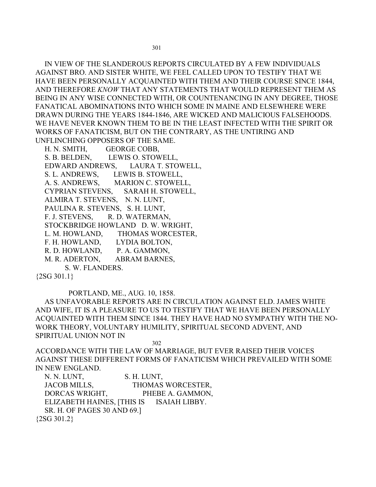IN VIEW OF THE SLANDEROUS REPORTS CIRCULATED BY A FEW INDIVIDUALS AGAINST BRO. AND SISTER WHITE, WE FEEL CALLED UPON TO TESTIFY THAT WE HAVE BEEN PERSONALLY ACQUAINTED WITH THEM AND THEIR COURSE SINCE 1844, AND THEREFORE *KNOW* THAT ANY STATEMENTS THAT WOULD REPRESENT THEM AS BEING IN ANY WISE CONNECTED WITH, OR COUNTENANCING IN ANY DEGREE, THOSE FANATICAL ABOMINATIONS INTO WHICH SOME IN MAINE AND ELSEWHERE WERE DRAWN DURING THE YEARS 1844-1846, ARE WICKED AND MALICIOUS FALSEHOODS. WE HAVE NEVER KNOWN THEM TO BE IN THE LEAST INFECTED WITH THE SPIRIT OR WORKS OF FANATICISM, BUT ON THE CONTRARY, AS THE UNTIRING AND UNFLINCHING OPPOSERS OF THE SAME.

 H. N. SMITH, GEORGE COBB, S. B. BELDEN, LEWIS O. STOWELL, EDWARD ANDREWS, LAURA T. STOWELL, S. L. ANDREWS, LEWIS B. STOWELL, A. S. ANDREWS, MARION C. STOWELL, CYPRIAN STEVENS, SARAH H. STOWELL, ALMIRA T. STEVENS, N. N. LUNT, PAULINA R. STEVENS, S. H. LUNT, F. J. STEVENS, R. D. WATERMAN, STOCKBRIDGE HOWLAND D. W. WRIGHT, L. M. HOWLAND, THOMAS WORCESTER, F. H. HOWLAND, LYDIA BOLTON, R. D. HOWLAND, P. A. GAMMON, M. R. ADERTON, ABRAM BARNES, S. W. FLANDERS.

 ${2SG 301.1}$ 

PORTLAND, ME., AUG. 10, 1858.

 AS UNFAVORABLE REPORTS ARE IN CIRCULATION AGAINST ELD. JAMES WHITE AND WIFE, IT IS A PLEASURE TO US TO TESTIFY THAT WE HAVE BEEN PERSONALLY ACQUAINTED WITH THEM SINCE 1844. THEY HAVE HAD NO SYMPATHY WITH THE NO-WORK THEORY, VOLUNTARY HUMILITY, SPIRITUAL SECOND ADVENT, AND SPIRITUAL UNION NOT IN

302

ACCORDANCE WITH THE LAW OF MARRIAGE, BUT EVER RAISED THEIR VOICES AGAINST THESE DIFFERENT FORMS OF FANATICISM WHICH PREVAILED WITH SOME IN NEW ENGLAND.

| N. N. LUNT,                 | S. H. LUNT,                              |
|-----------------------------|------------------------------------------|
| JACOB MILLS,                | THOMAS WORCESTER,                        |
| DORCAS WRIGHT,              | PHEBE A. GAMMON,                         |
|                             | ELIZABETH HAINES, [THIS IS ISAIAH LIBBY. |
| SR. H. OF PAGES 30 AND 69.] |                                          |
| ${2SG\,301.2}$              |                                          |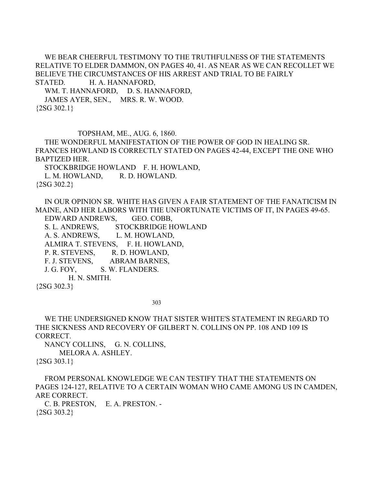WE BEAR CHEERFUL TESTIMONY TO THE TRUTHFULNESS OF THE STATEMENTS RELATIVE TO ELDER DAMMON, ON PAGES 40, 41. AS NEAR AS WE CAN RECOLLET WE BELIEVE THE CIRCUMSTANCES OF HIS ARREST AND TRIAL TO BE FAIRLY STATED. H. A. HANNAFORD, WM. T. HANNAFORD, D. S. HANNAFORD, JAMES AYER, SEN., MRS. R. W. WOOD.  ${2SG 302.1}$ 

 TOPSHAM, ME., AUG. 6, 1860. THE WONDERFUL MANIFESTATION OF THE POWER OF GOD IN HEALING SR. FRANCES HOWLAND IS CORRECTLY STATED ON PAGES 42-44, EXCEPT THE ONE WHO BAPTIZED HER. STOCKBRIDGE HOWLAND F. H. HOWLAND, L. M. HOWLAND, R. D. HOWLAND. {2SG 302.2}

 IN OUR OPINION SR. WHITE HAS GIVEN A FAIR STATEMENT OF THE FANATICISM IN MAINE, AND HER LABORS WITH THE UNFORTUNATE VICTIMS OF IT, IN PAGES 49-65. EDWARD ANDREWS, GEO. COBB, S. L. ANDREWS, STOCKBRIDGE HOWLAND A. S. ANDREWS, L. M. HOWLAND, ALMIRA T. STEVENS, F. H. HOWLAND, P. R. STEVENS, R. D. HOWLAND, F. J. STEVENS, ABRAM BARNES, J. G. FOY, S. W. FLANDERS. H. N. SMITH.

 ${2SG\,302.3}$ 

303

 WE THE UNDERSIGNED KNOW THAT SISTER WHITE'S STATEMENT IN REGARD TO THE SICKNESS AND RECOVERY OF GILBERT N. COLLINS ON PP. 108 AND 109 IS **CORRECT** 

 NANCY COLLINS, G. N. COLLINS, MELORA A. ASHLEY.

 ${2SG 303.1}$ 

 FROM PERSONAL KNOWLEDGE WE CAN TESTIFY THAT THE STATEMENTS ON PAGES 124-127, RELATIVE TO A CERTAIN WOMAN WHO CAME AMONG US IN CAMDEN, ARE CORRECT.

 C. B. PRESTON, E. A. PRESTON. -  ${2SG 303.2}$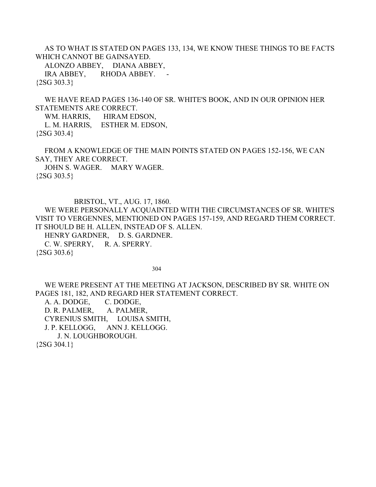AS TO WHAT IS STATED ON PAGES 133, 134, WE KNOW THESE THINGS TO BE FACTS WHICH CANNOT BE GAINSAYED. ALONZO ABBEY, DIANA ABBEY, IRA ABBEY, RHODA ABBEY.  ${2SG 303.3}$ 

 WE HAVE READ PAGES 136-140 OF SR. WHITE'S BOOK, AND IN OUR OPINION HER STATEMENTS ARE CORRECT.

WM. HARRIS, HIRAM EDSON, L. M. HARRIS, ESTHER M. EDSON,  ${2SG 303.4}$ 

 FROM A KNOWLEDGE OF THE MAIN POINTS STATED ON PAGES 152-156, WE CAN SAY, THEY ARE CORRECT. JOHN S. WAGER. MARY WAGER.  ${2SG\,303.5}$ 

 BRISTOL, VT., AUG. 17, 1860. WE WERE PERSONALLY ACQUAINTED WITH THE CIRCUMSTANCES OF SR. WHITE'S VISIT TO VERGENNES, MENTIONED ON PAGES 157-159, AND REGARD THEM CORRECT. IT SHOULD BE H. ALLEN, INSTEAD OF S. ALLEN. HENRY GARDNER, D. S. GARDNER.

 C. W. SPERRY, R. A. SPERRY.  ${2SG\,303.6}$ 

304

 WE WERE PRESENT AT THE MEETING AT JACKSON, DESCRIBED BY SR. WHITE ON PAGES 181, 182, AND REGARD HER STATEMENT CORRECT. A. A. DODGE, C. DODGE,

 D. R. PALMER, A. PALMER, CYRENIUS SMITH, LOUISA SMITH, J. P. KELLOGG, ANN J. KELLOGG. J. N. LOUGHBOROUGH.

 ${2SG\,304.1}$